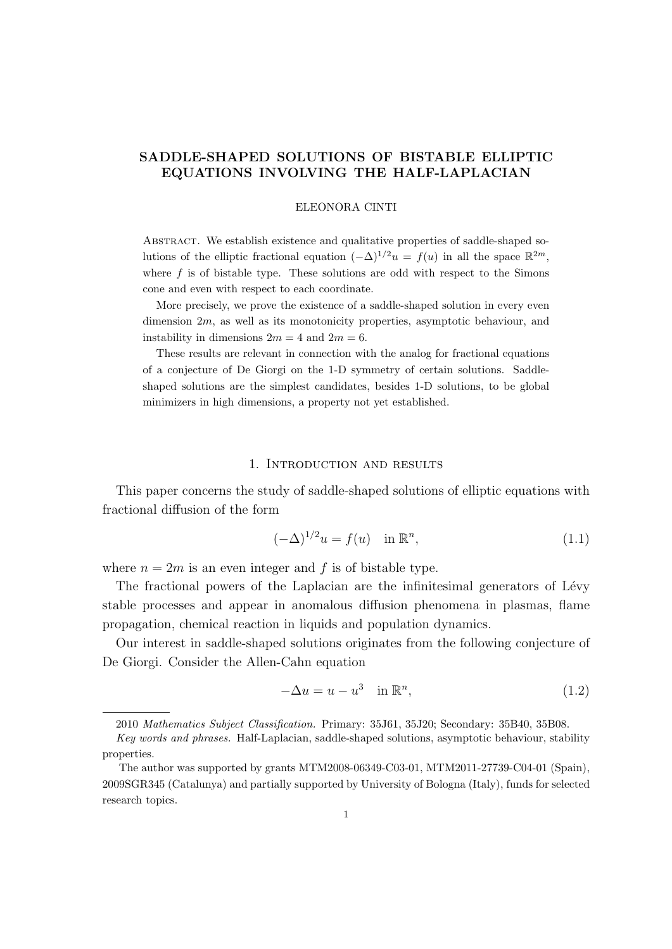## **SADDLE-SHAPED SOLUTIONS OF BISTABLE ELLIPTIC EQUATIONS INVOLVING THE HALF-LAPLACIAN**

#### ELEONORA CINTI

ABSTRACT. We establish existence and qualitative properties of saddle-shaped solutions of the elliptic fractional equation  $(-\Delta)^{1/2}u = f(u)$  in all the space  $\mathbb{R}^{2m}$ , where  $f$  is of bistable type. These solutions are odd with respect to the Simons cone and even with respect to each coordinate.

More precisely, we prove the existence of a saddle-shaped solution in every even dimension 2*m*, as well as its monotonicity properties, asymptotic behaviour, and instability in dimensions  $2m = 4$  and  $2m = 6$ .

These results are relevant in connection with the analog for fractional equations of a conjecture of De Giorgi on the 1-D symmetry of certain solutions. Saddleshaped solutions are the simplest candidates, besides 1-D solutions, to be global minimizers in high dimensions, a property not yet established.

#### 1. Introduction and results

This paper concerns the study of saddle-shaped solutions of elliptic equations with fractional diffusion of the form

$$
(-\Delta)^{1/2}u = f(u) \quad \text{in } \mathbb{R}^n,
$$
\n
$$
(1.1)
$$

where  $n = 2m$  is an even integer and f is of bistable type.

The fractional powers of the Laplacian are the infinitesimal generators of Lévy stable processes and appear in anomalous diffusion phenomena in plasmas, flame propagation, chemical reaction in liquids and population dynamics.

Our interest in saddle-shaped solutions originates from the following conjecture of De Giorgi. Consider the Allen-Cahn equation

$$
-\Delta u = u - u^3 \quad \text{in } \mathbb{R}^n,
$$
\n(1.2)

<sup>2010</sup> *Mathematics Subject Classification.* Primary: 35J61, 35J20; Secondary: 35B40, 35B08.

*Key words and phrases.* Half-Laplacian, saddle-shaped solutions, asymptotic behaviour, stability properties.

The author was supported by grants MTM2008-06349-C03-01, MTM2011-27739-C04-01 (Spain), 2009SGR345 (Catalunya) and partially supported by University of Bologna (Italy), funds for selected research topics.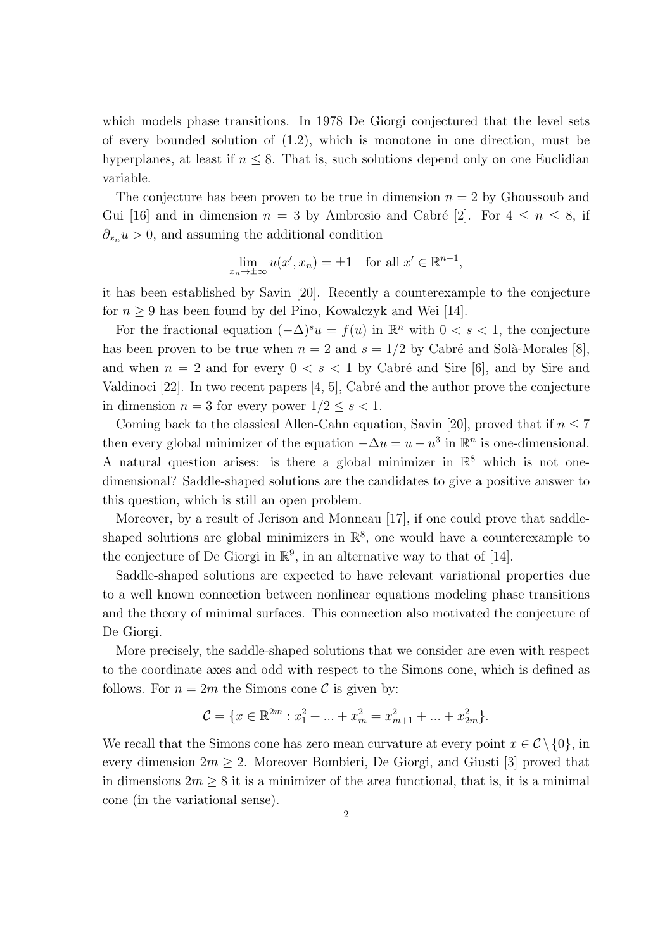which models phase transitions. In 1978 De Giorgi conjectured that the level sets of every bounded solution of (1.2), which is monotone in one direction, must be hyperplanes, at least if  $n \leq 8$ . That is, such solutions depend only on one Euclidian variable.

The conjecture has been proven to be true in dimension  $n = 2$  by Ghoussoub and Gui [16] and in dimension  $n = 3$  by Ambrosio and Cabré [2]. For  $4 \leq n \leq 8$ , if  $\partial_{x_n} u > 0$ , and assuming the additional condition

$$
\lim_{x_n \to \pm \infty} u(x', x_n) = \pm 1 \quad \text{for all } x' \in \mathbb{R}^{n-1},
$$

it has been established by Savin [20]. Recently a counterexample to the conjecture for  $n \geq 9$  has been found by del Pino, Kowalczyk and Wei [14].

For the fractional equation  $(-\Delta)^s u = f(u)$  in  $\mathbb{R}^n$  with  $0 < s < 1$ , the conjecture has been proven to be true when  $n = 2$  and  $s = 1/2$  by Cabré and Solà-Morales [8], and when  $n = 2$  and for every  $0 \lt s \lt 1$  by Cabré and Sire [6], and by Sire and Valdinoci  $[22]$ . In two recent papers  $[4, 5]$ , Cabré and the author prove the conjecture in dimension  $n = 3$  for every power  $1/2 \leq s < 1$ .

Coming back to the classical Allen-Cahn equation, Savin [20], proved that if  $n \leq 7$ then every global minimizer of the equation  $-\Delta u = u - u^3$  in  $\mathbb{R}^n$  is one-dimensional. A natural question arises: is there a global minimizer in  $\mathbb{R}^8$  which is not onedimensional? Saddle-shaped solutions are the candidates to give a positive answer to this question, which is still an open problem.

Moreover, by a result of Jerison and Monneau [17], if one could prove that saddleshaped solutions are global minimizers in  $\mathbb{R}^8$ , one would have a counterexample to the conjecture of De Giorgi in  $\mathbb{R}^9$ , in an alternative way to that of [14].

Saddle-shaped solutions are expected to have relevant variational properties due to a well known connection between nonlinear equations modeling phase transitions and the theory of minimal surfaces. This connection also motivated the conjecture of De Giorgi.

More precisely, the saddle-shaped solutions that we consider are even with respect to the coordinate axes and odd with respect to the Simons cone, which is defined as follows. For  $n = 2m$  the Simons cone C is given by:

$$
\mathcal{C} = \{x \in \mathbb{R}^{2m} : x_1^2 + \dots + x_m^2 = x_{m+1}^2 + \dots + x_{2m}^2\}.
$$

We recall that the Simons cone has zero mean curvature at every point  $x \in C \setminus \{0\}$ , in every dimension  $2m \geq 2$ . Moreover Bombieri, De Giorgi, and Giusti [3] proved that in dimensions  $2m \geq 8$  it is a minimizer of the area functional, that is, it is a minimal cone (in the variational sense).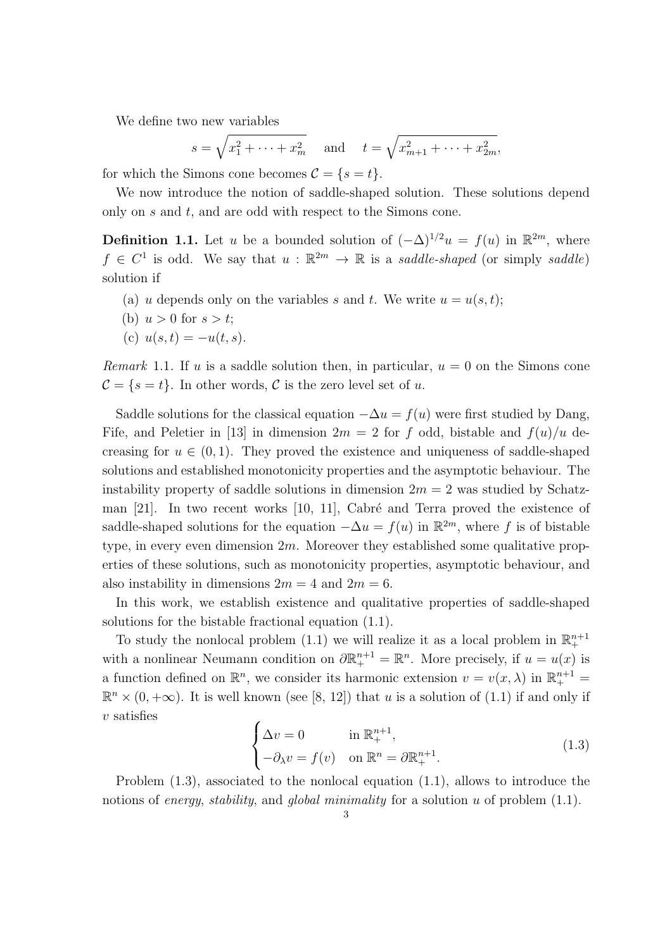We define two new variables

$$
s = \sqrt{x_1^2 + \dots + x_m^2}
$$
 and  $t = \sqrt{x_{m+1}^2 + \dots + x_{2m}^2}$ ,

for which the Simons cone becomes  $\mathcal{C} = \{s = t\}.$ 

We now introduce the notion of saddle-shaped solution. These solutions depend only on *s* and *t*, and are odd with respect to the Simons cone.

**Definition 1.1.** Let *u* be a bounded solution of  $(-\Delta)^{1/2}u = f(u)$  in  $\mathbb{R}^{2m}$ , where  $f \in C^1$  is odd. We say that  $u : \mathbb{R}^{2m} \to \mathbb{R}$  is a *saddle-shaped* (or simply *saddle*) solution if

- (a) *u* depends only on the variables *s* and *t*. We write  $u = u(s, t)$ ;
- (b)  $u > 0$  for  $s > t$ ;
- (c)  $u(s,t) = -u(t,s)$ .

*Remark* 1.1. If *u* is a saddle solution then, in particular,  $u = 0$  on the Simons cone  $\mathcal{C} = \{s = t\}$ . In other words,  $\mathcal{C}$  is the zero level set of *u*.

Saddle solutions for the classical equation  $-\Delta u = f(u)$  were first studied by Dang, Fife, and Peletier in [13] in dimension  $2m = 2$  for f odd, bistable and  $f(u)/u$  decreasing for  $u \in (0,1)$ . They proved the existence and uniqueness of saddle-shaped solutions and established monotonicity properties and the asymptotic behaviour. The instability property of saddle solutions in dimension  $2m = 2$  was studied by Schatzman  $[21]$ . In two recent works  $[10, 11]$ , Cabré and Terra proved the existence of saddle-shaped solutions for the equation  $-\Delta u = f(u)$  in  $\mathbb{R}^{2m}$ , where f is of bistable type, in every even dimension 2*m*. Moreover they established some qualitative properties of these solutions, such as monotonicity properties, asymptotic behaviour, and also instability in dimensions  $2m = 4$  and  $2m = 6$ .

In this work, we establish existence and qualitative properties of saddle-shaped solutions for the bistable fractional equation (1.1).

To study the nonlocal problem  $(1.1)$  we will realize it as a local problem in  $\mathbb{R}^{n+1}_+$ with a nonlinear Neumann condition on  $\partial \mathbb{R}^{n+1}_+ = \mathbb{R}^n$ . More precisely, if  $u = u(x)$  is a function defined on  $\mathbb{R}^n$ , we consider its harmonic extension  $v = v(x, \lambda)$  in  $\mathbb{R}^{n+1}_+$  $\mathbb{R}^n \times (0, +\infty)$ . It is well known (see [8, 12]) that *u* is a solution of (1.1) if and only if *v* satisfies

$$
\begin{cases}\n\Delta v = 0 & \text{in } \mathbb{R}_+^{n+1}, \\
-\partial_\lambda v = f(v) & \text{on } \mathbb{R}^n = \partial \mathbb{R}_+^{n+1}.\n\end{cases}
$$
\n(1.3)

Problem (1.3), associated to the nonlocal equation (1.1), allows to introduce the notions of *energy*, *stability*, and *global minimality* for a solution *u* of problem (1.1).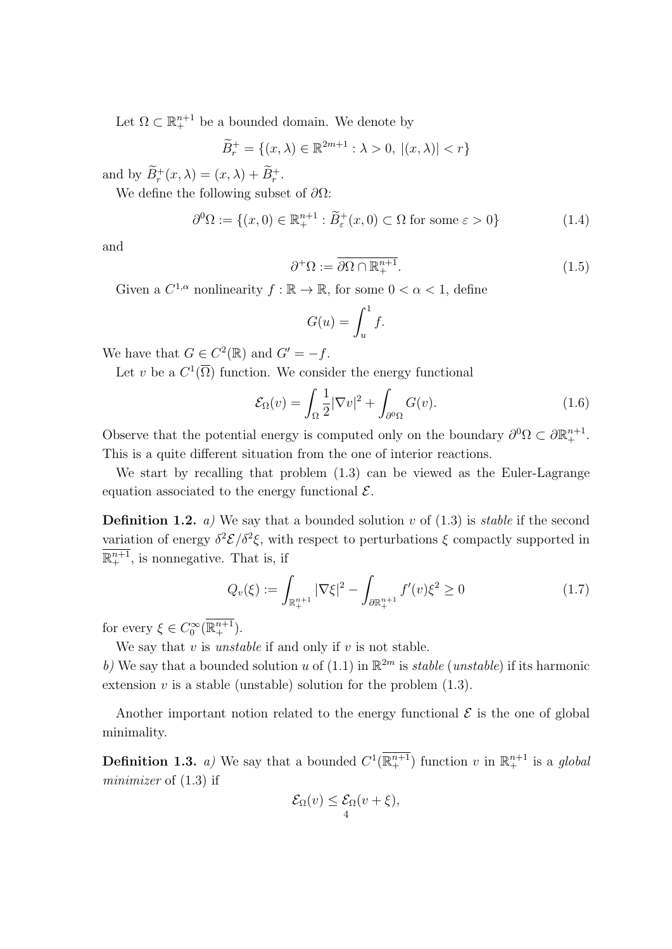Let  $\Omega \subset \mathbb{R}^{n+1}_+$  be a bounded domain. We denote by

$$
\widetilde{B}_r^+ = \{(x,\lambda) \in \mathbb{R}^{2m+1} : \lambda > 0, \ |(x,\lambda)| < r\}
$$

and by  $\tilde{B}_r^+(x,\lambda) = (x,\lambda) + \tilde{B}_r^+$ .

We define the following subset of *∂*Ω:

$$
\partial^0 \Omega := \{ (x, 0) \in \mathbb{R}^{n+1}_+ : \widetilde{B}^+_{\varepsilon}(x, 0) \subset \Omega \text{ for some } \varepsilon > 0 \}
$$
\n(1.4)

and

$$
\partial^+ \Omega := \overline{\partial \Omega \cap \mathbb{R}^{n+1}_+}. \tag{1.5}
$$

Given a  $C^{1,\alpha}$  nonlinearity  $f : \mathbb{R} \to \mathbb{R}$ , for some  $0 < \alpha < 1$ , define

$$
G(u) = \int_u^1 f.
$$

We have that  $G \in C^2(\mathbb{R})$  and  $G' = -f$ .

Let *v* be a  $C^1(\overline{\Omega})$  function. We consider the energy functional

$$
\mathcal{E}_{\Omega}(v) = \int_{\Omega} \frac{1}{2} |\nabla v|^2 + \int_{\partial^0 \Omega} G(v). \tag{1.6}
$$

Observe that the potential energy is computed only on the boundary  $\partial^0 \Omega \subset \partial \mathbb{R}^{n+1}_+$ . This is a quite different situation from the one of interior reactions.

We start by recalling that problem (1*.*3) can be viewed as the Euler-Lagrange equation associated to the energy functional *E*.

**Definition 1.2.** *a)* We say that a bounded solution *v* of  $(1.3)$  is *stable* if the second variation of energy  $\delta^2 \mathcal{E}/\delta^2 \xi$ , with respect to perturbations  $\xi$  compactly supported in  $\mathbb{R}^{n+1}_+$ , is nonnegative. That is, if

$$
Q_v(\xi) := \int_{\mathbb{R}^{n+1}_+} |\nabla \xi|^2 - \int_{\partial \mathbb{R}^{n+1}_+} f'(v)\xi^2 \ge 0 \tag{1.7}
$$

for every  $\xi \in C_0^{\infty}(\mathbb{R}^{n+1}_+).$ 

We say that *v* is *unstable* if and only if *v* is not stable.

b) We say that a bounded solution *u* of  $(1.1)$  in  $\mathbb{R}^{2m}$  is *stable* (*unstable*) if its harmonic extension  $v$  is a stable (unstable) solution for the problem  $(1.3)$ .

Another important notion related to the energy functional  $\mathcal E$  is the one of global minimality.

**Definition 1.3.** *a*) We say that a bounded  $C^1(\mathbb{R}^{n+1}_+)$  function *v* in  $\mathbb{R}^{n+1}_+$  is a *global minimizer* of (1*.*3) if

$$
\mathcal{E}_{\Omega}(v) \leq \mathcal{E}_{\Omega}(v+\xi),
$$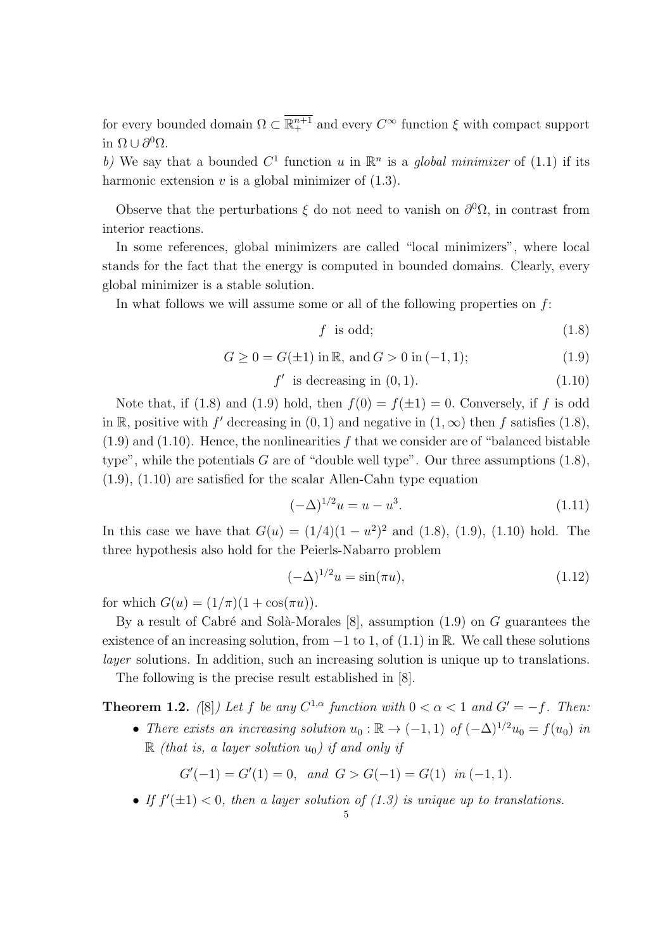for every bounded domain  $\Omega \subset \mathbb{R}^{n+1}_+$  and every  $C^{\infty}$  function  $\xi$  with compact support in  $Ω ∪ ∂<sup>0</sup>Ω$ .

b) We say that a bounded  $C^1$  function *u* in  $\mathbb{R}^n$  is a *global minimizer* of (1.1) if its harmonic extension  $v$  is a global minimizer of  $(1.3)$ .

Observe that the perturbations  $\xi$  do not need to vanish on  $\partial^0\Omega$ , in contrast from interior reactions.

In some references, global minimizers are called "local minimizers", where local stands for the fact that the energy is computed in bounded domains. Clearly, every global minimizer is a stable solution.

In what follows we will assume some or all of the following properties on *f*:

$$
f \text{ is odd};\tag{1.8}
$$

$$
G \ge 0 = G(\pm 1) \text{ in } \mathbb{R}, \text{ and } G > 0 \text{ in } (-1, 1); \tag{1.9}
$$

$$
f' \text{ is decreasing in } (0, 1). \tag{1.10}
$$

Note that, if (1.8) and (1.9) hold, then  $f(0) = f(\pm 1) = 0$ . Conversely, if f is odd in R, positive with  $f'$  decreasing in  $(0, 1)$  and negative in  $(1, \infty)$  then  $f$  satisfies  $(1.8)$ ,  $(1.9)$  and  $(1.10)$ . Hence, the nonlinearities f that we consider are of "balanced bistable" type", while the potentials *G* are of "double well type". Our three assumptions (1.8), (1.9), (1.10) are satisfied for the scalar Allen-Cahn type equation

$$
(-\Delta)^{1/2}u = u - u^3. \tag{1.11}
$$

In this case we have that  $G(u) = (1/4)(1 - u^2)^2$  and  $(1.8)$ ,  $(1.9)$ ,  $(1.10)$  hold. The three hypothesis also hold for the Peierls-Nabarro problem

$$
(-\Delta)^{1/2}u = \sin(\pi u), \tag{1.12}
$$

for which  $G(u) = (1/\pi)(1 + \cos(\pi u)).$ 

By a result of Cabré and Solà-Morales  $[8]$ , assumption  $(1.9)$  on  $G$  guarantees the existence of an increasing solution, from *−*1 to 1, of (1.1) in R. We call these solutions *layer* solutions. In addition, such an increasing solution is unique up to translations.

The following is the precise result established in [8].

**Theorem 1.2.** ([8]) Let *f* be any  $C^{1,\alpha}$  function with  $0 < \alpha < 1$  and  $G' = -f$ . Then:

• *There exists an increasing solution*  $u_0$ :  $\mathbb{R} \to (-1,1)$  *of*  $(-\Delta)^{1/2}u_0 = f(u_0)$  *in*  $\mathbb{R}$  *(that is, a layer solution*  $u_0$ *) if and only if* 

$$
G'(-1) = G'(1) = 0, and G > G(-1) = G(1) in (-1, 1).
$$

• If  $f'(\pm 1) < 0$ , then a layer solution of  $(1.3)$  is unique up to translations.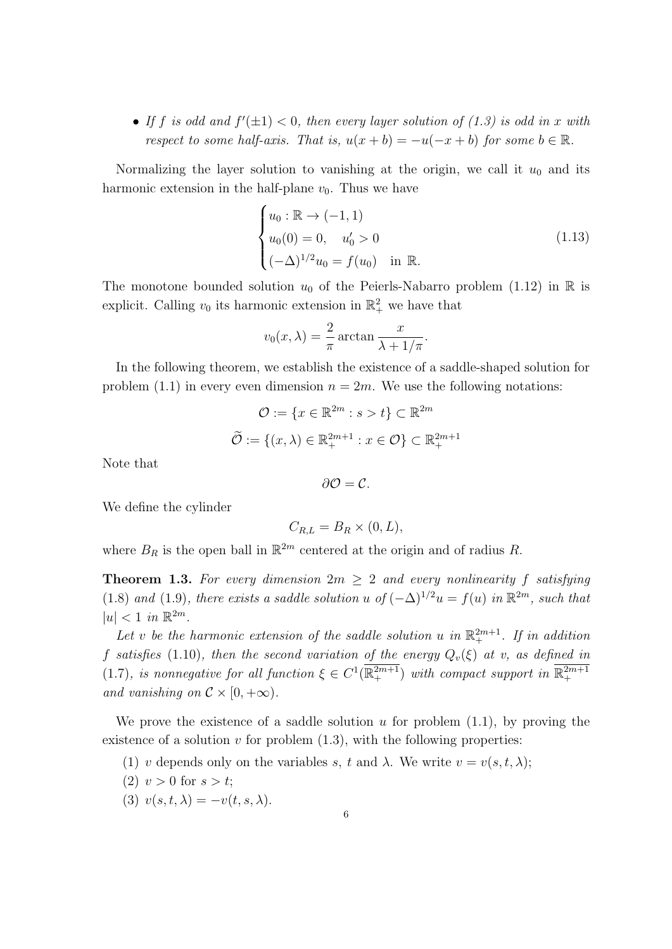• If *f* is odd and  $f'(\pm 1) < 0$ , then every layer solution of (1.3) is odd in *x* with *respect to some half-axis. That is,*  $u(x + b) = -u(-x + b)$  *for some*  $b \in \mathbb{R}$ *.* 

Normalizing the layer solution to vanishing at the origin, we call it  $u_0$  and its harmonic extension in the half-plane  $v_0$ . Thus we have

$$
\begin{cases}\nu_0: \mathbb{R} \to (-1, 1) \\
u_0(0) = 0, \quad u'_0 > 0 \\
(-\Delta)^{1/2}u_0 = f(u_0) \quad \text{in } \mathbb{R}.\n\end{cases}
$$
\n(1.13)

The monotone bounded solution  $u_0$  of the Peierls-Nabarro problem (1.12) in  $\mathbb R$  is explicit. Calling  $v_0$  its harmonic extension in  $\mathbb{R}^2_+$  we have that

$$
v_0(x, \lambda) = \frac{2}{\pi} \arctan \frac{x}{\lambda + 1/\pi}.
$$

In the following theorem, we establish the existence of a saddle-shaped solution for problem (1.1) in every even dimension  $n = 2m$ . We use the following notations:

$$
\mathcal{O} := \{x \in \mathbb{R}^{2m} : s > t\} \subset \mathbb{R}^{2m}
$$

$$
\widetilde{\mathcal{O}} := \{(x, \lambda) \in \mathbb{R}_{+}^{2m+1} : x \in \mathcal{O}\} \subset \mathbb{R}_{+}^{2m+1}
$$

Note that

 $∂*O* = *C*.$ 

We define the cylinder

$$
C_{R,L} = B_R \times (0,L),
$$

where  $B_R$  is the open ball in  $\mathbb{R}^{2m}$  centered at the origin and of radius R.

**Theorem 1.3.** For every dimension  $2m \geq 2$  and every nonlinearity f satisfying (1.8) and (1.9)*, there exists a saddle solution*  $u$  of  $(-\Delta)^{1/2}u = f(u)$  in  $\mathbb{R}^{2m}$ *, such that*  $|u| < 1$  *in*  $\mathbb{R}^{2m}$ *.* 

Let *v* be the harmonic extension of the saddle solution *u* in  $\mathbb{R}^{2m+1}_+$ . If in addition *f satisfies* (1.10)*, then the second variation of the energy*  $Q_v(\xi)$  *at v, as defined in* (1.7)*, is nonnegative for all function*  $\xi \in C^1(\mathbb{R}^{2m+1})$  *with compact support in*  $\mathbb{R}^{2m+1}_+$ *and vanishing on*  $\mathcal{C} \times [0, +\infty)$ *.* 

We prove the existence of a saddle solution *u* for problem (1.1), by proving the existence of a solution  $v$  for problem  $(1.3)$ , with the following properties:

- (1) *v* depends only on the variables *s*, *t* and  $\lambda$ . We write  $v = v(s, t, \lambda)$ ;
- (2)  $v > 0$  for  $s > t$ ;
- (3)  $v(s,t,\lambda) = -v(t,s,\lambda).$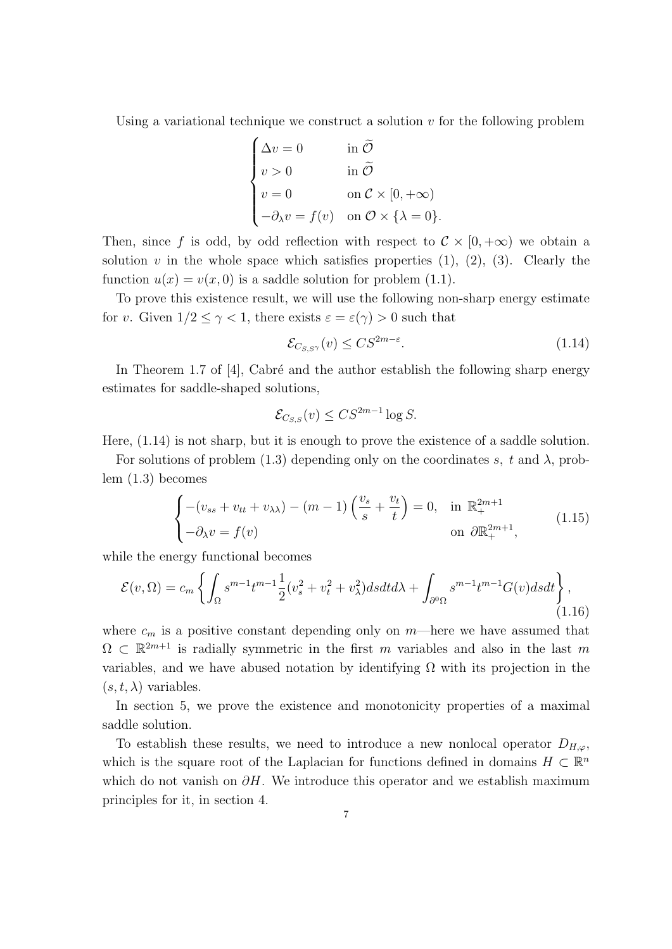Using a variational technique we construct a solution *v* for the following problem

$$
\begin{cases}\n\Delta v = 0 & \text{in } \widetilde{\mathcal{O}} \\
v > 0 & \text{in } \widetilde{\mathcal{O}} \\
v = 0 & \text{on } \mathcal{C} \times [0, +\infty) \\
-\partial_{\lambda} v = f(v) & \text{on } \mathcal{O} \times \{\lambda = 0\}.\n\end{cases}
$$

Then, since f is odd, by odd reflection with respect to  $\mathcal{C} \times [0, +\infty)$  we obtain a solution  $v$  in the whole space which satisfies properties  $(1)$ ,  $(2)$ ,  $(3)$ . Clearly the function  $u(x) = v(x, 0)$  is a saddle solution for problem (1.1).

To prove this existence result, we will use the following non-sharp energy estimate for *v*. Given  $1/2 \leq \gamma < 1$ , there exists  $\varepsilon = \varepsilon(\gamma) > 0$  such that

$$
\mathcal{E}_{C_{S,S}(\mathcal{V})}(\mathbf{v}) \leq C S^{2m-\varepsilon}.\tag{1.14}
$$

In Theorem 1.7 of  $[4]$ , Cabré and the author establish the following sharp energy estimates for saddle-shaped solutions,

$$
\mathcal{E}_{C_{S,S}}(v) \leq C S^{2m-1} \log S.
$$

Here, (1.14) is not sharp, but it is enough to prove the existence of a saddle solution.

For solutions of problem (1.3) depending only on the coordinates  $s$ ,  $t$  and  $\lambda$ , problem (1.3) becomes

$$
\begin{cases}\n-(v_{ss} + v_{tt} + v_{\lambda\lambda}) - (m-1) \left(\frac{v_s}{s} + \frac{v_t}{t}\right) = 0, & \text{in } \mathbb{R}_+^{2m+1} \\
-\partial_{\lambda} v = f(v) & \text{on } \partial \mathbb{R}_+^{2m+1},\n\end{cases}
$$
\n(1.15)

while the energy functional becomes

$$
\mathcal{E}(v,\Omega) = c_m \left\{ \int_{\Omega} s^{m-1} t^{m-1} \frac{1}{2} (v_s^2 + v_t^2 + v_\lambda^2) ds dt d\lambda + \int_{\partial^0 \Omega} s^{m-1} t^{m-1} G(v) ds dt \right\},\tag{1.16}
$$

where  $c_m$  is a positive constant depending only on  $m$ —here we have assumed that  $\Omega \subset \mathbb{R}^{2m+1}$  is radially symmetric in the first *m* variables and also in the last *m* variables, and we have abused notation by identifying  $\Omega$  with its projection in the  $(s, t, \lambda)$  variables.

In section 5, we prove the existence and monotonicity properties of a maximal saddle solution.

To establish these results, we need to introduce a new nonlocal operator  $D_{H,\varphi}$ , which is the square root of the Laplacian for functions defined in domains  $H \subset \mathbb{R}^n$ which do not vanish on *∂H*. We introduce this operator and we establish maximum principles for it, in section 4.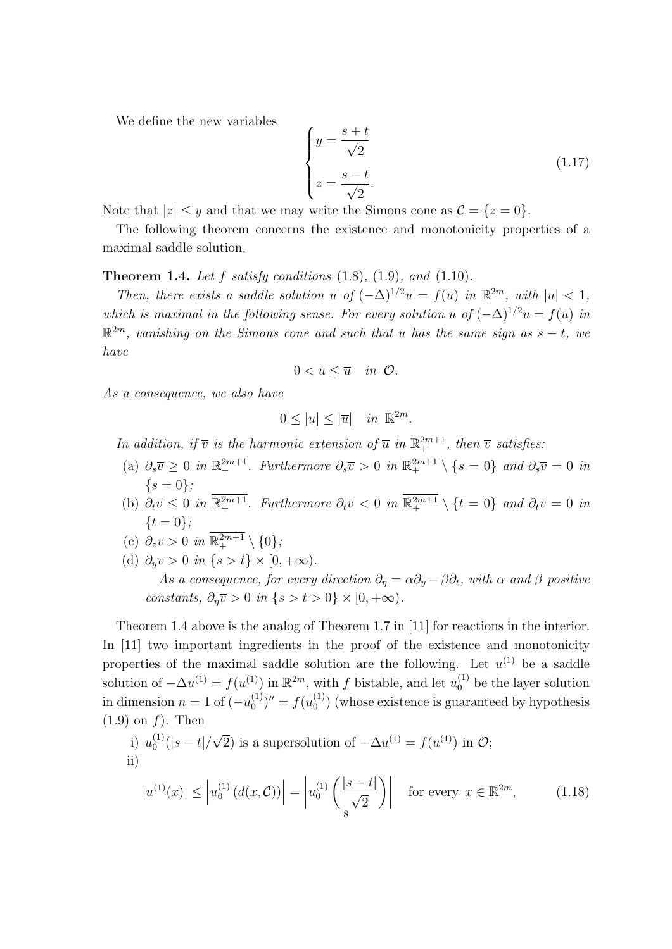We define the new variables

$$
\begin{cases}\n y = \frac{s+t}{\sqrt{2}} \\
 z = \frac{s-t}{\sqrt{2}}.\n\end{cases}
$$
\n(1.17)

Note that  $|z| \leq y$  and that we may write the Simons cone as  $\mathcal{C} = \{z = 0\}.$ 

The following theorem concerns the existence and monotonicity properties of a maximal saddle solution.

**Theorem 1.4.** *Let f satisfy conditions* (1.8)*,* (1.9)*, and* (1.10)*.*

*Then, there exists a saddle solution*  $\overline{u}$  *of*  $(-\Delta)^{1/2}\overline{u} = f(\overline{u})$  *in*  $\mathbb{R}^{2m}$ *, with*  $|u| < 1$ *, which is maximal in the following sense. For every solution u* of  $(-\Delta)^{1/2}u = f(u)$  *in* R <sup>2</sup>*<sup>m</sup>, vanishing on the Simons cone and such that u has the same sign as s − t, we have*

$$
0
$$

*As a consequence, we also have*

$$
0 \le |u| \le |\overline{u}| \quad \text{in } \ \mathbb{R}^{2m}.
$$

*In addition, if*  $\overline{v}$  *is the harmonic extension of*  $\overline{u}$  *in*  $\mathbb{R}^{2m+1}$ *, then*  $\overline{v}$  *satisfies:* 

- $\partial_s \overline{v} \geq 0$  *in*  $\mathbb{R}^{2m+1}_+$ *. Furthermore*  $\partial_s \overline{v} > 0$  *in*  $\mathbb{R}^{2m+1}_+ \setminus \{s = 0\}$  *and*  $\partial_s \overline{v} = 0$  *in {s* = 0*};*
- (b)  $\partial_t \overline{v} \leq 0$  *in*  $\mathbb{R}^{2m+1}_+$ *. Furthermore*  $\partial_t \overline{v} < 0$  *in*  $\mathbb{R}^{2m+1}_+ \setminus \{t = 0\}$  *and*  $\partial_t \overline{v} = 0$  *in {t* = 0*};*

(c) 
$$
\partial_z \overline{v} > 0
$$
 in  $\overline{\mathbb{R}^{2m+1}} \setminus \{0\};$ 

(d)  $\partial_y \overline{v} > 0$  *in*  $\{s > t\} \times [0, +\infty)$ . *As a consequence, for every direction*  $\partial_{\eta} = \alpha \partial_{y} - \beta \partial_{t}$ *, with*  $\alpha$  *and*  $\beta$  *positive constants,*  $\partial_n \overline{v} > 0$  *in*  $\{s > t > 0\} \times [0, +\infty)$ .

Theorem 1.4 above is the analog of Theorem 1.7 in [11] for reactions in the interior. In [11] two important ingredients in the proof of the existence and monotonicity properties of the maximal saddle solution are the following. Let  $u^{(1)}$  be a saddle solution of  $-\Delta u^{(1)} = f(u^{(1)})$  in  $\mathbb{R}^{2m}$ , with *f* bistable, and let  $u_0^{(1)}$  be the layer solution in dimension  $n = 1$  of  $(-u_0^{(1)})$  $f(0^{(1)})'' = f(u_0^{(1)})$  $\binom{1}{0}$  (whose existence is guaranteed by hypothesis (1.9) on *f*). Then

i) 
$$
u_0^{(1)}(|s-t|/\sqrt{2})
$$
 is a supersolution of  $-\Delta u^{(1)} = f(u^{(1)})$  in  $\mathcal{O}$ ;  
\nii)  
\n $|u^{(1)}(x)| < |u_0^{(1)}(d(x, \mathcal{C}))| = |u_0^{(1)}(\frac{|s-t|}{|s|})|$  for every  $x \in \mathbb{R}^{2m}$ . (1.18)

$$
|u^{(1)}(x)| \le |u_0^{(1)}(d(x,\mathcal{C}))| = |u_0^{(1)}\left(\frac{|s-t|}{\sqrt{2}}\right)| \quad \text{for every } x \in \mathbb{R}^{2m},\tag{1.18}
$$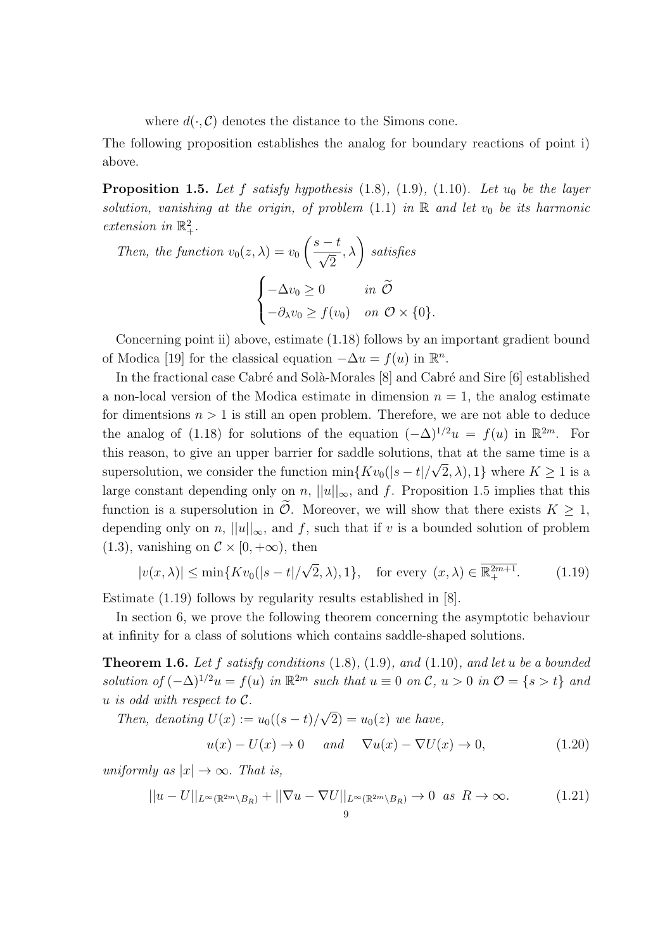where  $d(\cdot, \mathcal{C})$  denotes the distance to the Simons cone.

The following proposition establishes the analog for boundary reactions of point i) above.

**Proposition 1.5.** *Let f satisfy hypothesis* (1.8)*,* (1.9)*,* (1.10)*. Let u*<sup>0</sup> *be the layer solution, vanishing at the origin, of problem*  $(1.1)$  *in*  $\mathbb{R}$  *and let*  $v_0$  *be its harmonic extension in*  $\mathbb{R}^2_+$ *.* 

Then, the function 
$$
v_0(z, \lambda) = v_0 \left( \frac{s - t}{\sqrt{2}}, \lambda \right)
$$
 satisfies  

$$
\begin{cases} -\Delta v_0 \ge 0 & \text{in } \tilde{\mathcal{O}} \\ -\partial_{\lambda} v_0 \ge f(v_0) & \text{on } \mathcal{O} \times \{0\}. \end{cases}
$$

Concerning point ii) above, estimate (1.18) follows by an important gradient bound of Modica [19] for the classical equation  $-\Delta u = f(u)$  in  $\mathbb{R}^n$ .

In the fractional case Cabré and Solà-Morales  $[8]$  and Cabré and Sire  $[6]$  established a non-local version of the Modica estimate in dimension  $n = 1$ , the analog estimate for dimentsions  $n > 1$  is still an open problem. Therefore, we are not able to deduce the analog of (1.18) for solutions of the equation  $(-\Delta)^{1/2}u = f(u)$  in  $\mathbb{R}^{2m}$ . For this reason, to give an upper barrier for saddle solutions, that at the same time is a *√* supersolution, we consider the function  $\min\{Kv_0(|s-t|/\sqrt{2},\lambda),1\}$  where  $K\geq 1$  is a large constant depending only on *n*,  $||u||_{\infty}$ , and *f*. Proposition 1.5 implies that this function is a supersolution in  $\mathcal{O}$ . Moreover, we will show that there exists  $K \geq 1$ , depending only on *n*,  $||u||_{\infty}$ , and *f*, such that if *v* is a bounded solution of problem  $(1.3)$ , vanishing on  $\mathcal{C} \times [0, +\infty)$ , then

$$
|v(x,\lambda)| \le \min\{Kv_0(|s-t|/\sqrt{2},\lambda),1\}, \quad \text{for every } (x,\lambda) \in \overline{\mathbb{R}^{2m+1}_+}.\tag{1.19}
$$

Estimate (1.19) follows by regularity results established in [8].

In section 6, we prove the following theorem concerning the asymptotic behaviour at infinity for a class of solutions which contains saddle-shaped solutions.

**Theorem 1.6.** *Let f satisfy conditions* (1.8)*,* (1.9)*, and* (1.10)*, and let u be a bounded* solution of  $(-\Delta)^{1/2}u = f(u)$  in  $\mathbb{R}^{2m}$  such that  $u \equiv 0$  on C,  $u > 0$  in  $\mathcal{O} = \{s > t\}$  and  *<i>is odd with respect to <i>. √*

*Then, denoting*  $U(x) := u_0((s-t)/$  $(2) = u_0(z)$  *we have,* 

$$
u(x) - U(x) \to 0 \quad and \quad \nabla u(x) - \nabla U(x) \to 0,\tag{1.20}
$$

*uniformly as*  $|x| \to \infty$ *. That is,* 

$$
||u - U||_{L^{\infty}(\mathbb{R}^{2m} \setminus B_R)} + ||\nabla u - \nabla U||_{L^{\infty}(\mathbb{R}^{2m} \setminus B_R)} \to 0 \text{ as } R \to \infty.
$$
 (1.21)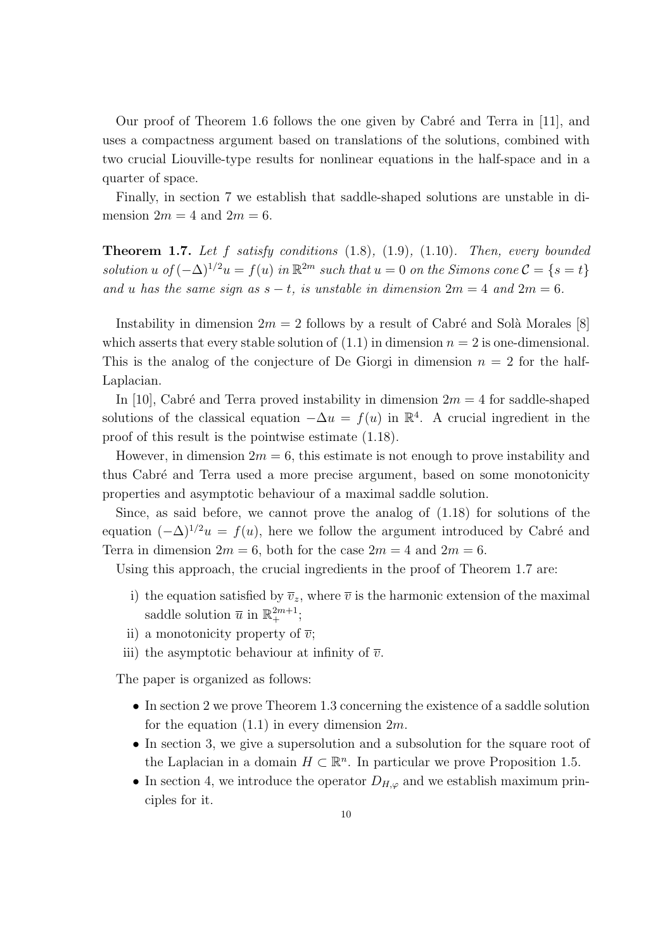Our proof of Theorem 1.6 follows the one given by Cabré and Terra in [11], and uses a compactness argument based on translations of the solutions, combined with two crucial Liouville-type results for nonlinear equations in the half-space and in a quarter of space.

Finally, in section 7 we establish that saddle-shaped solutions are unstable in dimension  $2m = 4$  and  $2m = 6$ .

**Theorem 1.7.** *Let f satisfy conditions* (1.8)*,* (1.9)*,* (1.10)*. Then, every bounded*  $solution u \ of (-\Delta)^{1/2} u = f(u) \ in \ \mathbb{R}^{2m} \ such \ that \ u = 0 \ on \ the \ Simons \ cone \ C = \{s = t\}$ *and u has the same sign as*  $s - t$ *, is unstable in dimension*  $2m = 4$  *and*  $2m = 6$ *.* 

Instability in dimension  $2m = 2$  follows by a result of Cabré and Solà Morales [8] which asserts that every stable solution of  $(1.1)$  in dimension  $n = 2$  is one-dimensional. This is the analog of the conjecture of De Giorgi in dimension  $n = 2$  for the half-Laplacian.

In [10], Cabré and Terra proved instability in dimension  $2m = 4$  for saddle-shaped solutions of the classical equation  $-\Delta u = f(u)$  in  $\mathbb{R}^4$ . A crucial ingredient in the proof of this result is the pointwise estimate (1.18).

However, in dimension  $2m = 6$ , this estimate is not enough to prove instability and thus Cabr´e and Terra used a more precise argument, based on some monotonicity properties and asymptotic behaviour of a maximal saddle solution.

Since, as said before, we cannot prove the analog of (1.18) for solutions of the equation  $(-\Delta)^{1/2}u = f(u)$ , here we follow the argument introduced by Cabré and Terra in dimension  $2m = 6$ , both for the case  $2m = 4$  and  $2m = 6$ .

Using this approach, the crucial ingredients in the proof of Theorem 1.7 are:

- i) the equation satisfied by  $\overline{v}_z$ , where  $\overline{v}$  is the harmonic extension of the maximal saddle solution  $\overline{u}$  in  $\mathbb{R}^{2m+1}_{+}$ ;
- ii) a monotonicity property of  $\overline{v}$ ;
- iii) the asymptotic behaviour at infinity of  $\overline{v}$ .

The paper is organized as follows:

- In section 2 we prove Theorem 1.3 concerning the existence of a saddle solution for the equation (1.1) in every dimension 2*m*.
- In section 3, we give a supersolution and a subsolution for the square root of the Laplacian in a domain  $H \subset \mathbb{R}^n$ . In particular we prove Proposition 1.5.
- *•* In section 4, we introduce the operator *DH,ϕ* and we establish maximum principles for it.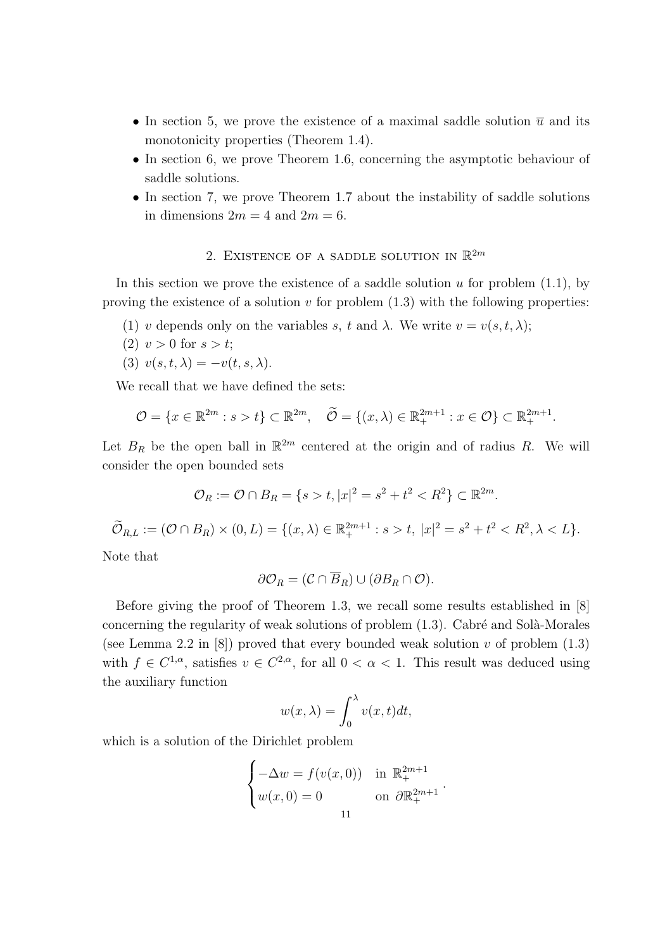- In section 5, we prove the existence of a maximal saddle solution  $\bar{u}$  and its monotonicity properties (Theorem 1.4).
- In section 6, we prove Theorem 1.6, concerning the asymptotic behaviour of saddle solutions.
- In section 7, we prove Theorem 1.7 about the instability of saddle solutions in dimensions  $2m = 4$  and  $2m = 6$ .

# 2. EXISTENCE OF A SADDLE SOLUTION IN  $\mathbb{R}^{2m}$

In this section we prove the existence of a saddle solution *u* for problem (1.1), by proving the existence of a solution *v* for problem (1.3) with the following properties:

- (1) *v* depends only on the variables *s*, *t* and  $\lambda$ . We write  $v = v(s, t, \lambda)$ ;
- (2)  $v > 0$  for  $s > t$ ;
- (3)  $v(s,t,\lambda) = -v(t,s,\lambda).$

We recall that we have defined the sets:

$$
\mathcal{O} = \{x \in \mathbb{R}^{2m} : s > t\} \subset \mathbb{R}^{2m}, \quad \widetilde{\mathcal{O}} = \{(x, \lambda) \in \mathbb{R}^{2m+1}_+ : x \in \mathcal{O}\} \subset \mathbb{R}^{2m+1}_+.
$$

Let  $B_R$  be the open ball in  $\mathbb{R}^{2m}$  centered at the origin and of radius R. We will consider the open bounded sets

$$
\mathcal{O}_R := \mathcal{O} \cap B_R = \{ s > t, |x|^2 = s^2 + t^2 < R^2 \} \subset \mathbb{R}^{2m}.
$$

$$
\widetilde{\mathcal{O}}_{R,L} := (\mathcal{O} \cap B_R) \times (0,L) = \{ (x,\lambda) \in \mathbb{R}_+^{2m+1} : s > t, \ |x|^2 = s^2 + t^2 < R^2, \lambda < L \}.
$$

Note that

$$
\partial \mathcal{O}_R = (\mathcal{C} \cap \overline{B}_R) \cup (\partial B_R \cap \mathcal{O}).
$$

Before giving the proof of Theorem 1.3, we recall some results established in [8] concerning the regularity of weak solutions of problem  $(1.3)$ . Cabré and Solà-Morales (see Lemma 2.2 in  $[8]$ ) proved that every bounded weak solution *v* of problem  $(1.3)$ with  $f \in C^{1,\alpha}$ , satisfies  $v \in C^{2,\alpha}$ , for all  $0 < \alpha < 1$ . This result was deduced using the auxiliary function

$$
w(x,\lambda) = \int_0^\lambda v(x,t)dt,
$$

which is a solution of the Dirichlet problem

$$
\begin{cases}\n-\Delta w = f(v(x,0)) & \text{in } \mathbb{R}_+^{2m+1} \\
w(x,0) = 0 & \text{on } \partial \mathbb{R}_+^{2m+1} \n\end{cases}
$$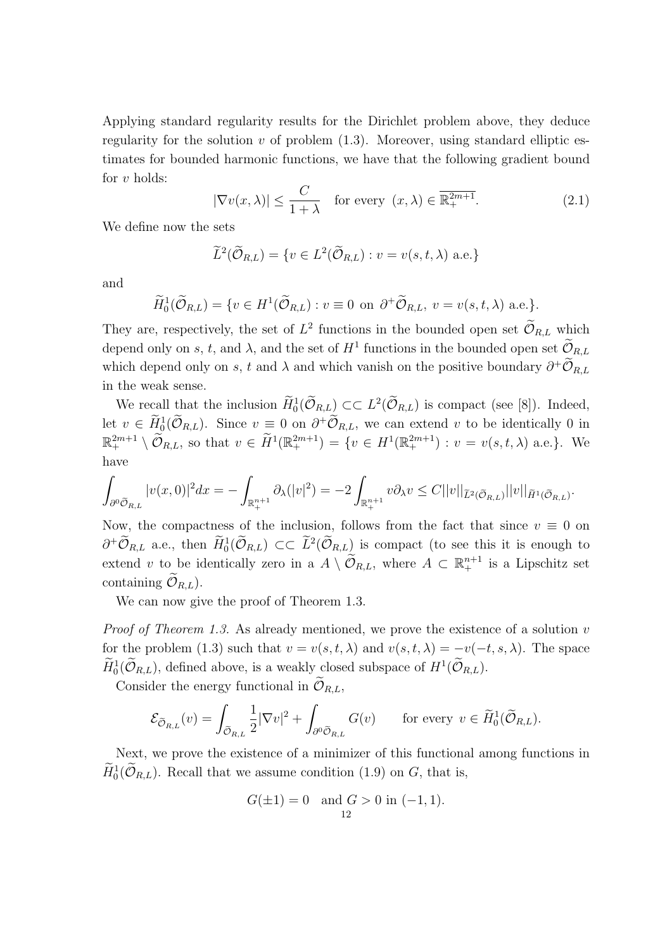Applying standard regularity results for the Dirichlet problem above, they deduce regularity for the solution  $v$  of problem  $(1.3)$ . Moreover, using standard elliptic estimates for bounded harmonic functions, we have that the following gradient bound for *v* holds:

$$
|\nabla v(x,\lambda)| \le \frac{C}{1+\lambda} \quad \text{for every } (x,\lambda) \in \overline{\mathbb{R}^{2m+1}_+}. \tag{2.1}
$$

We define now the sets

$$
\widetilde{L}^2(\widetilde{\mathcal{O}}_{R,L}) = \{ v \in L^2(\widetilde{\mathcal{O}}_{R,L}) : v = v(s, t, \lambda) \text{ a.e.} \}
$$

and

$$
\widetilde{H}_0^1(\widetilde{\mathcal{O}}_{R,L}) = \{ v \in H^1(\widetilde{\mathcal{O}}_{R,L}) : v \equiv 0 \text{ on } \partial^+ \widetilde{\mathcal{O}}_{R,L}, v = v(s, t, \lambda) \text{ a.e.} \}.
$$

They are, respectively, the set of  $L^2$  functions in the bounded open set  $\mathcal{O}_{R,L}$  which depend only on *s*, *t*, and  $\lambda$ , and the set of  $H^1$  functions in the bounded open set  $\mathcal{O}_{R,L}$ which depend only on *s*, *t* and  $\lambda$  and which vanish on the positive boundary  $\partial^+ \tilde{\mathcal{O}}_{R,L}$ in the weak sense.

We recall that the inclusion  $H_0^1(\mathcal{O}_{R,L}) \subset \subset L^2(\mathcal{O}_{R,L})$  is compact (see [8]). Indeed, let  $v \in \tilde{H}^1_0(\mathcal{O}_{R,L})$ . Since  $v \equiv 0$  on  $\partial^+\mathcal{O}_{R,L}$ , we can extend *v* to be identically 0 in  $\mathbb{R}^{2m+1}_{+} \setminus \tilde{\mathcal{O}}_{R,L}$ , so that  $v \in \tilde{H}^{1}(\mathbb{R}^{2m+1}_{+}) = \{v \in H^{1}(\mathbb{R}^{2m+1}_{+}) : v = v(s, t, \lambda) \text{ a.e.}\}.$  We have

$$
\int_{\partial^0 \widetilde{\mathcal{O}}_{R,L}} |v(x,0)|^2 dx = -\int_{\mathbb{R}^{n+1}_+} \partial_{\lambda} (|v|^2) = -2 \int_{\mathbb{R}^{n+1}_+} v \partial_{\lambda} v \leq C ||v||_{\widetilde{L}^2(\widetilde{\mathcal{O}}_{R,L})} ||v||_{\widetilde{H}^1(\widetilde{\mathcal{O}}_{R,L})}.
$$

Now, the compactness of the inclusion, follows from the fact that since  $v \equiv 0$  on  $\partial^+ \mathcal{O}_{R,L}$  a.e., then  $H_0^1(\mathcal{O}_{R,L})$  ⊂  $\mathcal{L}^2(\mathcal{O}_{R,L})$  is compact (to see this it is enough to extend *v* to be identically zero in a  $A \setminus \widetilde{\mathcal{O}}_{R,L}$ , where  $A \subset \mathbb{R}^{n+1}$  is a Lipschitz set containing  $\mathcal{O}_{R,L}$ ).

We can now give the proof of Theorem 1.3.

*Proof of Theorem 1.3.* As already mentioned, we prove the existence of a solution *v* for the problem (1.3) such that  $v = v(s, t, \lambda)$  and  $v(s, t, \lambda) = -v(-t, s, \lambda)$ . The space  $H_0^1(\mathcal{O}_{R,L})$ , defined above, is a weakly closed subspace of  $H^1(\mathcal{O}_{R,L})$ .

Consider the energy functional in  $\widetilde{\mathcal{O}}_{R,L}$ .

$$
\mathcal{E}_{\widetilde{\mathcal{O}}_{R,L}}(v) = \int_{\widetilde{\mathcal{O}}_{R,L}} \frac{1}{2} |\nabla v|^2 + \int_{\partial^0 \widetilde{\mathcal{O}}_{R,L}} G(v) \quad \text{for every } v \in \widetilde{H}_0^1(\widetilde{\mathcal{O}}_{R,L}).
$$

Next, we prove the existence of a minimizer of this functional among functions in  $H_0^1(\mathcal{O}_{R,L})$ . Recall that we assume condition (1.9) on *G*, that is,

$$
G(\pm 1) = 0 \text{ and } G > 0 \text{ in } (-1, 1).
$$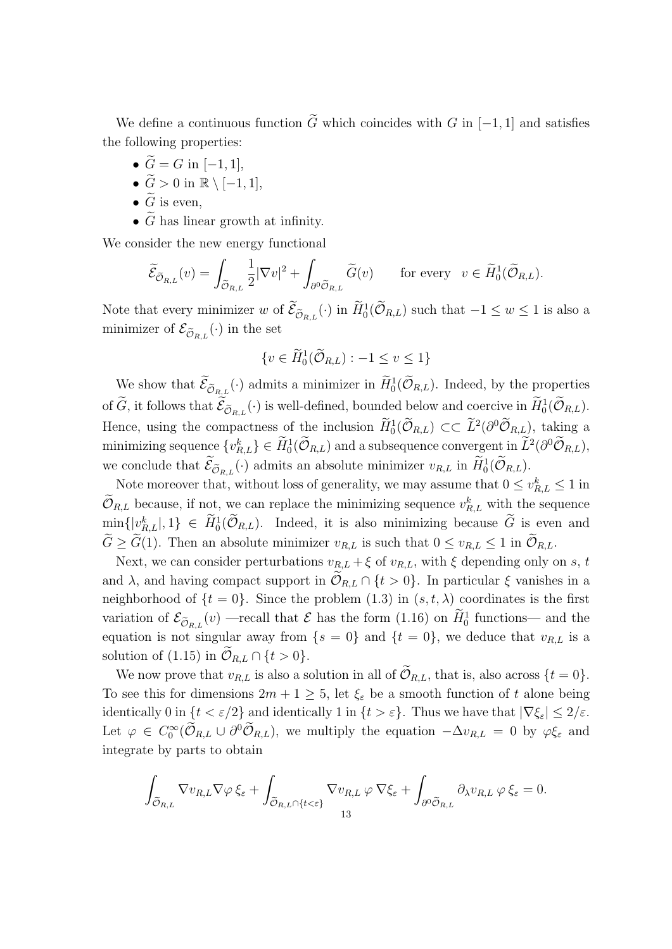We define a continuous function  $\tilde{G}$  which coincides with  $G$  in [−1, 1] and satisfies the following properties:

- $\widetilde{G} = G$  in [−1, 1],
- $\widetilde{G} > 0$  in  $\mathbb{R} \setminus [-1, 1],$
- $\widetilde{G}$  is even,
- $\tilde{G}$  has linear growth at infinity.

We consider the new energy functional

$$
\widetilde{\mathcal{E}}_{\widetilde{\mathcal{O}}_{R,L}}(v) = \int_{\widetilde{\mathcal{O}}_{R,L}} \frac{1}{2} |\nabla v|^2 + \int_{\partial^0 \widetilde{\mathcal{O}}_{R,L}} \widetilde{G}(v) \quad \text{for every} \quad v \in \widetilde{H}_0^1(\widetilde{\mathcal{O}}_{R,L}).
$$

Note that every minimizer *w* of  $\tilde{\mathcal{E}}_{\tilde{\mathcal{O}}_{R,L}}(\cdot)$  in  $\tilde{H}_0^1(\tilde{\mathcal{O}}_{R,L})$  such that  $-1 \leq w \leq 1$  is also a minimizer of  $\mathcal{E}_{\widetilde{\mathcal{O}}_{R,L}}(\cdot)$  in the set

$$
\{v \in \widetilde{H}_0^1(\widetilde{\mathcal{O}}_{R,L}) : -1 \le v \le 1\}
$$

We show that  $\mathcal{E}_{\tilde{\mathcal{O}}_{R,L}}(\cdot)$  admits a minimizer in  $H_0^1(\mathcal{O}_{R,L})$ . Indeed, by the properties of  $\tilde{G}$ , it follows that  $\mathcal{E}_{\tilde{\mathcal{O}}_{R,L}}(\cdot)$  is well-defined, bounded below and coercive in  $H_0^1(\mathcal{O}_{R,L})$ . Hence, using the compactness of the inclusion  $H_0^1(\mathcal{O}_{R,L}) \subset\subset L^2(\partial^0\mathcal{O}_{R,L})$ , taking a minimizing sequence  $\{v_{R,L}^k\} \in H_0^1(\mathcal{O}_{R,L})$  and a subsequence convergent in  $L^2(\partial^0 \mathcal{O}_{R,L}),$ we conclude that  $\mathcal{E}_{\tilde{\mathcal{O}}_{R,L}}(\cdot)$  admits an absolute minimizer  $v_{R,L}$  in  $H_0^1(\mathcal{O}_{R,L})$ .

Note moreover that, without loss of generality, we may assume that  $0 \le v_{R,L}^k \le 1$  in  $\mathcal{O}_{R,L}$  because, if not, we can replace the minimizing sequence  $v_{R,L}^k$  with the sequence  $\min\{|v_{R,L}^k|, 1\} \in H_0^1(\mathcal{O}_{R,L})$ . Indeed, it is also minimizing because  $\tilde{G}$  is even and  $\widetilde{G} \geq \widetilde{G}(1)$ . Then an absolute minimizer  $v_{R,L}$  is such that  $0 \leq v_{R,L} \leq 1$  in  $\widetilde{\mathcal{O}}_{R,L}$ .

Next, we can consider perturbations  $v_{R,L} + \xi$  of  $v_{R,L}$ , with  $\xi$  depending only on *s*, *t* and  $\lambda$ , and having compact support in  $\mathcal{O}_{R,L} \cap \{t > 0\}$ . In particular  $\xi$  vanishes in a neighborhood of  $\{t = 0\}$ . Since the problem  $(1.3)$  in  $(s, t, \lambda)$  coordinates is the first variation of  $\mathcal{E}_{\tilde{\mathcal{O}}_{R,L}}(v)$  —recall that  $\mathcal E$  has the form (1.16) on  $H_0^1$  functions— and the equation is not singular away from  $\{s = 0\}$  and  $\{t = 0\}$ , we deduce that  $v_{R,L}$  is a solution of  $(1.15)$  in  $\mathcal{O}_{R,L} \cap \{t > 0\}.$ 

We now prove that  $v_{R,L}$  is also a solution in all of  $\widetilde{\mathcal{O}}_{R,L}$ , that is, also across  $\{t=0\}$ . To see this for dimensions  $2m + 1 \geq 5$ , let  $\xi_{\varepsilon}$  be a smooth function of t alone being identically 0 in  $\{t < \varepsilon/2\}$  and identically 1 in  $\{t > \varepsilon\}$ . Thus we have that  $|\nabla \xi_{\varepsilon}| \leq 2/\varepsilon$ . Let  $\varphi \in C_0^{\infty}(\mathcal{O}_{R,L} \cup \partial^0 \mathcal{O}_{R,L})$ , we multiply the equation  $-\Delta v_{R,L} = 0$  by  $\varphi \xi_{\varepsilon}$  and integrate by parts to obtain

$$
\int_{\widetilde{\mathcal{O}}_{R,L}}\nabla v_{R,L}\nabla\varphi\,\xi_{\varepsilon}+\int_{\widetilde{\mathcal{O}}_{R,L}\cap\{t<\varepsilon\}}\nabla v_{R,L}\,\varphi\,\nabla\xi_{\varepsilon}+\int_{\partial^0\widetilde{\mathcal{O}}_{R,L}}\partial_{\lambda}v_{R,L}\,\varphi\,\xi_{\varepsilon}=0.
$$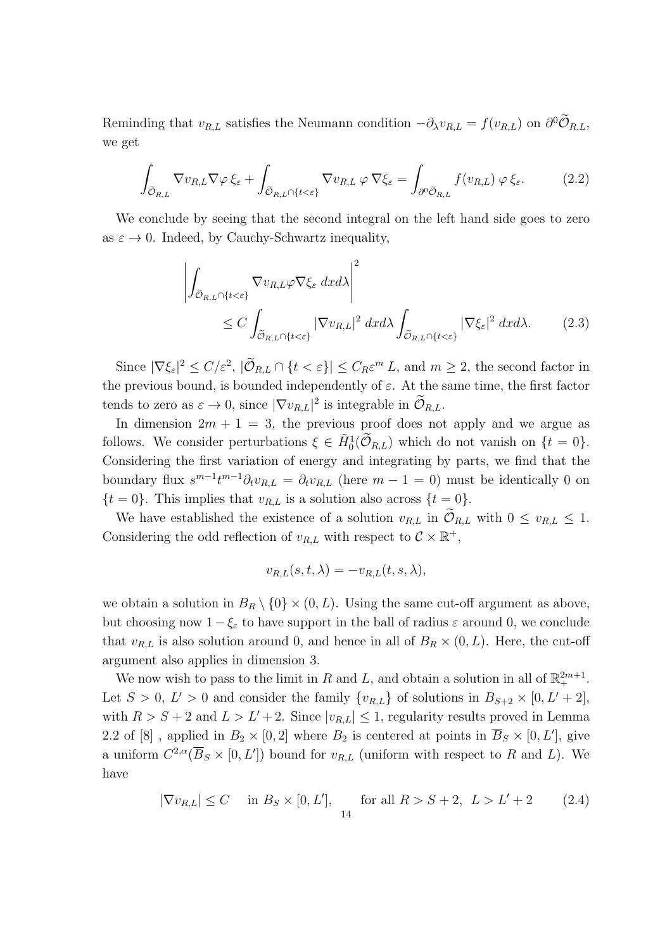Reminding that  $v_{R,L}$  satisfies the Neumann condition  $-\partial_{\lambda}v_{R,L} = f(v_{R,L})$  on  $\partial^{0}\mathcal{O}_{R,L}$ , we get

$$
\int_{\widetilde{\mathcal{O}}_{R,L}} \nabla v_{R,L} \nabla \varphi \, \xi_{\varepsilon} + \int_{\widetilde{\mathcal{O}}_{R,L} \cap \{t < \varepsilon\}} \nabla v_{R,L} \, \varphi \, \nabla \xi_{\varepsilon} = \int_{\partial^0 \widetilde{\mathcal{O}}_{R,L}} f(v_{R,L}) \, \varphi \, \xi_{\varepsilon}.\tag{2.2}
$$

We conclude by seeing that the second integral on the left hand side goes to zero as  $\varepsilon \to 0$ . Indeed, by Cauchy-Schwartz inequality,

$$
\left| \int_{\tilde{\mathcal{O}}_{R,L} \cap \{t < \varepsilon\}} \nabla v_{R,L} \varphi \nabla \xi_{\varepsilon} \, dx \, dx \right|^{2} \leq C \int_{\tilde{\mathcal{O}}_{R,L} \cap \{t < \varepsilon\}} |\nabla v_{R,L}|^{2} \, dx \, dx \int_{\tilde{\mathcal{O}}_{R,L} \cap \{t < \varepsilon\}} |\nabla \xi_{\varepsilon}|^{2} \, dx \, dx. \tag{2.3}
$$

Since  $|\nabla \xi_{\varepsilon}|^2 \le C/\varepsilon^2$ ,  $|\mathcal{O}_{R,L} \cap {\{t < \varepsilon\}}| \le C_R \varepsilon^m L$ , and  $m \ge 2$ , the second factor in the previous bound, is bounded independently of  $\varepsilon$ . At the same time, the first factor tends to zero as  $\varepsilon \to 0$ , since  $|\nabla v_{R,L}|^2$  is integrable in  $\mathcal{O}_{R,L}$ .

In dimension  $2m + 1 = 3$ , the previous proof does not apply and we argue as follows. We consider perturbations  $\xi \in \tilde{H}^1_0(\tilde{\mathcal{O}}_{R,L})$  which do not vanish on  $\{t=0\}$ . Considering the first variation of energy and integrating by parts, we find that the boundary flux  $s^{m-1}t^{m-1}\partial_t v_{R,L} = \partial_t v_{R,L}$  (here  $m-1=0$ ) must be identically 0 on  ${t = 0}$ . This implies that  $v_{R,L}$  is a solution also across  ${t = 0}$ .

We have established the existence of a solution  $v_{R,L}$  in  $\widetilde{\mathcal{O}}_{R,L}$  with  $0 \le v_{R,L} \le 1$ . Considering the odd reflection of  $v_{R,L}$  with respect to  $\mathcal{C} \times \mathbb{R}^+$ ,

$$
v_{R,L}(s,t,\lambda) = -v_{R,L}(t,s,\lambda),
$$

we obtain a solution in  $B_R \setminus \{0\} \times (0, L)$ . Using the same cut-off argument as above, but choosing now 1*−ξ<sup>ε</sup>* to have support in the ball of radius *ε* around 0, we conclude that  $v_{R,L}$  is also solution around 0, and hence in all of  $B_R \times (0, L)$ . Here, the cut-off argument also applies in dimension 3.

We now wish to pass to the limit in *R* and *L*, and obtain a solution in all of  $\mathbb{R}^{2m+1}_+$ . Let  $S > 0$ ,  $L' > 0$  and consider the family  $\{v_{R,L}\}\$  of solutions in  $B_{S+2} \times [0, L' + 2]$ , with  $R > S + 2$  and  $L > L' + 2$ . Since  $|v_{R,L}| \leq 1$ , regularity results proved in Lemma 2.2 of [8], applied in  $B_2 \times [0,2]$  where  $B_2$  is centered at points in  $\overline{B}_S \times [0,L']$ , give a uniform  $C^{2,\alpha}(\overline{B}_S\times[0,L'])$  bound for  $v_{R,L}$  (uniform with respect to R and L). We have

$$
|\nabla v_{R,L}| \le C \quad \text{in } B_S \times [0, L'], \quad \text{for all } R > S+2, \ L > L' + 2 \tag{2.4}
$$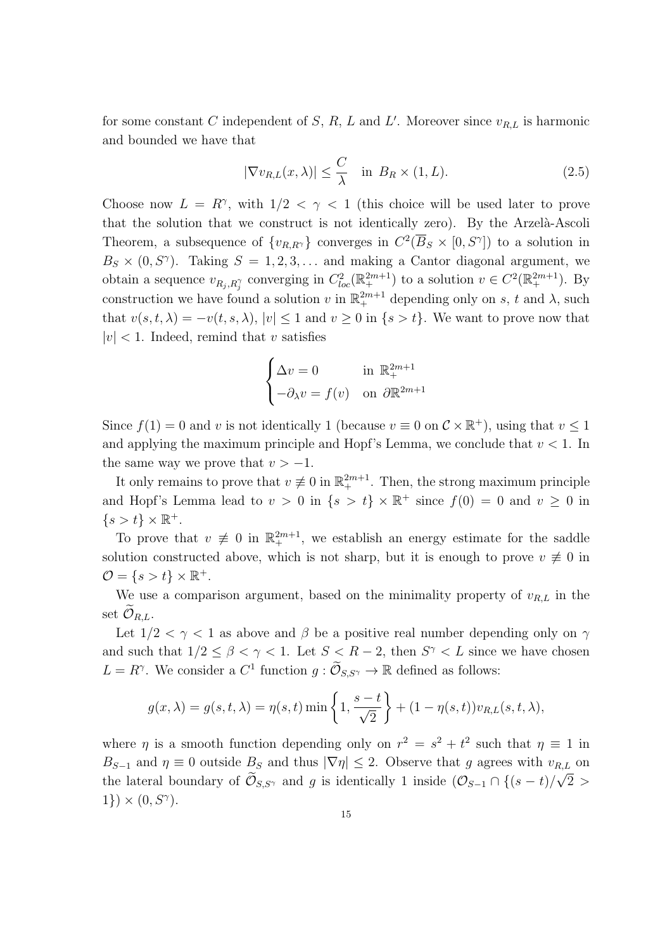for some constant *C* independent of *S*, *R*, *L* and *L'*. Moreover since  $v_{R,L}$  is harmonic and bounded we have that

$$
|\nabla v_{R,L}(x,\lambda)| \le \frac{C}{\lambda} \quad \text{in} \ B_R \times (1,L). \tag{2.5}
$$

Choose now  $L = R^{\gamma}$ , with  $1/2 < \gamma < 1$  (this choice will be used later to prove that the solution that we construct is not identically zero). By the Arzelà-Ascoli Theorem, a subsequence of  $\{v_{R,R} \}$  converges in  $C^2(\overline{B}_S \times [0, S^\gamma])$  to a solution in  $B_S \times (0, S^{\gamma})$ . Taking  $S = 1, 2, 3, \ldots$  and making a Cantor diagonal argument, we obtain a sequence  $v_{R_j, R_j^{\gamma}}$  converging in  $C_{loc}^2(\mathbb{R}^{2m+1}_+)$  to a solution  $v \in C^2(\mathbb{R}^{2m+1}_+)$ . By construction we have found a solution *v* in  $\mathbb{R}^{2m+1}$  depending only on *s*, *t* and  $\lambda$ , such that  $v(s, t, \lambda) = -v(t, s, \lambda)$ ,  $|v| \leq 1$  and  $v \geq 0$  in  $\{s > t\}$ . We want to prove now that  $|v|$  < 1. Indeed, remind that *v* satisfies

$$
\begin{cases} \Delta v = 0 & \text{in } \mathbb{R}^{2m+1}_+ \\ -\partial_{\lambda} v = f(v) & \text{on } \partial \mathbb{R}^{2m+1} \end{cases}
$$

Since  $f(1) = 0$  and *v* is not identically 1 (because  $v \equiv 0$  on  $\mathcal{C} \times \mathbb{R}^+$ ), using that  $v \le 1$ and applying the maximum principle and Hopf's Lemma, we conclude that  $v < 1$ . In the same way we prove that  $v > -1$ .

It only remains to prove that  $v \neq 0$  in  $\mathbb{R}^{2m+1}_+$ . Then, the strong maximum principle and Hopf's Lemma lead to  $v > 0$  in  $\{s > t\} \times \mathbb{R}^+$  since  $f(0) = 0$  and  $v \ge 0$  in  $\{s > t\} \times \mathbb{R}^+.$ 

To prove that  $v \neq 0$  in  $\mathbb{R}^{2m+1}_+$ , we establish an energy estimate for the saddle solution constructed above, which is not sharp, but it is enough to prove  $v \neq 0$  in  $\mathcal{O} = \{s > t\} \times \mathbb{R}^+.$ 

We use a comparison argument, based on the minimality property of  $v_{R,L}$  in the set  $\mathcal{O}_{R,L}$ .

Let  $1/2 < \gamma < 1$  as above and  $\beta$  be a positive real number depending only on  $\gamma$ and such that  $1/2 \leq \beta < \gamma < 1$ . Let  $S < R-2$ , then  $S^{\gamma} < L$  since we have chosen  $L = R^{\gamma}$ . We consider a  $C^1$  function  $g: \mathcal{O}_{S,S^{\gamma}} \to \mathbb{R}$  defined as follows:

$$
g(x,\lambda) = g(s,t,\lambda) = \eta(s,t) \min\left\{1, \frac{s-t}{\sqrt{2}}\right\} + (1-\eta(s,t))v_{R,L}(s,t,\lambda),
$$

where *η* is a smooth function depending only on  $r^2 = s^2 + t^2$  such that  $\eta \equiv 1$  in  $B_{S-1}$  and  $\eta \equiv 0$  outside  $B_S$  and thus  $|\nabla \eta| \leq 2$ . Observe that *g* agrees with  $v_{R,L}$  on the lateral boundary of  $\mathcal{O}_{S,S}$ <sup>*γ*</sup> and *g* is identically 1 inside  $(\mathcal{O}_{S-1} \cap \{(s-t)/\sqrt{2} >$  $1$ })  $\times$   $(0, S^{\gamma})$ .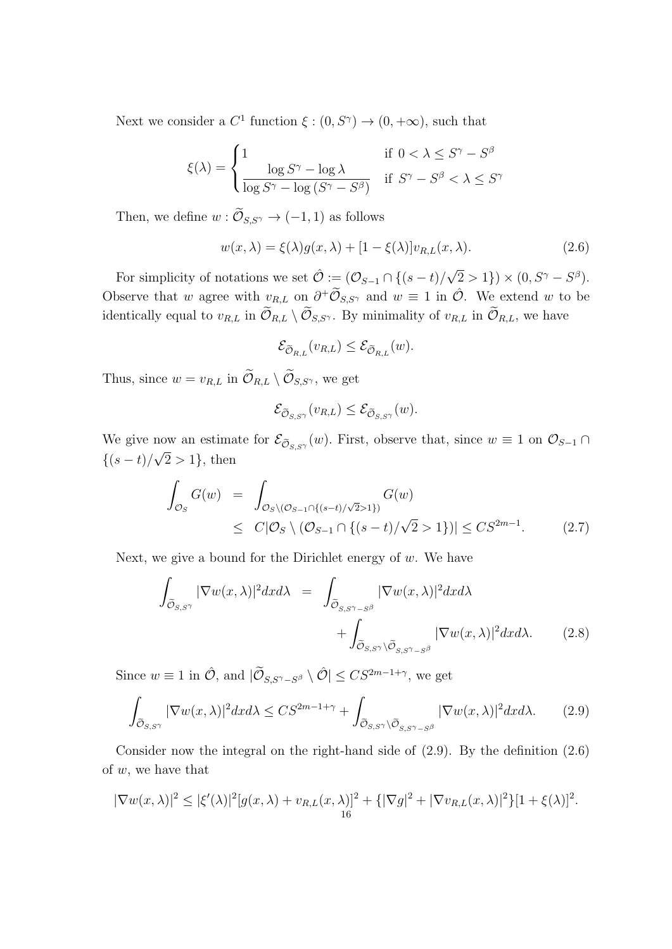Next we consider a  $C^1$  function  $\xi : (0, S^{\gamma}) \to (0, +\infty)$ , such that

$$
\xi(\lambda) = \begin{cases} 1 & \text{if } 0 < \lambda \le S^\gamma - S^\beta \\ \frac{\log S^\gamma - \log \lambda}{\log S^\gamma - \log \left( S^\gamma - S^\beta \right)} & \text{if } S^\gamma - S^\beta < \lambda \le S^\gamma \end{cases}
$$

Then, we define  $w : \widetilde{\mathcal{O}}_{S,S^{\gamma}} \to (-1,1)$  as follows

$$
w(x,\lambda) = \xi(\lambda)g(x,\lambda) + [1 - \xi(\lambda)]v_{R,L}(x,\lambda).
$$
\n(2.6)

For simplicity of notations we set  $\hat{\mathcal{O}} := (\mathcal{O}_{S-1} \cap \{(s-t)/\sqrt{S}\})$  $(2 > 1)$ ) ×  $(0, S^{\gamma} - S^{\beta})$ . Observe that *w* agree with  $v_{R,L}$  on  $\partial^+\widetilde{\mathcal{O}}_{S,S^{\gamma}}$  and  $w \equiv 1$  in  $\hat{\mathcal{O}}$ . We extend *w* to be identically equal to  $v_{R,L}$  in  $\widetilde{\mathcal{O}}_{R,L} \setminus \widetilde{\mathcal{O}}_{S,S}$ *γ*. By minimality of  $v_{R,L}$  in  $\widetilde{\mathcal{O}}_{R,L}$ , we have

$$
\mathcal{E}_{\widetilde{\mathcal{O}}_{R,L}}(v_{R,L}) \leq \mathcal{E}_{\widetilde{\mathcal{O}}_{R,L}}(w).
$$

Thus, since  $w = v_{R,L}$  in  $\widetilde{\mathcal{O}}_{R,L} \setminus \widetilde{\mathcal{O}}_{S,S^{\gamma}}$ , we get

$$
\mathcal{E}_{\widetilde{\mathcal{O}}_{S,S^{\gamma}}}(v_{R,L}) \leq \mathcal{E}_{\widetilde{\mathcal{O}}_{S,S^{\gamma}}}(w).
$$

We give now an estimate for  $\mathcal{E}_{\tilde{\mathcal{O}}_{S,S}^{\gamma}}(w)$ . First, observe that, since  $w \equiv 1$  on  $\mathcal{O}_{S-1} \cap$ *{*(*s − t*)*/* 2 *>* 1*}*, then

$$
\int_{\mathcal{O}_S} G(w) = \int_{\mathcal{O}_S \setminus (\mathcal{O}_{S-1} \cap \{(s-t)/\sqrt{2} > 1\})} G(w)
$$
\n
$$
\leq C|\mathcal{O}_S \setminus (\mathcal{O}_{S-1} \cap \{(s-t)/\sqrt{2} > 1\})| \leq CS^{2m-1}.
$$
\n(2.7)

Next, we give a bound for the Dirichlet energy of *w*. We have

$$
\int_{\tilde{\mathcal{O}}_{S,S\gamma}} |\nabla w(x,\lambda)|^2 dx d\lambda = \int_{\tilde{\mathcal{O}}_{S,S\gamma-S^{\beta}}} |\nabla w(x,\lambda)|^2 dx d\lambda + \int_{\tilde{\mathcal{O}}_{S,S\gamma}\backslash\tilde{\mathcal{O}}_{S,S\gamma-S^{\beta}}} |\nabla w(x,\lambda)|^2 dx d\lambda.
$$
 (2.8)

Since  $w \equiv 1$  in  $\hat{\mathcal{O}}$ , and  $|\widetilde{\mathcal{O}}_{S,S^{\gamma}-S^{\beta}} \setminus \hat{\mathcal{O}}| \leq CS^{2m-1+\gamma}$ , we get

$$
\int_{\widetilde{\mathcal{O}}_{S,S^{\gamma}}} |\nabla w(x,\lambda)|^2 dx d\lambda \leq C S^{2m-1+\gamma} + \int_{\widetilde{\mathcal{O}}_{S,S^{\gamma}}\backslash \widetilde{\mathcal{O}}_{S,S^{\gamma}-S^{\beta}}} |\nabla w(x,\lambda)|^2 dx d\lambda. \tag{2.9}
$$

Consider now the integral on the right-hand side of (2.9). By the definition (2.6) of *w*, we have that

$$
|\nabla w(x,\lambda)|^2 \leq |\xi'(\lambda)|^2 [g(x,\lambda) + v_{R,L}(x,\lambda)]^2 + \{|\nabla g|^2 + |\nabla v_{R,L}(x,\lambda)|^2\} [1 + \xi(\lambda)]^2.
$$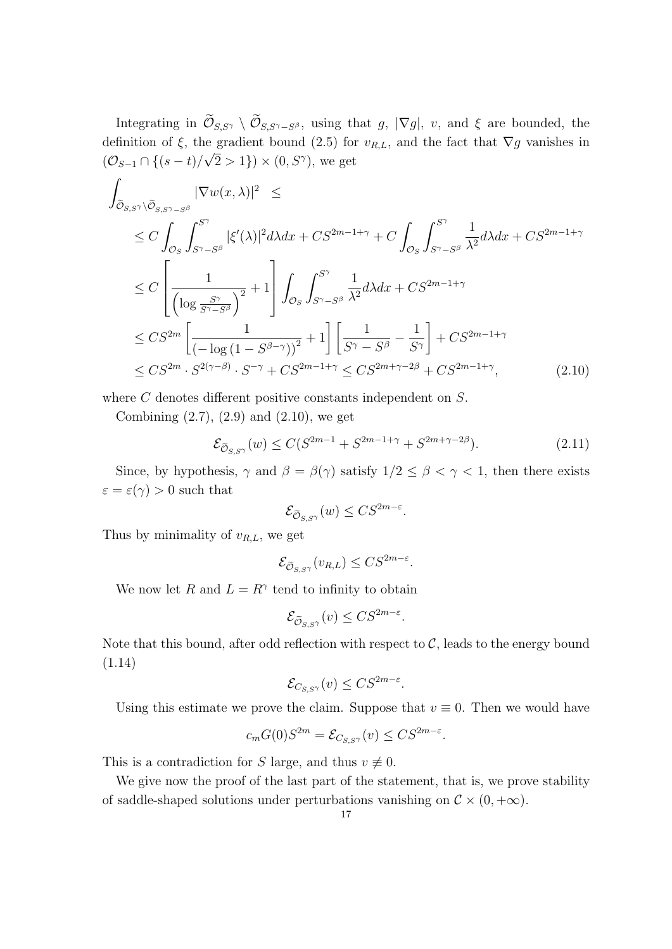Integrating in  $\mathcal{O}_{S,S^{\gamma}} \setminus \mathcal{O}_{S,S^{\gamma}-S^{\beta}}$ , using that *g*,  $|\nabla g|$ , *v*, and  $\xi$  are bounded, the definition of  $\xi$ , the gradient bound (2.5) for  $v_{R,L}$ , and the fact that  $\nabla g$  vanishes in  $(\mathcal{O}_{S-1} \cap \{(s-t)/\sqrt{2} > 1\}) \times (0, S^{\gamma})$ , we get

$$
\int_{\tilde{\mathcal{O}}_{S,S}\gamma\backslash\tilde{\mathcal{O}}_{S,S}\gamma-S^{\beta}} |\nabla w(x,\lambda)|^{2} \leq
$$
\n
$$
\leq C \int_{\mathcal{O}_{S}} \int_{S^{\gamma}-S^{\beta}}^{S^{\gamma}} |\xi'(\lambda)|^{2} d\lambda dx + CS^{2m-1+\gamma} + C \int_{\mathcal{O}_{S}} \int_{S^{\gamma}-S^{\beta}}^{S^{\gamma}} \frac{1}{\lambda^{2}} d\lambda dx + CS^{2m-1+\gamma}
$$
\n
$$
\leq C \left[ \frac{1}{\left(\log \frac{S^{\gamma}}{S^{\gamma}-S^{\beta}}\right)^{2}} + 1 \right] \int_{\mathcal{O}_{S}} \int_{S^{\gamma}-S^{\beta}}^{S^{\gamma}} \frac{1}{\lambda^{2}} d\lambda dx + CS^{2m-1+\gamma}
$$
\n
$$
\leq CS^{2m} \left[ \frac{1}{\left(-\log\left(1-S^{\beta-\gamma}\right)\right)^{2}} + 1 \right] \left[ \frac{1}{S^{\gamma}-S^{\beta}} - \frac{1}{S^{\gamma}} \right] + CS^{2m-1+\gamma}
$$
\n
$$
\leq CS^{2m} \cdot S^{2(\gamma-\beta)} \cdot S^{-\gamma} + CS^{2m-1+\gamma} \leq CS^{2m+\gamma-2\beta} + CS^{2m-1+\gamma}, \tag{2.10}
$$

where *C* denotes different positive constants independent on *S*.

Combining  $(2.7), (2.9)$  and  $(2.10),$  we get

$$
\mathcal{E}_{\widetilde{\mathcal{O}}_{S,S^{\gamma}}}(w) \le C(S^{2m-1} + S^{2m-1+\gamma} + S^{2m+\gamma-2\beta}).\tag{2.11}
$$

Since, by hypothesis,  $\gamma$  and  $\beta = \beta(\gamma)$  satisfy  $1/2 \leq \beta < \gamma < 1$ , then there exists  $\varepsilon = \varepsilon(\gamma) > 0$  such that

$$
\mathcal{E}_{\widetilde{\mathcal{O}}_{S,S^{\gamma}}}(w) \leq C S^{2m-\varepsilon}.
$$

Thus by minimality of *vR,L*, we get

$$
\mathcal{E}_{\widetilde{\mathcal{O}}_{S,S^{\gamma}}}(v_{R,L}) \leq C S^{2m-\varepsilon}.
$$

We now let *R* and  $L = R^{\gamma}$  tend to infinity to obtain

$$
\mathcal{E}_{\widetilde{\mathcal{O}}_{S,S^{\gamma}}}(v) \leq C S^{2m-\varepsilon}.
$$

Note that this bound, after odd reflection with respect to  $C$ , leads to the energy bound (1.14)

$$
\mathcal{E}_{C_{S,S\gamma}}(v) \leq C S^{2m-\varepsilon}.
$$

Using this estimate we prove the claim. Suppose that  $v \equiv 0$ . Then we would have

$$
c_m G(0)S^{2m} = \mathcal{E}_{C_{S,S}(\gamma)}(v) \leq C S^{2m-\varepsilon}.
$$

This is a contradiction for *S* large, and thus  $v \neq 0$ .

We give now the proof of the last part of the statement, that is, we prove stability of saddle-shaped solutions under perturbations vanishing on  $\mathcal{C} \times (0, +\infty)$ .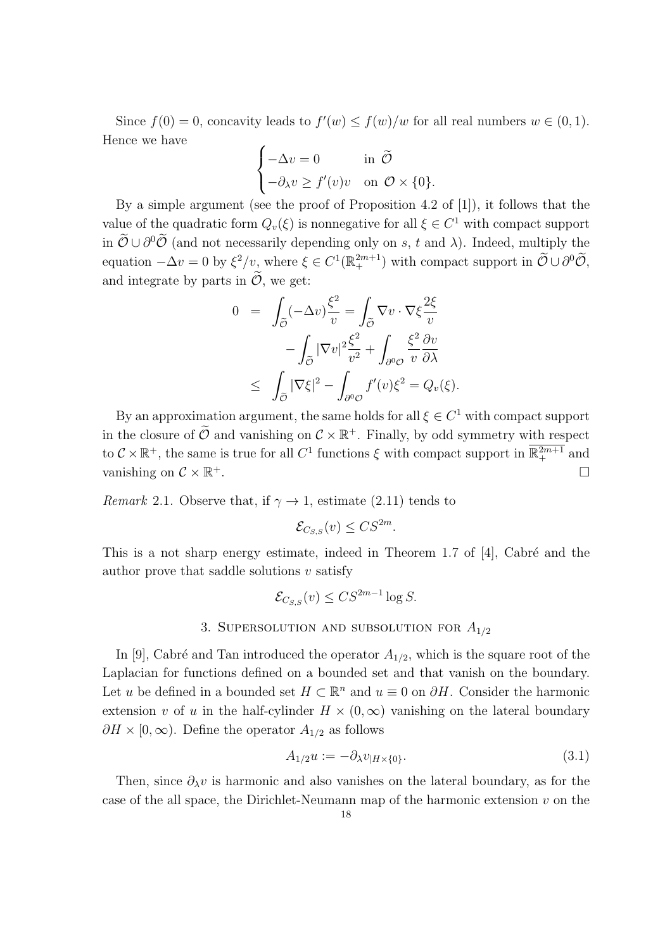Since  $f(0) = 0$ , concavity leads to  $f'(w) \le f(w)/w$  for all real numbers  $w \in (0,1)$ . Hence we have

$$
\begin{cases}\n-\Delta v = 0 & \text{in } \tilde{\mathcal{O}} \\
-\partial_{\lambda} v \ge f'(v)v & \text{on } \mathcal{O} \times \{0\}.\n\end{cases}
$$

By a simple argument (see the proof of Proposition 4.2 of [1]), it follows that the value of the quadratic form  $Q_v(\xi)$  is nonnegative for all  $\xi \in C^1$  with compact support in  $\mathcal{O} \cup \partial^0 \mathcal{O}$  (and not necessarily depending only on *s*, *t* and  $\lambda$ ). Indeed, multiply the equation  $-\Delta v = 0$  by  $\xi^2/v$ , where  $\xi \in C^1(\mathbb{R}^{2m+1}_+)$  with compact support in  $\widetilde{\mathcal{O}} \cup \partial^0 \widetilde{\mathcal{O}}$ , and integrate by parts in  $\tilde{\mathcal{O}}$ , we get:

$$
0 = \int_{\tilde{\mathcal{O}}} (-\Delta v) \frac{\xi^2}{v} = \int_{\tilde{\mathcal{O}}} \nabla v \cdot \nabla \xi \frac{2\xi}{v} - \int_{\tilde{\mathcal{O}}} |\nabla v|^2 \frac{\xi^2}{v^2} + \int_{\partial^0 \mathcal{O}} \frac{\xi^2}{v} \frac{\partial v}{\partial \lambda} \leq \int_{\tilde{\mathcal{O}}} |\nabla \xi|^2 - \int_{\partial^0 \mathcal{O}} f'(v) \xi^2 = Q_v(\xi).
$$

By an approximation argument, the same holds for all  $\xi \in C^1$  with compact support in the closure of  $\mathcal{O}$  and vanishing on  $\mathcal{C} \times \mathbb{R}^+$ . Finally, by odd symmetry with respect to  $\mathcal{C} \times \mathbb{R}^+$ , the same is true for all  $C^1$  functions  $\xi$  with compact support in  $\mathbb{R}^{2m+1}_+$  and vanishing on  $\mathcal{C} \times \mathbb{R}^+$ .  $+$ .  $\Box$ 

*Remark* 2.1. Observe that, if  $\gamma \rightarrow 1$ , estimate (2.11) tends to

$$
\mathcal{E}_{C_{S,S}}(v) \leq C S^{2m}.
$$

This is a not sharp energy estimate, indeed in Theorem 1.7 of  $[4]$ , Cabré and the author prove that saddle solutions *v* satisfy

$$
\mathcal{E}_{C_{S,S}}(v) \leq C S^{2m-1} \log S.
$$

## 3. Supersolution and subsolution for *A*1*/*<sup>2</sup>

In [9], Cabré and Tan introduced the operator  $A_{1/2}$ , which is the square root of the Laplacian for functions defined on a bounded set and that vanish on the boundary. Let *u* be defined in a bounded set  $H \subset \mathbb{R}^n$  and  $u \equiv 0$  on  $\partial H$ . Consider the harmonic extension *v* of *u* in the half-cylinder  $H \times (0, \infty)$  vanishing on the lateral boundary  $\partial H \times [0, \infty)$ . Define the operator  $A_{1/2}$  as follows

$$
A_{1/2}u := -\partial_{\lambda}v_{|H\times\{0\}}.\tag{3.1}
$$

Then, since  $\partial_{\lambda}v$  is harmonic and also vanishes on the lateral boundary, as for the case of the all space, the Dirichlet-Neumann map of the harmonic extension *v* on the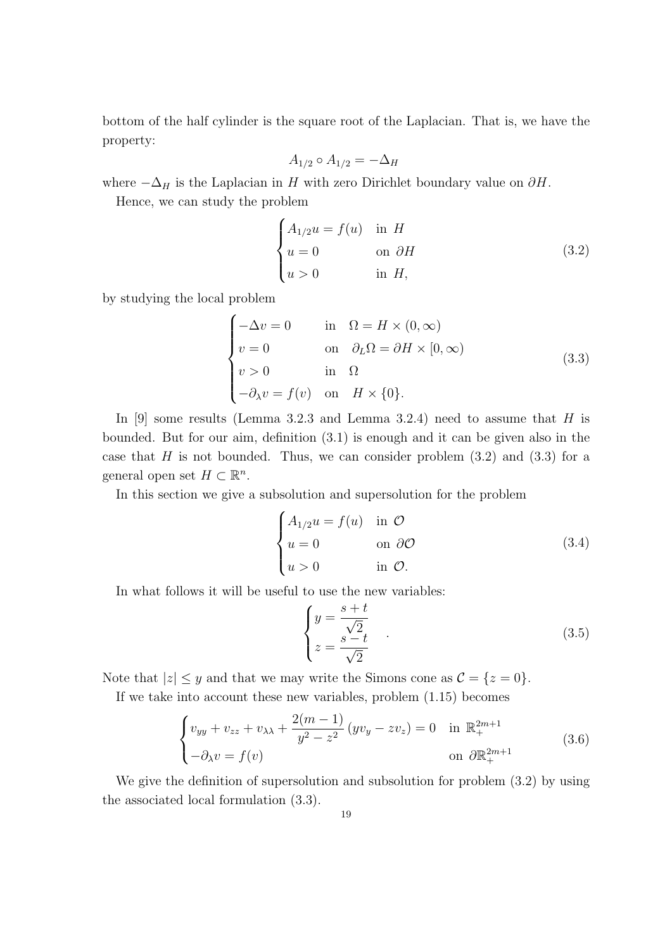bottom of the half cylinder is the square root of the Laplacian. That is, we have the property:

$$
A_{1/2} \circ A_{1/2} = -\Delta_H
$$

where  $-\Delta_H$  is the Laplacian in *H* with zero Dirichlet boundary value on  $\partial H$ .

Hence, we can study the problem

$$
\begin{cases}\nA_{1/2}u = f(u) & \text{in } H \\
u = 0 & \text{on } \partial H \\
u > 0 & \text{in } H,\n\end{cases}
$$
\n(3.2)

by studying the local problem

$$
\begin{cases}\n-\Delta v = 0 & \text{in } \Omega = H \times (0, \infty) \\
v = 0 & \text{on } \partial_L \Omega = \partial H \times [0, \infty) \\
v > 0 & \text{in } \Omega \\
-\partial_{\lambda} v = f(v) & \text{on } H \times \{0\}.\n\end{cases}
$$
\n(3.3)

In [9] some results (Lemma 3.2.3 and Lemma 3.2.4) need to assume that *H* is bounded. But for our aim, definition (3.1) is enough and it can be given also in the case that  $H$  is not bounded. Thus, we can consider problem  $(3.2)$  and  $(3.3)$  for a general open set  $H \subset \mathbb{R}^n$ .

In this section we give a subsolution and supersolution for the problem

$$
\begin{cases}\nA_{1/2}u = f(u) & \text{in } \mathcal{O} \\
u = 0 & \text{on } \partial\mathcal{O} \\
u > 0 & \text{in } \mathcal{O}.\n\end{cases}
$$
\n(3.4)

In what follows it will be useful to use the new variables:

$$
\begin{cases}\n y = \frac{s+t}{\sqrt{2}} \\
 z = \frac{s-t}{\sqrt{2}}\n \end{cases} (3.5)
$$

Note that  $|z| \leq y$  and that we may write the Simons cone as  $\mathcal{C} = \{z = 0\}.$ 

If we take into account these new variables, problem (1*.*15) becomes

$$
\begin{cases}\nv_{yy} + v_{zz} + v_{\lambda\lambda} + \frac{2(m-1)}{y^2 - z^2} (yv_y - zv_z) = 0 & \text{in } \mathbb{R}_+^{2m+1} \\
-\partial_{\lambda} v = f(v) & \text{on } \partial \mathbb{R}_+^{2m+1}\n\end{cases}
$$
\n(3.6)

We give the definition of supersolution and subsolution for problem (3.2) by using the associated local formulation (3.3).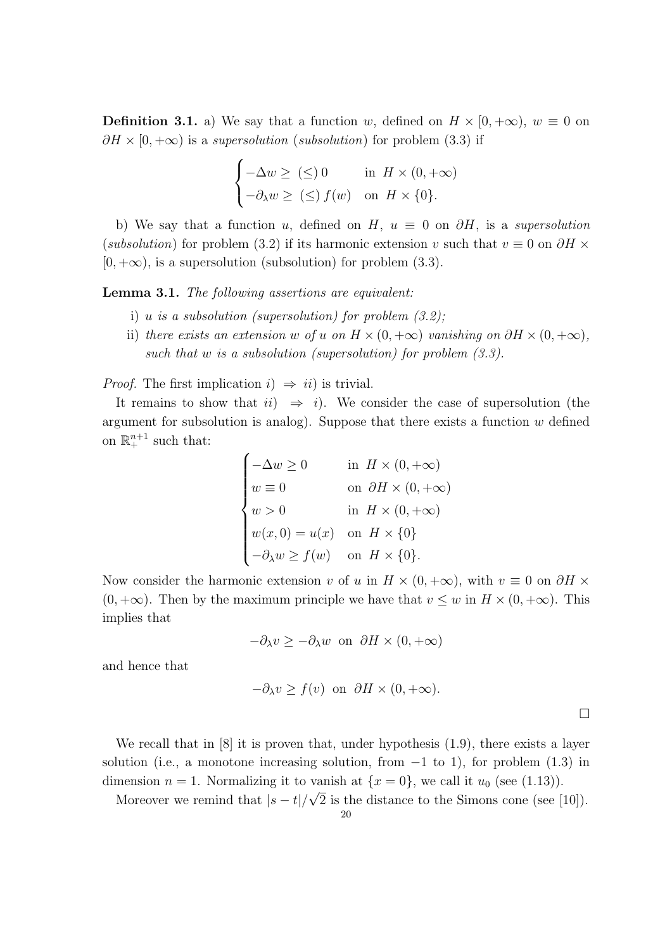**Definition 3.1.** a) We say that a function *w*, defined on  $H \times [0, +\infty)$ ,  $w \equiv 0$  on  $\partial H \times [0, +\infty)$  is a *supersolution* (*subsolution*) for problem (3.3) if

$$
\begin{cases}\n-\Delta w \ge (\le) 0 & \text{in } H \times (0, +\infty) \\
-\partial_{\lambda} w \ge (\le) f(w) & \text{on } H \times \{0\}.\n\end{cases}
$$

b) We say that a function *u*, defined on *H*,  $u \equiv 0$  on  $\partial H$ , is a *supersolution* (*subsolution*) for problem (3.2) if its harmonic extension *v* such that  $v \equiv 0$  on  $\partial H \times$  $[0, +\infty)$ , is a supersolution (subsolution) for problem  $(3.3)$ .

**Lemma 3.1.** *The following assertions are equivalent:*

- i) *u is a subsolution (supersolution) for problem (3.2);*
- ii) *there exists an extension w of u on*  $H \times (0, +\infty)$  *vanishing on*  $\partial H \times (0, +\infty)$ , *such that w is a subsolution (supersolution) for problem (3.3).*

*Proof.* The first implication  $i$ )  $\Rightarrow ii$  is trivial.

It remains to show that  $ii) \Rightarrow i$ ). We consider the case of supersolution (the argument for subsolution is analog). Suppose that there exists a function *w* defined on  $\mathbb{R}^{n+1}_+$  such that:

$$
\begin{cases}\n-\Delta w \ge 0 & \text{in } H \times (0, +\infty) \\
w \equiv 0 & \text{on } \partial H \times (0, +\infty) \\
w > 0 & \text{in } H \times (0, +\infty) \\
w(x, 0) = u(x) & \text{on } H \times \{0\} \\
-\partial_{\lambda} w \ge f(w) & \text{on } H \times \{0\}.\n\end{cases}
$$

Now consider the harmonic extension *v* of *u* in  $H \times (0, +\infty)$ , with  $v \equiv 0$  on  $\partial H \times$  $(0, +\infty)$ . Then by the maximum principle we have that  $v \leq w$  in  $H \times (0, +\infty)$ . This implies that

$$
-\partial_{\lambda}v \ge -\partial_{\lambda}w \text{ on } \partial H \times (0, +\infty)
$$

and hence that

$$
-\partial_{\lambda}v \ge f(v) \text{ on } \partial H \times (0, +\infty).
$$

We recall that in [8] it is proven that, under hypothesis (1.9), there exists a layer solution (i.e., a monotone increasing solution, from *−*1 to 1), for problem (1.3) in dimension  $n = 1$ . Normalizing it to vanish at  $\{x = 0\}$ , we call it  $u_0$  (see (1.13)). *√*

Moreover we remind that  $|s-t|/$ 2 is the distance to the Simons cone (see [10]).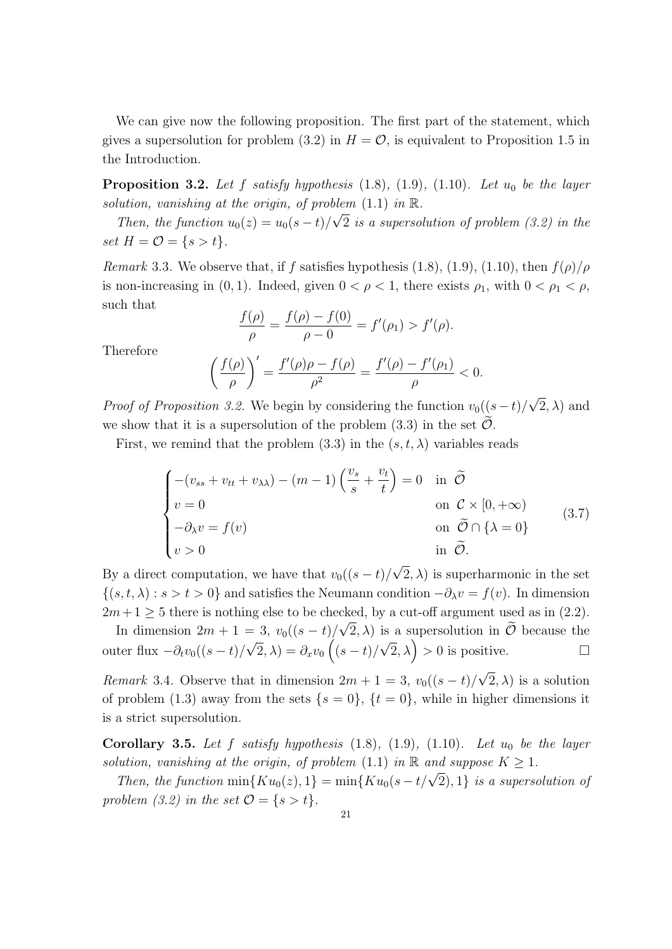We can give now the following proposition. The first part of the statement, which gives a supersolution for problem (3.2) in  $H = \mathcal{O}$ , is equivalent to Proposition 1.5 in the Introduction.

**Proposition 3.2.** Let f satisfy hypothesis  $(1.8)$ ,  $(1.9)$ ,  $(1.10)$ *. Let*  $u_0$  *be the layer solution, vanishing at the origin, of problem*  $(1.1)$  *in*  $\mathbb{R}$ *.* 

*Then, the function*  $u_0(z) = u_0(s-t)/\sqrt{2}$  *is a supersolution of problem (3.2) in the set*  $H = \mathcal{O} = \{ s > t \}.$ 

*Remark* 3.3*.* We observe that, if *f* satisfies hypothesis (1.8), (1.9), (1.10), then  $f(\rho)/\rho$ is non-increasing in (0, 1). Indeed, given  $0 < \rho < 1$ , there exists  $\rho_1$ , with  $0 < \rho_1 < \rho$ , such that

$$
\frac{f(\rho)}{\rho} = \frac{f(\rho) - f(0)}{\rho - 0} = f'(\rho_1) > f'(\rho).
$$

Therefore

$$
\left(\frac{f(\rho)}{\rho}\right)' = \frac{f'(\rho)\rho - f(\rho)}{\rho^2} = \frac{f'(\rho) - f'(\rho_1)}{\rho} < 0.
$$

*Proof of Proposition 3.2.* We begin by considering the function  $v_0((s-t)/$ *√* 2*, λ*) and we show that it is a supersolution of the problem  $(3.3)$  in the set  $\tilde{\mathcal{O}}$ .

First, we remind that the problem  $(3.3)$  in the  $(s, t, \lambda)$  variables reads

$$
\begin{cases}\n-(v_{ss} + v_{tt} + v_{\lambda\lambda}) - (m-1) \left(\frac{v_s}{s} + \frac{v_t}{t}\right) = 0 & \text{in } \tilde{\mathcal{O}} \\
v = 0 & \text{on } \mathcal{C} \times [0, +\infty) \\
-\partial_{\lambda} v = f(v) & \text{on } \tilde{\mathcal{O}} \cap \{\lambda = 0\} \\
v > 0 & \text{in } \tilde{\mathcal{O}}.\n\end{cases}
$$
\n(3.7)

By a direct computation, we have that  $v_0((s-t)/$  $(2, \lambda)$  is superharmonic in the set *{*(*s, t, λ*) : *s > t >* 0*}* and satisfies the Neumann condition *−∂λv* = *f*(*v*). In dimension  $2m+1 \geq 5$  there is nothing else to be checked, by a cut-off argument used as in (2.2).

In dimension  $2m + 1 = 3$ ,  $v_0((s - t)/\sqrt{2}, \lambda)$  is a supersolution in  $\mathcal O$  because the outer flux *−∂tv*0((*s − t*)*/ √*  $\overline{2}, \lambda) = \partial_x v_0 \left( (s-t) / \frac{1}{s} \right)$  $\sqrt{2}$ ,  $\lambda$ ) > 0 is positive. *√*

*Remark* 3.4*.* Observe that in dimension  $2m + 1 = 3$ ,  $v_0((s - t)/$  $(2, \lambda)$  is a solution of problem (1.3) away from the sets  $\{s = 0\}$ ,  $\{t = 0\}$ , while in higher dimensions it is a strict supersolution.

**Corollary 3.5.** Let f satisfy hypothesis  $(1.8)$ ,  $(1.9)$ ,  $(1.10)$ *. Let*  $u_0$  *be the layer solution, vanishing at the origin, of problem* (1.1) *in*  $\mathbb{R}$  *and suppose*  $K \geq 1$ *.* 

*Then, the function*  $\min\{Ku_0(z), 1\} = \min\{Ku_0(s - t/\sqrt{2}), 1\}$  *is a supersolution of problem* (3.2) *in the set*  $O = \{s > t\}$ *.*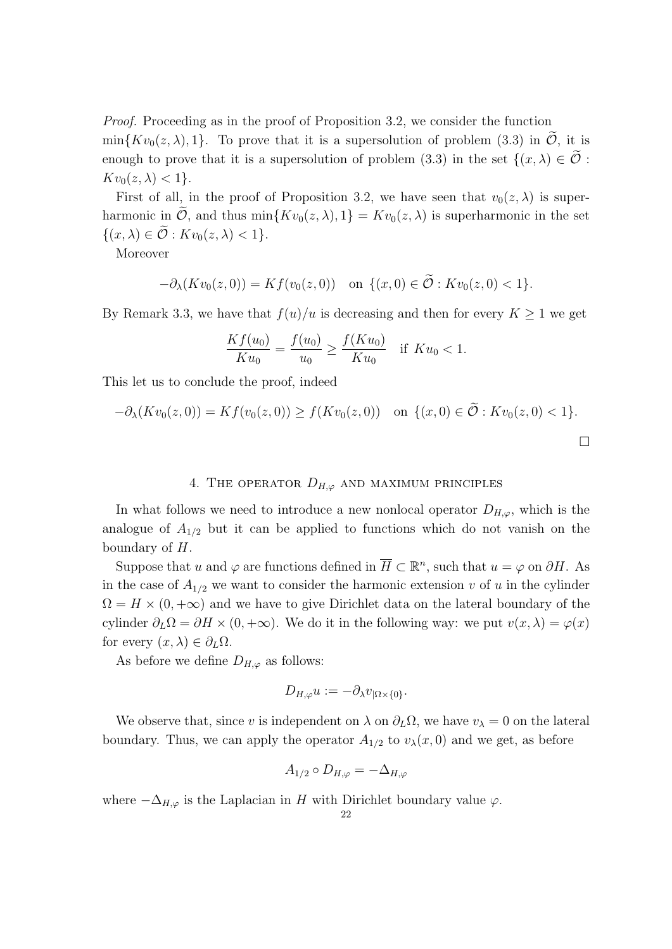*Proof.* Proceeding as in the proof of Proposition 3.2, we consider the function  $\min\{Kv_0(z,\lambda),1\}$ . To prove that it is a supersolution of problem (3.3) in *O*, it is enough to prove that it is a supersolution of problem (3.3) in the set  $\{(x, \lambda) \in \tilde{\mathcal{O}} :$  $Kv_0(z,\lambda) < 1$ .

First of all, in the proof of Proposition 3.2, we have seen that  $v_0(z, \lambda)$  is superharmonic in  $\mathcal{O}$ , and thus min $\{Kv_0(z,\lambda),1\} = Kv_0(z,\lambda)$  is superharmonic in the set  $\{(x, \lambda) \in \mathcal{O} : Kv_0(z, \lambda) < 1\}.$ 

Moreover

$$
-\partial_{\lambda}(Kv_0(z,0)) = Kf(v_0(z,0)) \text{ on } \{(x,0) \in \mathcal{O} : Kv_0(z,0) < 1\}.
$$

By Remark 3.3, we have that  $f(u)/u$  is decreasing and then for every  $K \geq 1$  we get

$$
\frac{Kf(u_0)}{Ku_0} = \frac{f(u_0)}{u_0} \ge \frac{f(Ku_0)}{Ku_0} \quad \text{if } Ku_0 < 1.
$$

This let us to conclude the proof, indeed

$$
-\partial_{\lambda}(Kv_0(z,0)) = Kf(v_0(z,0)) \ge f(Kv_0(z,0)) \quad \text{on } \{(x,0) \in \mathcal{O} : Kv_0(z,0) < 1\}.
$$

### 4. THE OPERATOR  $D_{H,\varphi}$  and maximum principles

In what follows we need to introduce a new nonlocal operator  $D_{H,\varphi}$ , which is the analogue of  $A_{1/2}$  but it can be applied to functions which do not vanish on the boundary of *H*.

Suppose that *u* and  $\varphi$  are functions defined in  $\overline{H} \subset \mathbb{R}^n$ , such that  $u = \varphi$  on  $\partial H$ . As in the case of  $A_{1/2}$  we want to consider the harmonic extension *v* of *u* in the cylinder  $\Omega = H \times (0, +\infty)$  and we have to give Dirichlet data on the lateral boundary of the cylinder  $\partial_L \Omega = \partial H \times (0, +\infty)$ . We do it in the following way: we put  $v(x, \lambda) = \varphi(x)$ for every  $(x, \lambda) \in \partial_L \Omega$ .

As before we define  $D_{H,\varphi}$  as follows:

$$
D_{H,\varphi}u:=-\partial_{\lambda}v_{|\Omega\times\{0\}}.
$$

We observe that, since *v* is independent on  $\lambda$  on  $\partial_L\Omega$ , we have  $v_\lambda = 0$  on the lateral boundary. Thus, we can apply the operator  $A_{1/2}$  to  $v_{\lambda}(x,0)$  and we get, as before

$$
A_{1/2} \circ D_{H,\varphi} = -\Delta_{H,\varphi}
$$

where  $-\Delta_{H,\varphi}$  is the Laplacian in *H* with Dirichlet boundary value  $\varphi$ .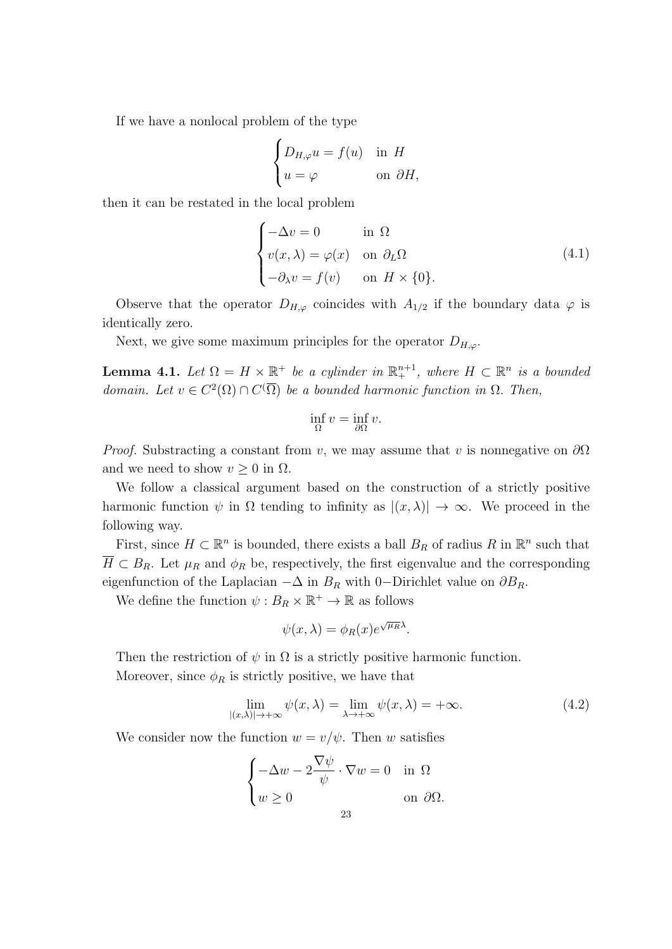If we have a nonlocal problem of the type

$$
\begin{cases} D_{H,\varphi}u = f(u) & \text{in } H \\ u = \varphi & \text{on } \partial H, \end{cases}
$$

then it can be restated in the local problem

$$
\begin{cases}\n-\Delta v = 0 & \text{in } \Omega \\
v(x, \lambda) = \varphi(x) & \text{on } \partial_L \Omega \\
-\partial_{\lambda} v = f(v) & \text{on } H \times \{0\}.\n\end{cases}
$$
\n(4.1)

Observe that the operator  $D_{H,\varphi}$  coincides with  $A_{1/2}$  if the boundary data  $\varphi$  is identically zero.

Next, we give some maximum principles for the operator  $D_{H,\varphi}$ .

**Lemma 4.1.** Let  $\Omega = H \times \mathbb{R}^+$  be a cylinder in  $\mathbb{R}^{n+1}_+$ , where  $H \subset \mathbb{R}^n$  is a bounded *domain.* Let  $v \in C^2(\Omega) \cap C(\overline{\Omega})$  be a bounded harmonic function in  $\Omega$ . Then,

$$
\inf_{\Omega} v = \inf_{\partial \Omega} v.
$$

*Proof.* Substracting a constant from *v*, we may assume that *v* is nonnegative on *∂*Ω and we need to show  $v \geq 0$  in  $\Omega$ .

We follow a classical argument based on the construction of a strictly positive harmonic function  $\psi$  in  $\Omega$  tending to infinity as  $|(x, \lambda)| \to \infty$ . We proceed in the following way.

First, since  $H \subset \mathbb{R}^n$  is bounded, there exists a ball  $B_R$  of radius  $R$  in  $\mathbb{R}^n$  such that  $\overline{H} \subset B_R$ . Let  $\mu_R$  and  $\phi_R$  be, respectively, the first eigenvalue and the corresponding eigenfunction of the Laplacian  $-\Delta$  in  $B_R$  with 0*−*Dirichlet value on  $\partial B_R$ .

We define the function  $\psi : B_R \times \mathbb{R}^+ \to \mathbb{R}$  as follows

$$
\psi(x,\lambda) = \phi_R(x)e^{\sqrt{\mu_R}\lambda}.
$$

Then the restriction of  $\psi$  in  $\Omega$  is a strictly positive harmonic function. Moreover, since  $\phi_R$  is strictly positive, we have that

$$
\lim_{|(x,\lambda)| \to +\infty} \psi(x,\lambda) = \lim_{\lambda \to +\infty} \psi(x,\lambda) = +\infty.
$$
 (4.2)

We consider now the function  $w = v/\psi$ . Then *w* satisfies

$$
\begin{cases}\n-\Delta w - 2 \frac{\nabla \psi}{\psi} \cdot \nabla w = 0 & \text{in } \Omega \\
w \ge 0 & \text{on } \partial \Omega.\n\end{cases}
$$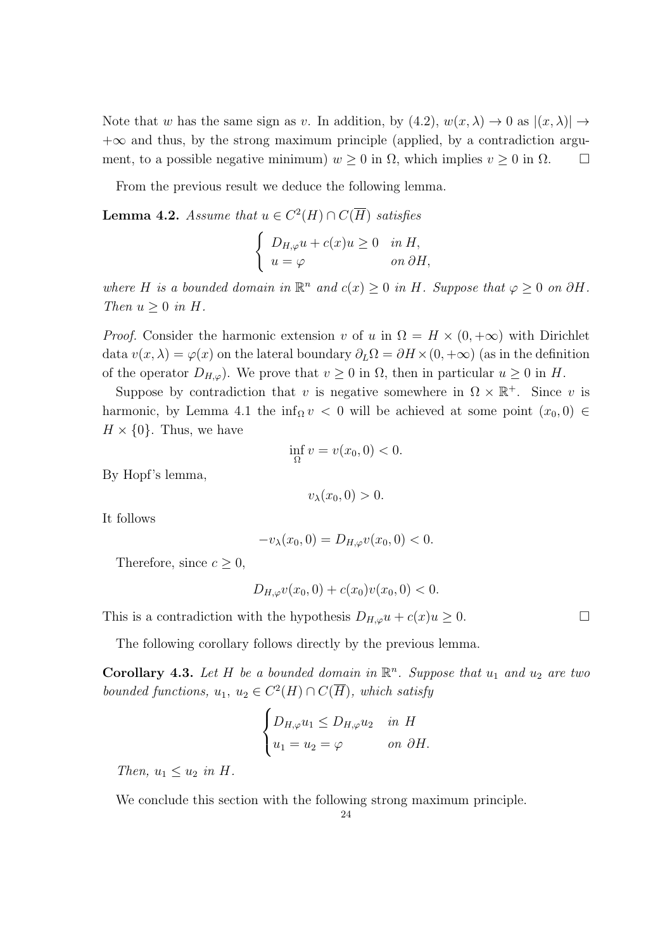Note that *w* has the same sign as *v*. In addition, by  $(4.2)$ ,  $w(x, \lambda) \rightarrow 0$  as  $|(x, \lambda)| \rightarrow$ +*∞* and thus, by the strong maximum principle (applied, by a contradiction argument, to a possible negative minimum)  $w \ge 0$  in  $\Omega$ , which implies  $v \ge 0$  in  $\Omega$ .

From the previous result we deduce the following lemma.

**Lemma 4.2.** *Assume that*  $u \in C^2(H) \cap C(\overline{H})$  *satisfies* 

$$
\begin{cases}\nD_{H,\varphi}u + c(x)u \ge 0 & \text{in } H, \\
u = \varphi & \text{on } \partial H,\n\end{cases}
$$

*where H is a bounded domain in*  $\mathbb{R}^n$  *and*  $c(x) \geq 0$  *in H. Suppose that*  $\varphi \geq 0$  *on*  $\partial H$ *. Then*  $u \geq 0$  *in H*.

*Proof.* Consider the harmonic extension *v* of *u* in  $\Omega = H \times (0, +\infty)$  with Dirichlet data  $v(x, \lambda) = \varphi(x)$  on the lateral boundary  $\partial_L \Omega = \partial H \times (0, +\infty)$  (as in the definition of the operator  $D_{H,\varphi}$ ). We prove that  $v \geq 0$  in  $\Omega$ , then in particular  $u \geq 0$  in  $H$ .

Suppose by contradiction that *v* is negative somewhere in  $\Omega \times \mathbb{R}^+$ . Since *v* is harmonic, by Lemma 4.1 the inf<sub>Ω</sub>  $v < 0$  will be achieved at some point  $(x_0, 0) \in$  $H \times \{0\}$ . Thus, we have

$$
\inf_{\Omega} v = v(x_0, 0) < 0.
$$

By Hopf's lemma,

$$
v_{\lambda}(x_0,0)>0.
$$

It follows

$$
-v_{\lambda}(x_0,0) = D_{H,\varphi}v(x_0,0) < 0.
$$

Therefore, since  $c \geq 0$ ,

$$
D_{H,\varphi}v(x_0,0) + c(x_0)v(x_0,0) < 0.
$$

This is a contradiction with the hypothesis  $D_{H,\varphi}u + c(x)u \geq 0$ .

The following corollary follows directly by the previous lemma.

**Corollary 4.3.** Let  $H$  be a bounded domain in  $\mathbb{R}^n$ . Suppose that  $u_1$  and  $u_2$  are two *bounded functions,*  $u_1, u_2 \in C^2(H) \cap C(\overline{H})$ *, which satisfy* 

$$
\begin{cases} D_{H,\varphi}u_1 \leq D_{H,\varphi}u_2 & \text{in } H \\ u_1 = u_2 = \varphi & \text{on } \partial H. \end{cases}
$$

*Then,*  $u_1 \leq u_2$  *in H.* 

We conclude this section with the following strong maximum principle.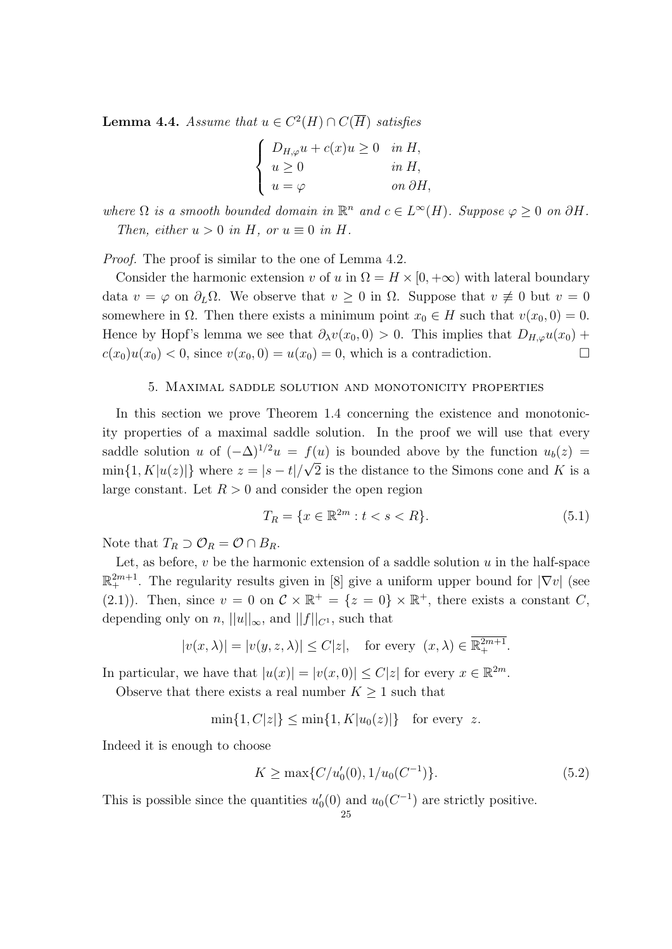**Lemma 4.4.** *Assume that*  $u \in C^2(H) \cap C(\overline{H})$  *satisfies* 

$$
\begin{cases}\nD_{H,\varphi}u + c(x)u \ge 0 & \text{in } H, \\
u \ge 0 & \text{in } H, \\
u = \varphi & \text{on } \partial H,\n\end{cases}
$$

*where*  $\Omega$  *is a smooth bounded domain in*  $\mathbb{R}^n$  *and*  $c \in L^\infty(H)$ *. Suppose*  $\varphi \geq 0$  *on*  $\partial H$ *. Then, either*  $u > 0$  *in*  $H$ *, or*  $u \equiv 0$  *in*  $H$ *.* 

*Proof.* The proof is similar to the one of Lemma 4.2.

Consider the harmonic extension *v* of *u* in  $\Omega = H \times [0, +\infty)$  with lateral boundary data  $v = \varphi$  on  $\partial_L \Omega$ . We observe that  $v \geq 0$  in  $\Omega$ . Suppose that  $v \neq 0$  but  $v = 0$ somewhere in  $\Omega$ . Then there exists a minimum point  $x_0 \in H$  such that  $v(x_0, 0) = 0$ . Hence by Hopf's lemma we see that  $\partial_{\lambda}v(x_0,0) > 0$ . This implies that  $D_{H,\varphi}u(x_0) +$  $c(x_0)u(x_0) < 0$ , since  $v(x_0, 0) = u(x_0) = 0$ , which is a contradiction.

#### 5. Maximal saddle solution and monotonicity properties

In this section we prove Theorem 1.4 concerning the existence and monotonicity properties of a maximal saddle solution. In the proof we will use that every saddle solution *u* of  $(-\Delta)^{1/2}u = f(u)$  is bounded above by the function  $u_b(z) =$  $\min\{1, K|u(z)|\}$  where  $z = |s - t|/$ *√* 2 is the distance to the Simons cone and *K* is a large constant. Let  $R > 0$  and consider the open region

$$
T_R = \{ x \in \mathbb{R}^{2m} : t < s < R \}. \tag{5.1}
$$

Note that  $T_R \supset \mathcal{O}_R = \mathcal{O} \cap B_R$ .

Let, as before,  $v$  be the harmonic extension of a saddle solution  $u$  in the half-space  $\mathbb{R}^{2m+1}_+$ . The regularity results given in [8] give a uniform upper bound for *|*∇*v|* (see (2.1)). Then, since  $v = 0$  on  $\mathcal{C} \times \mathbb{R}^+ = \{z = 0\} \times \mathbb{R}^+$ , there exists a constant *C*, depending only on *n*,  $||u||_{\infty}$ , and  $||f||_{C^1}$ , such that

$$
|v(x,\lambda)| = |v(y,z,\lambda)| \le C|z|, \text{ for every } (x,\lambda) \in \overline{\mathbb{R}^{2m+1}_+}.
$$

In particular, we have that  $|u(x)| = |v(x, 0)| \le C|z|$  for every  $x \in \mathbb{R}^{2m}$ .

Observe that there exists a real number  $K \geq 1$  such that

$$
\min\{1, C|z|\} \le \min\{1, K|u_0(z)|\} \quad \text{for every } z.
$$

Indeed it is enough to choose

$$
K \ge \max\{C/u_0'(0), 1/u_0(C^{-1})\}.
$$
\n(5.2)

This is possible since the quantities  $u'_0(0)$  and  $u_0(C^{-1})$  are strictly positive.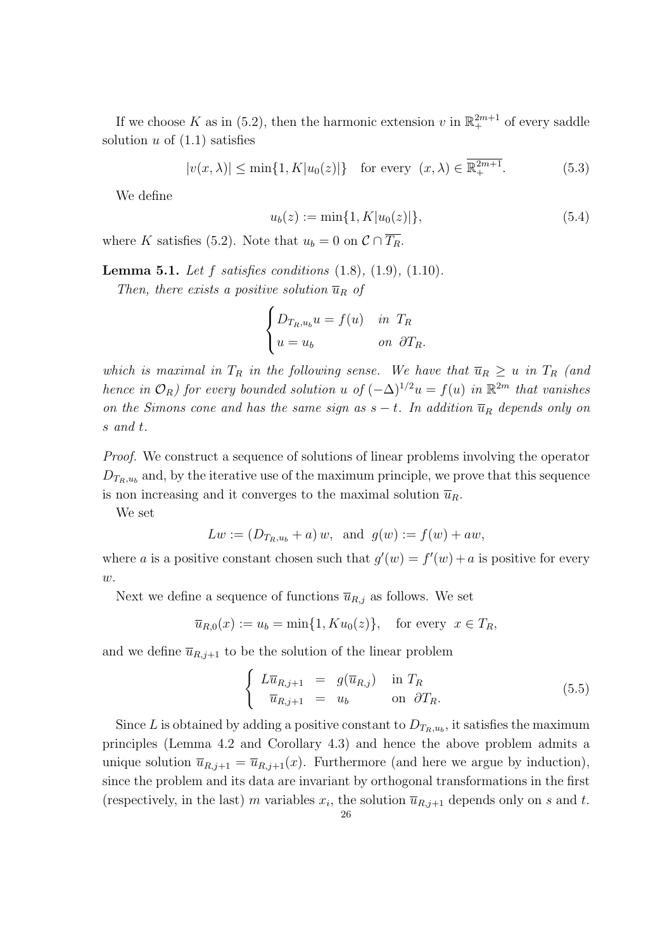If we choose K as in (5.2), then the harmonic extension  $v$  in  $\mathbb{R}^{2m+1}_+$  of every saddle solution  $u$  of  $(1.1)$  satisfies

$$
|v(x,\lambda)| \le \min\{1, K|u_0(z)|\} \quad \text{for every } (x,\lambda) \in \overline{\mathbb{R}^{2m+1}_+}.
$$
 (5.3)

We define

$$
u_b(z) := \min\{1, K|u_0(z)|\},\tag{5.4}
$$

where *K* satisfies (5.2). Note that  $u_b = 0$  on  $C \cap \overline{T_R}$ .

**Lemma 5.1.** *Let f satisfies conditions* (1.8)*,* (1.9)*,* (1.10)*.*

*Then, there exists a positive solution*  $\overline{u}_R$  *of* 

$$
\begin{cases}\nD_{T_R, u_b} u = f(u) & \text{in } T_R \\
u = u_b & \text{on } \partial T_R.\n\end{cases}
$$

*which is maximal in*  $T_R$  *in the following sense. We have that*  $\overline{u}_R \geq u$  *in*  $T_R$  (and *hence in*  $\mathcal{O}_R$ *)* for every bounded solution *u* of  $(-\Delta)^{1/2}u = f(u)$  *in*  $\mathbb{R}^{2m}$  *that vanishes on the Simons cone and has the same sign as*  $s - t$ *. In addition*  $\overline{u}_R$  *depends only on s and t.*

*Proof.* We construct a sequence of solutions of linear problems involving the operator  $D_{T_R, u_b}$  and, by the iterative use of the maximum principle, we prove that this sequence is non increasing and it converges to the maximal solution  $\overline{u}_R$ .

We set

$$
Lw := (D_{T_R, u_b} + a) w
$$
, and  $g(w) := f(w) + aw$ ,

where *a* is a positive constant chosen such that  $g'(w) = f'(w) + a$  is positive for every *w*.

Next we define a sequence of functions  $\overline{u}_{R,j}$  as follows. We set

$$
\overline{u}_{R,0}(x) := u_b = \min\{1, K u_0(z)\}, \quad \text{for every } x \in T_R,
$$

and we define  $\overline{u}_{R,j+1}$  to be the solution of the linear problem

$$
\begin{cases}\nL\overline{u}_{R,j+1} = g(\overline{u}_{R,j}) & \text{in } T_R \\
\overline{u}_{R,j+1} = u_b & \text{on } \partial T_R.\n\end{cases} \tag{5.5}
$$

Since *L* is obtained by adding a positive constant to  $D_{T_R, u_b}$ , it satisfies the maximum principles (Lemma 4.2 and Corollary 4.3) and hence the above problem admits a unique solution  $\overline{u}_{R,j+1} = \overline{u}_{R,j+1}(x)$ . Furthermore (and here we argue by induction), since the problem and its data are invariant by orthogonal transformations in the first (respectively, in the last) *m* variables  $x_i$ , the solution  $\overline{u}_{R,j+1}$  depends only on *s* and *t*.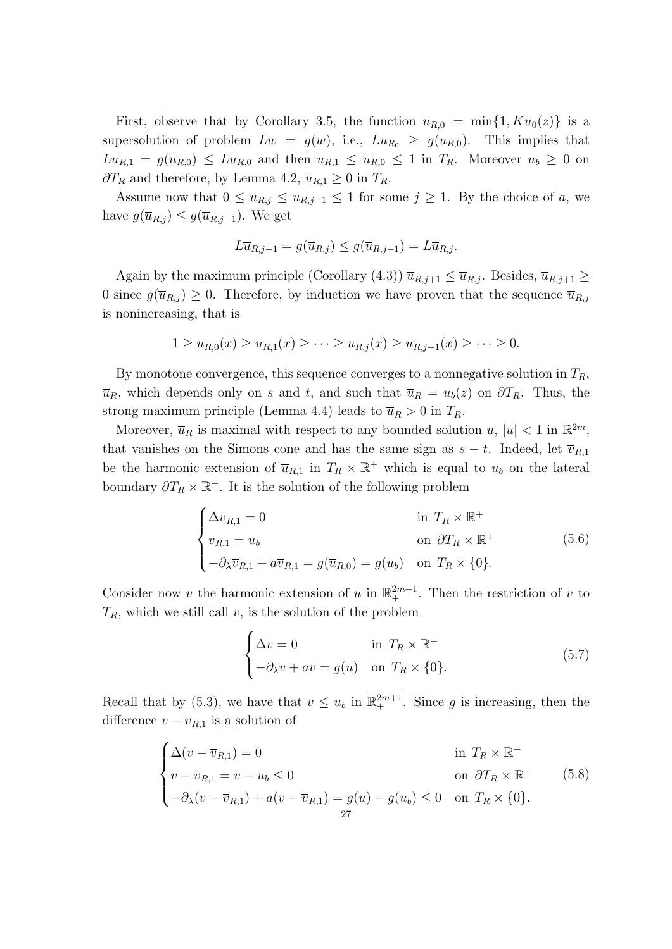First, observe that by Corollary 3.5, the function  $\overline{u}_{R,0} = \min\{1, K u_0(z)\}\$ is a supersolution of problem  $Lw = g(w)$ , i.e.,  $L\overline{u}_{R_0} \geq g(\overline{u}_{R,0})$ . This implies that  $L\overline{u}_{R,1} = g(\overline{u}_{R,0}) \leq L\overline{u}_{R,0}$  and then  $\overline{u}_{R,1} \leq \overline{u}_{R,0} \leq 1$  in  $T_R$ . Moreover  $u_b \geq 0$  on *∂T<sub>R</sub>* and therefore, by Lemma 4.2,  $\overline{u}_{R,1}$  ≥ 0 in  $T_R$ .

Assume now that  $0 \leq \overline{u}_{R,j} \leq \overline{u}_{R,j-1} \leq 1$  for some  $j \geq 1$ . By the choice of *a*, we have  $g(\overline{u}_{R,j}) \leq g(\overline{u}_{R,j-1})$ . We get

$$
L\overline{u}_{R,j+1} = g(\overline{u}_{R,j}) \le g(\overline{u}_{R,j-1}) = L\overline{u}_{R,j}.
$$

Again by the maximum principle (Corollary (4.3))  $\overline{u}_{R,j+1} \leq \overline{u}_{R,j}$ . Besides,  $\overline{u}_{R,j+1} \geq$ 0 since  $g(\overline{u}_{R,j}) \geq 0$ . Therefore, by induction we have proven that the sequence  $\overline{u}_{R,j}$ is nonincreasing, that is

$$
1 \ge \overline{u}_{R,0}(x) \ge \overline{u}_{R,1}(x) \ge \cdots \ge \overline{u}_{R,j}(x) \ge \overline{u}_{R,j+1}(x) \ge \cdots \ge 0.
$$

By monotone convergence, this sequence converges to a nonnegative solution in *TR*,  $\overline{u}_R$ , which depends only on *s* and *t*, and such that  $\overline{u}_R = u_b(z)$  on  $\partial T_R$ . Thus, the strong maximum principle (Lemma 4.4) leads to  $\overline{u}_R > 0$  in  $T_R$ .

Moreover,  $\overline{u}_R$  is maximal with respect to any bounded solution  $u, |u| < 1$  in  $\mathbb{R}^{2m}$ , that vanishes on the Simons cone and has the same sign as  $s - t$ . Indeed, let  $\overline{v}_{R,1}$ be the harmonic extension of  $\bar{u}_{R,1}$  in  $T_R \times \mathbb{R}^+$  which is equal to  $u_b$  on the lateral boundary  $\partial T_R \times \mathbb{R}^+$ . It is the solution of the following problem

$$
\begin{cases}\n\Delta \overline{v}_{R,1} = 0 & \text{in } T_R \times \mathbb{R}^+ \\
\overline{v}_{R,1} = u_b & \text{on } \partial T_R \times \mathbb{R}^+ \\
-\partial_{\lambda} \overline{v}_{R,1} + a \overline{v}_{R,1} = g(\overline{u}_{R,0}) = g(u_b) & \text{on } T_R \times \{0\}.\n\end{cases}
$$
\n(5.6)

Consider now *v* the harmonic extension of *u* in  $\mathbb{R}^{2m+1}_+$ . Then the restriction of *v* to  $T_R$ , which we still call *v*, is the solution of the problem

$$
\begin{cases}\n\Delta v = 0 & \text{in } T_R \times \mathbb{R}^+ \\
-\partial_{\lambda} v + av = g(u) & \text{on } T_R \times \{0\}.\n\end{cases}
$$
\n(5.7)

Recall that by (5.3), we have that  $v \leq u_b$  in  $\mathbb{R}^{2m+1}_+$ . Since g is increasing, then the difference  $v - \overline{v}_{R,1}$  is a solution of

$$
\begin{cases}\n\Delta(v - \overline{v}_{R,1}) = 0 & \text{in } T_R \times \mathbb{R}^+ \\
v - \overline{v}_{R,1} = v - u_b \le 0 & \text{on } \partial T_R \times \mathbb{R}^+ \\
-\partial_{\lambda}(v - \overline{v}_{R,1}) + a(v - \overline{v}_{R,1}) = g(u) - g(u_b) \le 0 & \text{on } T_R \times \{0\}.\n\end{cases}
$$
\n(5.8)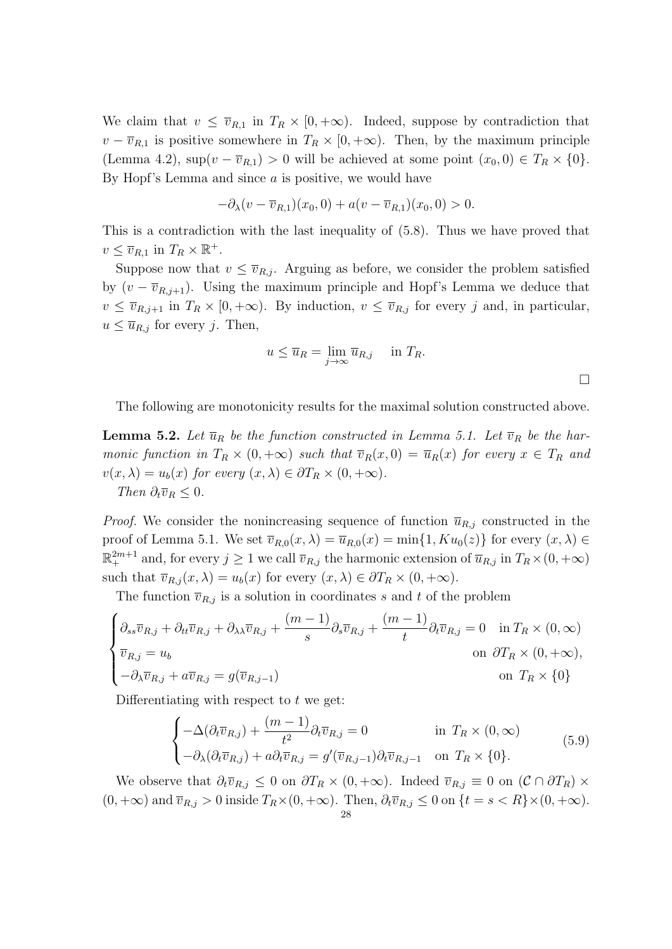We claim that  $v \leq \overline{v}_{R,1}$  in  $T_R \times [0, +\infty)$ . Indeed, suppose by contradiction that  $v - \overline{v}_{R,1}$  is positive somewhere in  $T_R \times [0, +\infty)$ . Then, by the maximum principle (Lemma 4.2),  $\sup(v - \overline{v}_{R,1}) > 0$  will be achieved at some point  $(x_0, 0) \in T_R \times \{0\}$ . By Hopf's Lemma and since *a* is positive, we would have

$$
-\partial_{\lambda}(v-\overline{v}_{R,1})(x_0,0) + a(v-\overline{v}_{R,1})(x_0,0) > 0.
$$

This is a contradiction with the last inequality of (5.8). Thus we have proved that  $v \leq \overline{v}_{R,1}$  in  $T_R \times \mathbb{R}^+$ .

Suppose now that  $v \leq \overline{v}_{R,i}$ . Arguing as before, we consider the problem satisfied by  $(v - \overline{v}_{R,j+1})$ . Using the maximum principle and Hopf's Lemma we deduce that  $v \leq \overline{v}_{R,j+1}$  in  $T_R \times [0, +\infty)$ . By induction,  $v \leq \overline{v}_{R,j}$  for every *j* and, in particular,  $u \leq \overline{u}_{R,j}$  for every *j*. Then,

$$
u \le \overline{u}_R = \lim_{j \to \infty} \overline{u}_{R,j}
$$
 in  $T_R$ .

The following are monotonicity results for the maximal solution constructed above.

**Lemma 5.2.** Let  $\overline{u}_R$  be the function constructed in Lemma 5.1. Let  $\overline{v}_R$  be the har*monic function in*  $T_R \times (0, +\infty)$  *such that*  $\overline{v}_R(x, 0) = \overline{u}_R(x)$  *for every*  $x \in T_R$  *and*  $v(x, \lambda) = u_b(x)$  *for every*  $(x, \lambda) \in \partial T_R \times (0, +\infty)$ . *Then*  $\partial_t \overline{v}_R \leq 0$ *.* 

*Proof.* We consider the nonincreasing sequence of function  $\bar{u}_{R,j}$  constructed in the proof of Lemma 5.1. We set  $\overline{v}_{R,0}(x,\lambda) = \overline{u}_{R,0}(x) = \min\{1, K u_0(z)\}\$ for every  $(x,\lambda) \in$  $\mathbb{R}^{2m+1}_+$  and, for every  $j \geq 1$  we call  $\overline{v}_{R,j}$  the harmonic extension of  $\overline{u}_{R,j}$  in  $T_R \times (0, +\infty)$ such that  $\overline{v}_{R,j}(x,\lambda) = u_b(x)$  for every  $(x,\lambda) \in \partial T_R \times (0, +\infty)$ .

The function  $\overline{v}_{R,j}$  is a solution in coordinates *s* and *t* of the problem

$$
\begin{cases} \partial_{ss}\overline{v}_{R,j} + \partial_{tt}\overline{v}_{R,j} + \partial_{\lambda\lambda}\overline{v}_{R,j} + \frac{(m-1)}{s}\partial_{s}\overline{v}_{R,j} + \frac{(m-1)}{t}\partial_{t}\overline{v}_{R,j} = 0 & \text{in } T_{R} \times (0, \infty) \\ \overline{v}_{R,j} = u_{b} & \text{on } \partial T_{R} \times (0, +\infty), \\ -\partial_{\lambda}\overline{v}_{R,j} + a\overline{v}_{R,j} = g(\overline{v}_{R,j-1}) & \text{on } T_{R} \times \{0\} \end{cases}
$$

Differentiating with respect to *t* we get:

$$
\begin{cases}\n-\Delta(\partial_t \overline{v}_{R,j}) + \frac{(m-1)}{t^2} \partial_t \overline{v}_{R,j} = 0 & \text{in } T_R \times (0, \infty) \\
-\partial_{\lambda}(\partial_t \overline{v}_{R,j}) + a \partial_t \overline{v}_{R,j} = g'(\overline{v}_{R,j-1}) \partial_t \overline{v}_{R,j-1} & \text{on } T_R \times \{0\}.\n\end{cases}
$$
\n(5.9)

We observe that  $\partial_t \overline{v}_{R,j} \leq 0$  on  $\partial T_R \times (0, +\infty)$ . Indeed  $\overline{v}_{R,j} \equiv 0$  on  $(\mathcal{C} \cap \partial T_R) \times$  $(0, +\infty)$  and  $\overline{v}_{R,i} > 0$  inside  $T_R \times (0, +\infty)$ . Then,  $\partial_t \overline{v}_{R,i} \leq 0$  on  $\{t = s < R\} \times (0, +\infty)$ .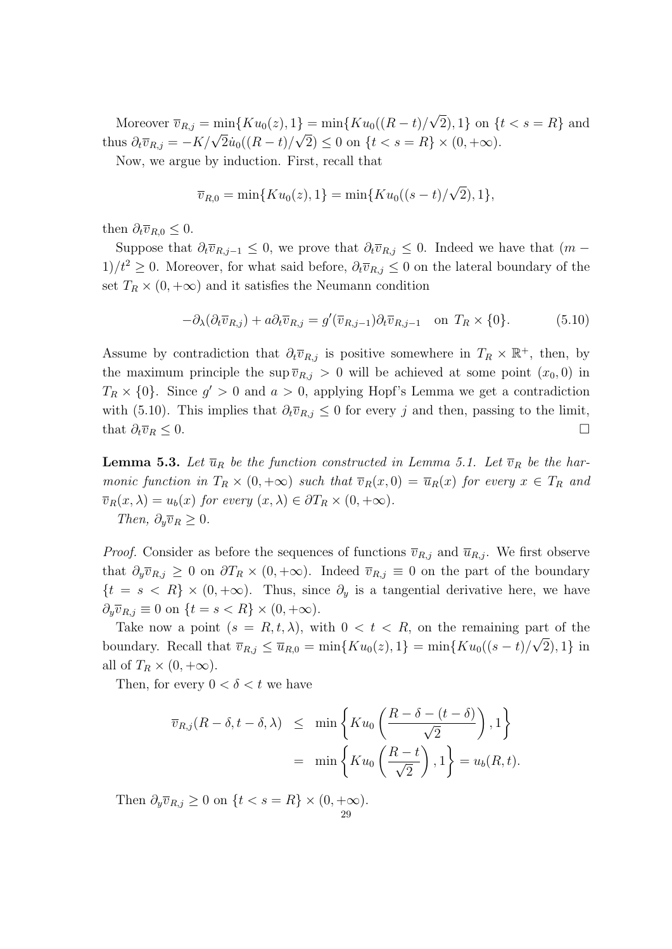$M$ oreover  $\bar{v}_{R,j} = \min\{Ku_0(z), 1\} = \min\{Ku_0((R - t))/\}$ *√*  $2\} = \min\{Ku_0((R-t)/\sqrt{2}), 1\}$  on  $\{t < s = R\}$  and thus  $\partial_t \overline{v}_{R,j} = -K/\sqrt{2} \dot{u}_0((R-t)/\sqrt{2}) \leq 0$  on  $\{t < s = R\} \times (0, +\infty)$ .

Now, we argue by induction. First, recall that

$$
\overline{v}_{R,0} = \min\{Ku_0(z), 1\} = \min\{Ku_0((s-t)/\sqrt{2}), 1\},\
$$

then  $\partial_t \overline{v}_{R,0} \leq 0$ .

Suppose that  $\partial_t \overline{v}_{R,j-1} \leq 0$ , we prove that  $\partial_t \overline{v}_{R,j} \leq 0$ . Indeed we have that  $(m -$ 1)*/t*<sup>2</sup> ≥ 0. Moreover, for what said before,  $\partial_t \overline{v}_{R,j}$  ≤ 0 on the lateral boundary of the set  $T_R \times (0, +\infty)$  and it satisfies the Neumann condition

$$
-\partial_{\lambda}(\partial_t \overline{v}_{R,j}) + a\partial_t \overline{v}_{R,j} = g'(\overline{v}_{R,j-1})\partial_t \overline{v}_{R,j-1} \quad \text{on } T_R \times \{0\}. \tag{5.10}
$$

Assume by contradiction that  $\partial_t \overline{v}_{R,j}$  is positive somewhere in  $T_R \times \mathbb{R}^+$ , then, by the maximum principle the sup  $\overline{v}_{R,j} > 0$  will be achieved at some point  $(x_0, 0)$  in  $T_R \times \{0\}$ . Since  $g' > 0$  and  $a > 0$ , applying Hopf's Lemma we get a contradiction with (5.10). This implies that  $\partial_t \overline{v}_{R,j} \leq 0$  for every *j* and then, passing to the limit, that  $\partial_t \overline{v}_R \leq 0$ .

**Lemma 5.3.** Let  $\overline{u}_R$  be the function constructed in Lemma 5.1. Let  $\overline{v}_R$  be the har*monic function in*  $T_R \times (0, +\infty)$  *such that*  $\overline{v}_R(x, 0) = \overline{u}_R(x)$  *for every*  $x \in T_R$  *and*  $\overline{v}_R(x, \lambda) = u_b(x)$  *for every*  $(x, \lambda) \in \partial T_R \times (0, +\infty)$ . *Then,*  $\partial_y \overline{v}_R \geq 0$ *.* 

*Proof.* Consider as before the sequences of functions  $\overline{v}_{R,j}$  and  $\overline{u}_{R,j}$ . We first observe that  $\partial_y \overline{v}_{R,j} \geq 0$  on  $\partial T_R \times (0, +\infty)$ . Indeed  $\overline{v}_{R,j} \equiv 0$  on the part of the boundary  ${t = s < R} \times (0, +\infty)$ . Thus, since  $\partial_y$  is a tangential derivative here, we have  $\partial_y \overline{v}_{R,j} \equiv 0$  on  $\{t = s < R\} \times (0, +\infty).$ 

Take now a point  $(s = R, t, \lambda)$ , with  $0 < t < R$ , on the remaining part of the boundary. Recall that  $\bar{v}_{R,j} \leq \bar{u}_{R,0} = \min\{Ku_0(z), 1\} = \min\{Ku_0((s-t)/\sqrt{2}), 1\}$  in all of  $T_R \times (0, +\infty)$ .

Then, for every  $0 < \delta < t$  we have

$$
\overline{v}_{R,j}(R-\delta, t-\delta, \lambda) \leq \min \left\{ Ku_0\left(\frac{R-\delta-(t-\delta)}{\sqrt{2}}\right), 1 \right\}
$$
  
= 
$$
\min \left\{ Ku_0\left(\frac{R-t}{\sqrt{2}}\right), 1 \right\} = u_b(R, t).
$$

Then  $\partial_y \overline{v}_{R,j} \geq 0$  on  $\{t < s = R\} \times (0, +\infty)$ . 29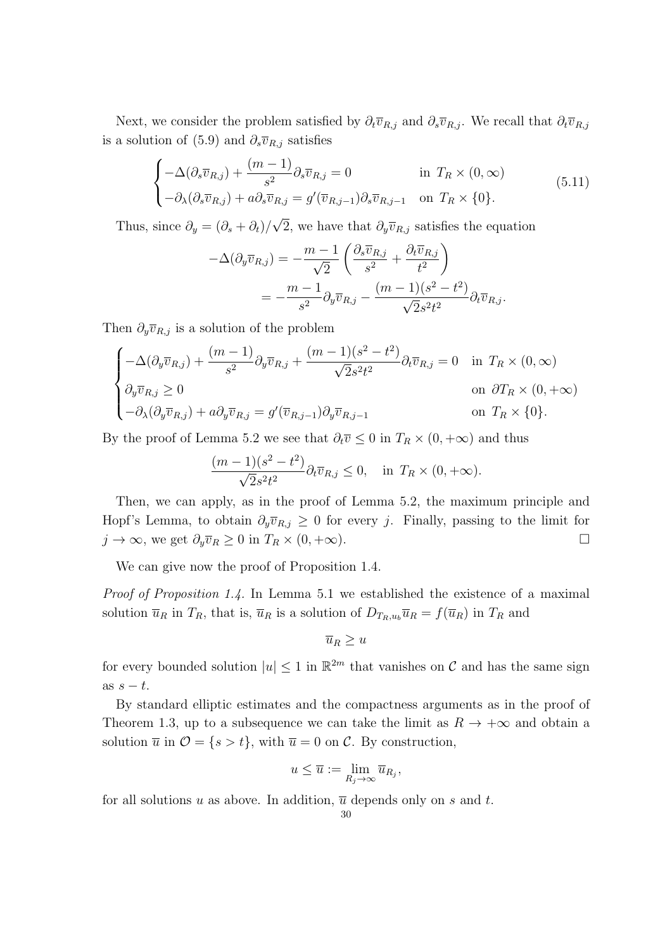Next, we consider the problem satisfied by  $\partial_t \overline{v}_{R,j}$  and  $\partial_s \overline{v}_{R,j}$ . We recall that  $\partial_t \overline{v}_{R,j}$ is a solution of (5.9) and  $\partial_s \overline{v}_{R,j}$  satisfies

$$
\begin{cases}\n-\Delta(\partial_s \overline{v}_{R,j}) + \frac{(m-1)}{s^2} \partial_s \overline{v}_{R,j} = 0 & \text{in } T_R \times (0, \infty) \\
-\partial_\lambda(\partial_s \overline{v}_{R,j}) + a \partial_s \overline{v}_{R,j} = g'(\overline{v}_{R,j-1}) \partial_s \overline{v}_{R,j-1} & \text{on } T_R \times \{0\}.\n\end{cases}
$$
\n(5.11)

Thus, since  $\partial_y = (\partial_s + \partial_t)$ / 2, we have that  $\partial_y \overline{v}_{R,j}$  satisfies the equation

$$
-\Delta(\partial_y \overline{v}_{R,j}) = -\frac{m-1}{\sqrt{2}} \left( \frac{\partial_s \overline{v}_{R,j}}{s^2} + \frac{\partial_t \overline{v}_{R,j}}{t^2} \right)
$$
  
= 
$$
-\frac{m-1}{s^2} \partial_y \overline{v}_{R,j} - \frac{(m-1)(s^2 - t^2)}{\sqrt{2}s^2 t^2} \partial_t \overline{v}_{R,j}.
$$

Then  $\partial_y \overline{v}_{R,j}$  is a solution of the problem

$$
\begin{cases}\n-\Delta(\partial_y \overline{v}_{R,j}) + \frac{(m-1)}{s^2} \partial_y \overline{v}_{R,j} + \frac{(m-1)(s^2 - t^2)}{\sqrt{2s^2 t^2}} \partial_t \overline{v}_{R,j} = 0 & \text{in } T_R \times (0, \infty) \\
\partial_y \overline{v}_{R,j} \ge 0 & \text{on } \partial T_R \times (0, +\infty) \\
-\partial_\lambda(\partial_y \overline{v}_{R,j}) + a \partial_y \overline{v}_{R,j} = g'(\overline{v}_{R,j-1}) \partial_y \overline{v}_{R,j-1} & \text{on } T_R \times \{0\}.\n\end{cases}
$$

By the proof of Lemma 5.2 we see that  $\partial_t \overline{v} \leq 0$  in  $T_R \times (0, +\infty)$  and thus

$$
\frac{(m-1)(s^2-t^2)}{\sqrt{2}s^2t^2}\partial_t\overline{v}_{R,j} \le 0, \text{ in } T_R \times (0,+\infty).
$$

Then, we can apply, as in the proof of Lemma 5.2, the maximum principle and Hopf's Lemma, to obtain  $\partial_y \overline{v}_{R,j} \geq 0$  for every *j*. Finally, passing to the limit for *j* → ∞, we get  $\partial_y \overline{v}_R \ge 0$  in  $T_R \times (0, +\infty)$ .

We can give now the proof of Proposition 1.4.

*Proof of Proposition 1.4.* In Lemma 5.1 we established the existence of a maximal solution  $\bar{u}_R$  in  $T_R$ , that is,  $\bar{u}_R$  is a solution of  $D_{T_R,u_b}\bar{u}_R = f(\bar{u}_R)$  in  $T_R$  and

$$
\overline{u}_R \geq u
$$

for every bounded solution  $|u| \leq 1$  in  $\mathbb{R}^{2m}$  that vanishes on  $\mathcal C$  and has the same sign as  $s - t$ .

By standard elliptic estimates and the compactness arguments as in the proof of Theorem 1.3, up to a subsequence we can take the limit as  $R \to +\infty$  and obtain a solution  $\overline{u}$  in  $\mathcal{O} = \{s > t\}$ , with  $\overline{u} = 0$  on  $\mathcal{C}$ . By construction,

$$
u \leq \overline{u} := \lim_{R_j \to \infty} \overline{u}_{R_j},
$$

for all solutions *u* as above. In addition,  $\overline{u}$  depends only on *s* and *t*.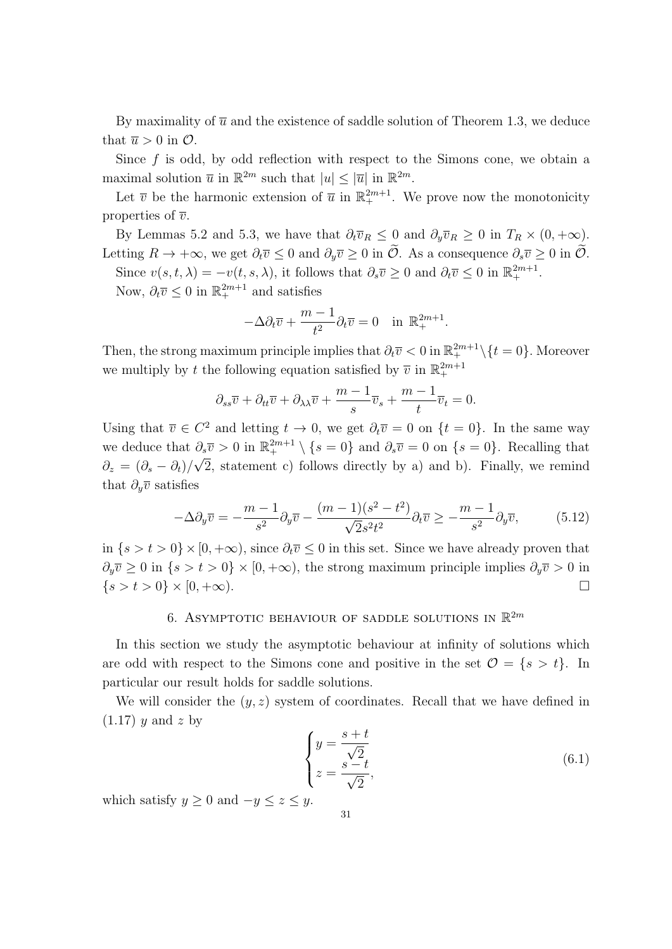By maximality of  $\bar{u}$  and the existence of saddle solution of Theorem 1.3, we deduce that  $\overline{u} > 0$  in  $\mathcal{O}$ .

Since  $f$  is odd, by odd reflection with respect to the Simons cone, we obtain a maximal solution  $\overline{u}$  in  $\mathbb{R}^{2m}$  such that  $|u| \leq |\overline{u}|$  in  $\mathbb{R}^{2m}$ .

Let  $\bar{v}$  be the harmonic extension of  $\bar{u}$  in  $\mathbb{R}^{2m+1}_+$ . We prove now the monotonicity properties of  $\overline{v}$ .

By Lemmas 5.2 and 5.3, we have that  $\partial_t \overline{v}_R \leq 0$  and  $\partial_y \overline{v}_R \geq 0$  in  $T_R \times (0, +\infty)$ . Letting  $R \to +\infty$ , we get  $\partial_t \overline{v} \leq 0$  and  $\partial_y \overline{v} \geq 0$  in  $\widetilde{\mathcal{O}}$ . As a consequence  $\partial_s \overline{v} \geq 0$  in  $\widetilde{\mathcal{O}}$ . Since  $v(s, t, \lambda) = -v(t, s, \lambda)$ , it follows that  $\partial_s \overline{v} \geq 0$  and  $\partial_t \overline{v} \leq 0$  in  $\mathbb{R}^{2m+1}_+$ .

Now,  $\partial_t \overline{v} \leq 0$  in  $\mathbb{R}^{2m+1}_+$  and satisfies

$$
-\Delta \partial_t \overline{v} + \frac{m-1}{t^2} \partial_t \overline{v} = 0 \quad \text{in } \mathbb{R}_+^{2m+1}.
$$

Then, the strong maximum principle implies that  $\partial_t \overline{v} < 0$  in  $\mathbb{R}^{2m+1}_+ \setminus \{t = 0\}$ . Moreover we multiply by *t* the following equation satisfied by  $\overline{v}$  in  $\mathbb{R}^{2m+1}_+$ 

$$
\partial_{ss}\overline{v} + \partial_{tt}\overline{v} + \partial_{\lambda\lambda}\overline{v} + \frac{m-1}{s}\overline{v}_s + \frac{m-1}{t}\overline{v}_t = 0.
$$

Using that  $\overline{v} \in C^2$  and letting  $t \to 0$ , we get  $\partial_t \overline{v} = 0$  on  $\{t = 0\}$ . In the same way we deduce that  $\partial_s \overline{v} > 0$  in  $\mathbb{R}^{2m+1}_+ \setminus \{s = 0\}$  and  $\partial_s \overline{v} = 0$  on  $\{s = 0\}$ . Recalling that  $\partial_z = (\partial_s - \partial_t)/2$ *√* 2, statement c) follows directly by a) and b). Finally, we remind that  $\partial_y \overline{v}$  satisfies

$$
-\Delta\partial_y \overline{v} = -\frac{m-1}{s^2} \partial_y \overline{v} - \frac{(m-1)(s^2 - t^2)}{\sqrt{2}s^2 t^2} \partial_t \overline{v} \ge -\frac{m-1}{s^2} \partial_y \overline{v},\tag{5.12}
$$

in  ${s > t > 0} \times [0, +\infty)$ , since  $\partial_t \overline{v}$  ≤ 0 in this set. Since we have already proven that *∂*<sup>*y*</sup>  $\geq$  0 in {*s > t >* 0} × [0*,* +∞), the strong maximum principle implies  $\partial_y \overline{v}$  > 0 in  $\{s > t > 0\} \times [0, +\infty).$ 

# 6. ASYMPTOTIC BEHAVIOUR OF SADDLE SOLUTIONS IN  $\mathbb{R}^{2m}$

In this section we study the asymptotic behaviour at infinity of solutions which are odd with respect to the Simons cone and positive in the set  $\mathcal{O} = \{s > t\}$ . In particular our result holds for saddle solutions.

We will consider the  $(y, z)$  system of coordinates. Recall that we have defined in (1.17) *y* and *z* by

$$
\begin{cases}\n y = \frac{s+t}{\sqrt{2}} \\
 z = \frac{s-t}{\sqrt{2}},\n\end{cases}
$$
\n(6.1)

which satisfy  $y \geq 0$  and  $-y \leq z \leq y$ .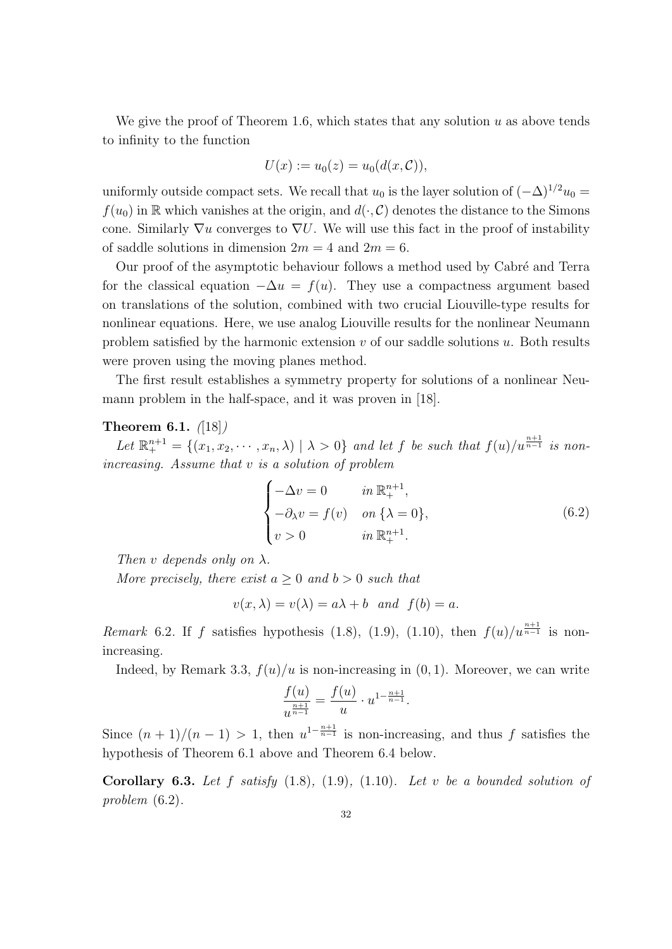We give the proof of Theorem 1.6, which states that any solution *u* as above tends to infinity to the function

$$
U(x) := u_0(z) = u_0(d(x, \mathcal{C})),
$$

uniformly outside compact sets. We recall that  $u_0$  is the layer solution of  $(-\Delta)^{1/2}u_0 =$  $f(u_0)$  in R which vanishes at the origin, and  $d(\cdot, \mathcal{C})$  denotes the distance to the Simons cone. Similarly *∇u* converges to *∇U*. We will use this fact in the proof of instability of saddle solutions in dimension  $2m = 4$  and  $2m = 6$ .

Our proof of the asymptotic behaviour follows a method used by Cabré and Terra for the classical equation  $-\Delta u = f(u)$ . They use a compactness argument based on translations of the solution, combined with two crucial Liouville-type results for nonlinear equations. Here, we use analog Liouville results for the nonlinear Neumann problem satisfied by the harmonic extension *v* of our saddle solutions *u*. Both results were proven using the moving planes method.

The first result establishes a symmetry property for solutions of a nonlinear Neumann problem in the half-space, and it was proven in [18].

### **Theorem 6.1.** *(*[18]*)*

Let  $\mathbb{R}^{n+1}_+ = \{(x_1, x_2, \cdots, x_n, \lambda) \mid \lambda > 0\}$  and let f be such that  $f(u)/u^{\frac{n+1}{n-1}}$  is non*increasing. Assume that v is a solution of problem*

$$
\begin{cases}\n-\Delta v = 0 & \text{in } \mathbb{R}^{n+1}_+, \\
-\partial_{\lambda} v = f(v) & \text{on } {\lambda = 0}, \\
v > 0 & \text{in } \mathbb{R}^{n+1}_+.\n\end{cases}
$$
\n(6.2)

*Then*  $v$  *depends only on*  $\lambda$ *.* 

*More precisely, there exist*  $a \geq 0$  *and*  $b > 0$  *such that* 

$$
v(x, \lambda) = v(\lambda) = a\lambda + b \quad and \quad f(b) = a.
$$

*Remark* 6.2. If *f* satisfies hypothesis (1.8), (1.9), (1.10), then  $f(u)/u^{\frac{n+1}{n-1}}$  is nonincreasing.

Indeed, by Remark 3.3,  $f(u)/u$  is non-increasing in  $(0, 1)$ . Moreover, we can write

$$
\frac{f(u)}{u^{\frac{n+1}{n-1}}} = \frac{f(u)}{u} \cdot u^{1-\frac{n+1}{n-1}}.
$$

Since  $(n+1)/(n-1) > 1$ , then  $u^{1-\frac{n+1}{n-1}}$  is non-increasing, and thus *f* satisfies the hypothesis of Theorem 6.1 above and Theorem 6.4 below.

**Corollary 6.3.** *Let f satisfy* (1.8)*,* (1.9)*,* (1.10)*. Let v be a bounded solution of problem* (6.2)*.*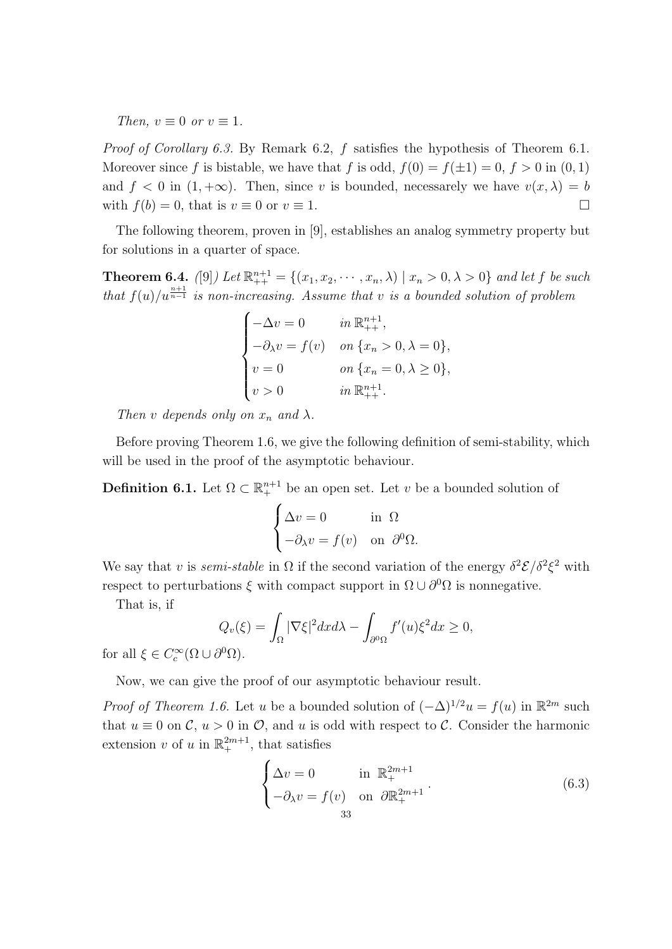*Then,*  $v \equiv 0$  *or*  $v \equiv 1$ *.* 

*Proof of Corollary 6.3.* By Remark 6.2, *f* satisfies the hypothesis of Theorem 6.1. Moreover since *f* is bistable, we have that *f* is odd,  $f(0) = f(\pm 1) = 0$ ,  $f > 0$  in  $(0, 1)$ and  $f < 0$  in  $(1, +\infty)$ . Then, since *v* is bounded, necessarely we have  $v(x, \lambda) = b$ with  $f(b) = 0$ , that is  $v \equiv 0$  or  $v \equiv 1$ .

The following theorem, proven in [9], establishes an analog symmetry property but for solutions in a quarter of space.

**Theorem 6.4.** ([9]) Let  $\mathbb{R}_{++}^{n+1} = \{(x_1, x_2, \dots, x_n, \lambda) \mid x_n > 0, \lambda > 0\}$  and let f be such *that*  $f(u)/u^{\frac{n+1}{n-1}}$  *is non-increasing. Assume that v is a bounded solution of problem* 

$$
\begin{cases}\n-\Delta v = 0 & \text{in } \mathbb{R}^{n+1}_{++}, \\
-\partial_{\lambda} v = f(v) & \text{on } \{x_n > 0, \lambda = 0\}, \\
v = 0 & \text{on } \{x_n = 0, \lambda \ge 0\}, \\
v > 0 & \text{in } \mathbb{R}^{n+1}_{++}.\n\end{cases}
$$

*Then v depends only on*  $x_n$  *and*  $\lambda$ *.* 

Before proving Theorem 1.6, we give the following definition of semi-stability, which will be used in the proof of the asymptotic behaviour.

**Definition 6.1.** Let  $\Omega \subset \mathbb{R}^{n+1}$  be an open set. Let *v* be a bounded solution of

$$
\begin{cases} \Delta v = 0 & \text{in } \Omega \\ -\partial_{\lambda} v = f(v) & \text{on } \partial^0 \Omega. \end{cases}
$$

We say that *v* is *semi-stable* in  $\Omega$  if the second variation of the energy  $\delta^2 \mathcal{E} / \delta^2 \xi^2$  with respect to perturbations  $\xi$  with compact support in  $\Omega \cup \partial^0 \Omega$  is nonnegative.

That is, if

$$
Q_v(\xi) = \int_{\Omega} |\nabla \xi|^2 dx d\lambda - \int_{\partial^0 \Omega} f'(u)\xi^2 dx \ge 0,
$$

for all  $\xi \in C_c^{\infty}(\Omega \cup \partial^0 \Omega)$ .

Now, we can give the proof of our asymptotic behaviour result.

*Proof of Theorem 1.6.* Let *u* be a bounded solution of  $(-\Delta)^{1/2}u = f(u)$  in  $\mathbb{R}^{2m}$  such that  $u \equiv 0$  on  $\mathcal{C}$ ,  $u > 0$  in  $\mathcal{O}$ , and  $u$  is odd with respect to  $\mathcal{C}$ . Consider the harmonic extension *v* of *u* in  $\mathbb{R}^{2m+1}_+$ , that satisfies

$$
\begin{cases}\n\Delta v = 0 & \text{in } \mathbb{R}_+^{2m+1} \\
-\partial_{\lambda} v = f(v) & \text{on } \partial \mathbb{R}_+^{2m+1} \\
& \text{33}\n\end{cases}
$$
\n(6.3)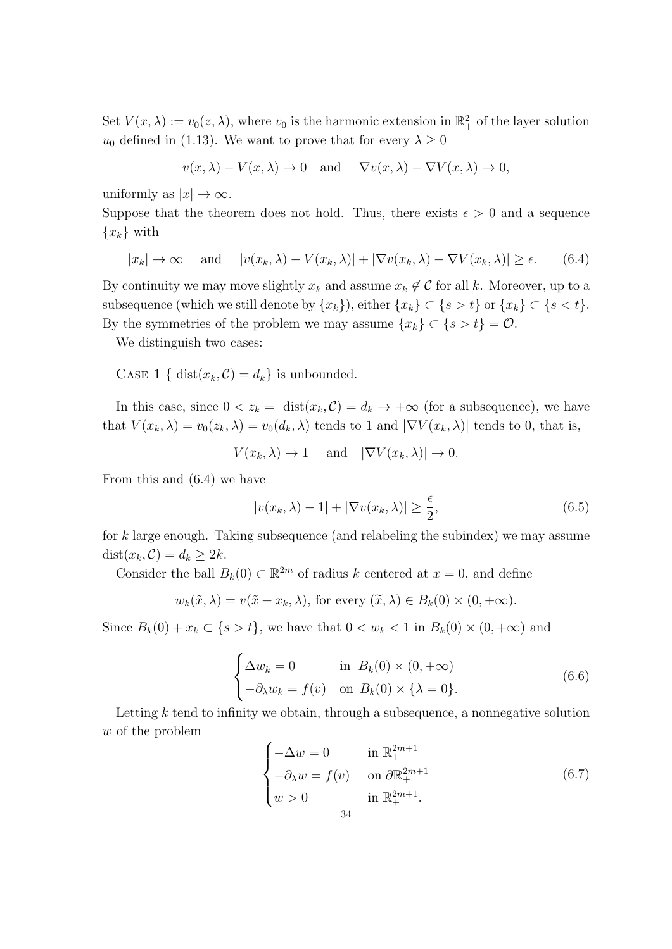Set  $V(x, \lambda) := v_0(z, \lambda)$ , where  $v_0$  is the harmonic extension in  $\mathbb{R}^2_+$  of the layer solution *u*<sub>0</sub> defined in (1.13). We want to prove that for every  $\lambda \geq 0$ 

$$
v(x, \lambda) - V(x, \lambda) \to 0
$$
 and  $\nabla v(x, \lambda) - \nabla V(x, \lambda) \to 0$ ,

uniformly as  $|x| \to \infty$ .

Suppose that the theorem does not hold. Thus, there exists  $\epsilon > 0$  and a sequence  ${x_k}$  with

$$
|x_k| \to \infty \quad \text{and} \quad |v(x_k, \lambda) - V(x_k, \lambda)| + |\nabla v(x_k, \lambda) - \nabla V(x_k, \lambda)| \ge \epsilon. \tag{6.4}
$$

By continuity we may move slightly  $x_k$  and assume  $x_k \notin C$  for all k. Moreover, up to a subsequence (which we still denote by  $\{x_k\}$ ), either  $\{x_k\} \subset \{s > t\}$  or  $\{x_k\} \subset \{s < t\}$ . By the symmetries of the problem we may assume  $\{x_k\} \subset \{s > t\} = \mathcal{O}$ .

We distinguish two cases:

CASE 1 { dist $(x_k, C) = d_k$ } is unbounded.

In this case, since  $0 < z_k = \text{dist}(x_k, C) = d_k \to +\infty$  (for a subsequence), we have that  $V(x_k, \lambda) = v_0(z_k, \lambda) = v_0(d_k, \lambda)$  tends to 1 and  $|\nabla V(x_k, \lambda)|$  tends to 0, that is,

 $V(x_k, \lambda) \to 1$  and  $|\nabla V(x_k, \lambda)| \to 0$ .

From this and (6.4) we have

$$
|v(x_k, \lambda) - 1| + |\nabla v(x_k, \lambda)| \ge \frac{\epsilon}{2}, \tag{6.5}
$$

for *k* large enough. Taking subsequence (and relabeling the subindex) we may assume  $dist(x_k, C) = d_k \geq 2k$ .

Consider the ball  $B_k(0) \subset \mathbb{R}^{2m}$  of radius *k* centered at  $x = 0$ , and define

$$
w_k(\tilde{x}, \lambda) = v(\tilde{x} + x_k, \lambda)
$$
, for every  $(\tilde{x}, \lambda) \in B_k(0) \times (0, +\infty)$ .

Since  $B_k(0) + x_k \subset \{s > t\}$ , we have that  $0 < w_k < 1$  in  $B_k(0) \times (0, +\infty)$  and

$$
\begin{cases}\n\Delta w_k = 0 & \text{in } B_k(0) \times (0, +\infty) \\
-\partial_\lambda w_k = f(v) & \text{on } B_k(0) \times \{\lambda = 0\}.\n\end{cases}
$$
\n(6.6)

Letting *k* tend to infinity we obtain, through a subsequence, a nonnegative solution *w* of the problem

$$
\begin{cases}\n-\Delta w = 0 & \text{in } \mathbb{R}_+^{2m+1} \\
-\partial_\lambda w = f(v) & \text{on } \partial \mathbb{R}_+^{2m+1} \\
w > 0 & \text{in } \mathbb{R}_+^{2m+1}.\n\end{cases}
$$
\n(6.7)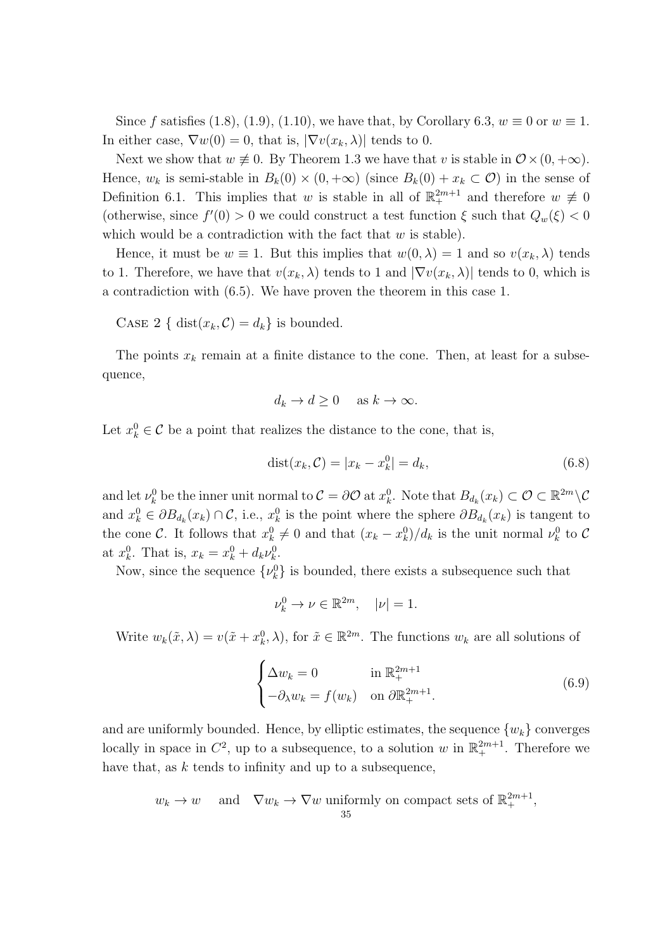Since *f* satisfies (1.8), (1.9), (1.10), we have that, by Corollary 6.3,  $w \equiv 0$  or  $w \equiv 1$ . In either case,  $\nabla w(0) = 0$ , that is,  $|\nabla v(x_k, \lambda)|$  tends to 0.

Next we show that  $w \neq 0$ . By Theorem 1.3 we have that *v* is stable in  $\mathcal{O} \times (0, +\infty)$ . Hence,  $w_k$  is semi-stable in  $B_k(0) \times (0, +\infty)$  (since  $B_k(0) + x_k \subset \mathcal{O}$ ) in the sense of Definition 6.1. This implies that *w* is stable in all of  $\mathbb{R}^{2m+1}_+$  and therefore  $w \neq 0$ (otherwise, since  $f'(0) > 0$  we could construct a test function  $\xi$  such that  $Q_w(\xi) < 0$ which would be a contradiction with the fact that *w* is stable).

Hence, it must be  $w \equiv 1$ . But this implies that  $w(0, \lambda) = 1$  and so  $v(x_k, \lambda)$  tends to 1. Therefore, we have that  $v(x_k, \lambda)$  tends to 1 and  $|\nabla v(x_k, \lambda)|$  tends to 0, which is a contradiction with (6*.*5). We have proven the theorem in this case 1.

CASE 2 { dist $(x_k, C) = d_k$ } is bounded.

The points  $x_k$  remain at a finite distance to the cone. Then, at least for a subsequence,

$$
d_k \to d \ge 0 \quad \text{ as } k \to \infty.
$$

Let  $x_k^0 \in \mathcal{C}$  be a point that realizes the distance to the cone, that is,

$$
dist(x_k, C) = |x_k - x_k^0| = d_k,
$$
\n(6.8)

and let  $\nu_k^0$  be the inner unit normal to  $\mathcal{C} = \partial \mathcal{O}$  at  $x_k^0$ . Note that  $B_{d_k}(x_k) \subset \mathcal{O} \subset \mathbb{R}^{2m} \setminus \mathcal{C}$ and  $x_k^0 \in \partial B_{d_k}(x_k) \cap C$ , i.e.,  $x_k^0$  is the point where the sphere  $\partial B_{d_k}(x_k)$  is tangent to the cone *C*. It follows that  $x_k^0 \neq 0$  and that  $(x_k - x_k^0)/d_k$  is the unit normal  $\nu_k^0$  to *C* at  $x_k^0$ . That is,  $x_k = x_k^0 + d_k \nu_k^0$ .

Now, since the sequence  $\{\nu_k^0\}$  is bounded, there exists a subsequence such that

$$
\nu_k^0 \to \nu \in \mathbb{R}^{2m}, \quad |\nu| = 1.
$$

Write  $w_k(\tilde{x}, \lambda) = v(\tilde{x} + x_k^0, \lambda)$ , for  $\tilde{x} \in \mathbb{R}^{2m}$ . The functions  $w_k$  are all solutions of

$$
\begin{cases} \Delta w_k = 0 & \text{in } \mathbb{R}_+^{2m+1} \\ -\partial_\lambda w_k = f(w_k) & \text{on } \partial \mathbb{R}_+^{2m+1} . \end{cases}
$$
 (6.9)

and are uniformly bounded. Hence, by elliptic estimates, the sequence  $\{w_k\}$  converges locally in space in  $C^2$ , up to a subsequence, to a solution *w* in  $\mathbb{R}^{2m+1}_+$ . Therefore we have that, as *k* tends to infinity and up to a subsequence,

$$
w_k \to w
$$
 and  $\nabla w_k \to \nabla w$  uniformly on compact sets of  $\mathbb{R}_+^{2m+1}$ ,  
35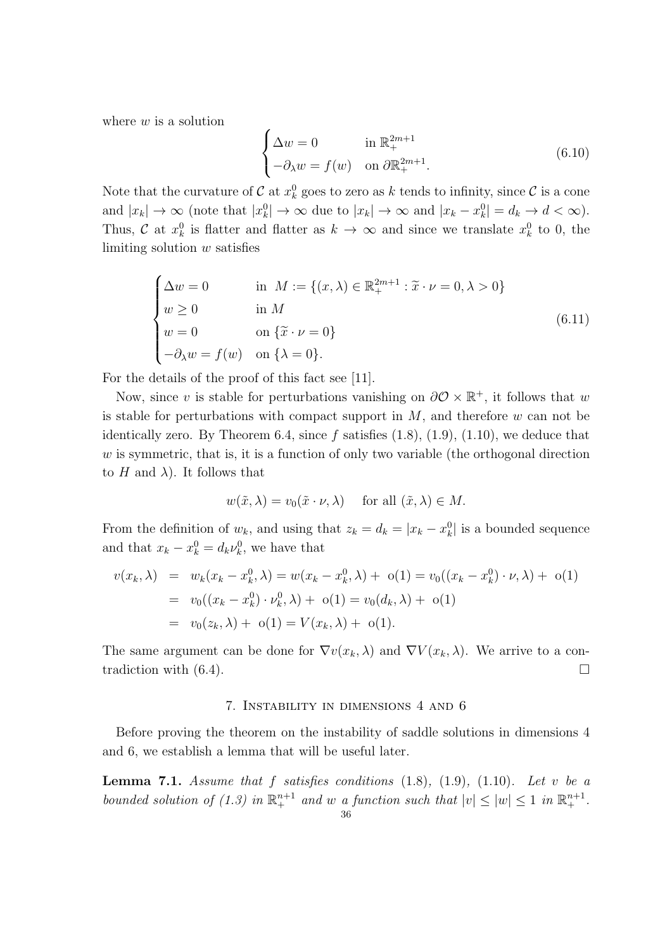where *w* is a solution

$$
\begin{cases}\n\Delta w = 0 & \text{in } \mathbb{R}_+^{2m+1} \\
-\partial_{\lambda} w = f(w) & \text{on } \partial \mathbb{R}_+^{2m+1}.\n\end{cases}
$$
\n(6.10)

Note that the curvature of  $C$  at  $x_k^0$  goes to zero as  $k$  tends to infinity, since  $C$  is a cone and  $|x_k| \to \infty$  (note that  $|x_k^0| \to \infty$  due to  $|x_k| \to \infty$  and  $|x_k - x_k^0| = d_k \to d < \infty$ ). Thus, *C* at  $x_k^0$  is flatter and flatter as  $k \to \infty$  and since we translate  $x_k^0$  to 0, the limiting solution *w* satisfies

$$
\begin{cases}\n\Delta w = 0 & \text{in } M := \{(x, \lambda) \in \mathbb{R}_+^{2m+1} : \tilde{x} \cdot \nu = 0, \lambda > 0\} \\
w \ge 0 & \text{in } M \\
w = 0 & \text{on } \{\tilde{x} \cdot \nu = 0\} \\
-\partial_{\lambda} w = f(w) & \text{on } \{\lambda = 0\}.\n\end{cases}
$$
\n(6.11)

For the details of the proof of this fact see [11].

Now, since *v* is stable for perturbations vanishing on  $\partial \mathcal{O} \times \mathbb{R}^+$ , it follows that *w* is stable for perturbations with compact support in *M*, and therefore *w* can not be identically zero. By Theorem 6.4, since *f* satisfies (1.8), (1.9), (1.10), we deduce that *w* is symmetric, that is, it is a function of only two variable (the orthogonal direction to  $H$  and  $\lambda$ ). It follows that

$$
w(\tilde{x}, \lambda) = v_0(\tilde{x} \cdot \nu, \lambda)
$$
 for all  $(\tilde{x}, \lambda) \in M$ .

From the definition of  $w_k$ , and using that  $z_k = d_k = |x_k - x_k^0|$  is a bounded sequence and that  $x_k - x_k^0 = d_k \nu_k^0$ , we have that

$$
v(x_k, \lambda) = w_k(x_k - x_k^0, \lambda) = w(x_k - x_k^0, \lambda) + o(1) = v_0((x_k - x_k^0) \cdot \nu, \lambda) + o(1)
$$
  
=  $v_0((x_k - x_k^0) \cdot \nu_k^0, \lambda) + o(1) = v_0(d_k, \lambda) + o(1)$   
=  $v_0(z_k, \lambda) + o(1) = V(x_k, \lambda) + o(1).$ 

The same argument can be done for  $\nabla v(x_k, \lambda)$  and  $\nabla V(x_k, \lambda)$ . We arrive to a contradiction with  $(6.4)$ .

#### 7. Instability in dimensions 4 and 6

Before proving the theorem on the instability of saddle solutions in dimensions 4 and 6, we establish a lemma that will be useful later.

**Lemma 7.1.** *Assume that f satisfies conditions* (1.8)*,* (1.9)*,* (1.10)*. Let v be a bounded solution of (1.3) in*  $\mathbb{R}^{n+1}$  *and w a function such that*  $|v| \leq |w| \leq 1$  *in*  $\mathbb{R}^{n+1}$ .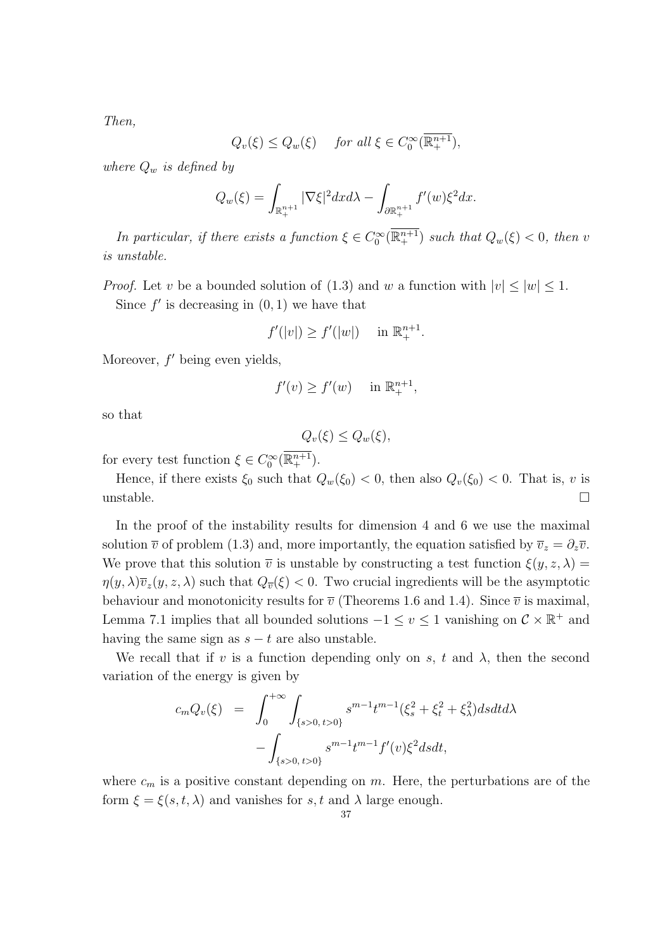*Then,*

$$
Q_v(\xi) \le Q_w(\xi) \quad \text{ for all } \xi \in C_0^{\infty}(\overline{\mathbb{R}^{n+1}_+}),
$$

*where*  $Q_w$  *is defined by* 

$$
Q_w(\xi) = \int_{\mathbb{R}^{n+1}_+} |\nabla \xi|^2 dx d\lambda - \int_{\partial \mathbb{R}^{n+1}_+} f'(w) \xi^2 dx.
$$

*In particular, if there exists a function*  $\xi \in C_0^{\infty}(\mathbb{R}^{n+1})$  *such that*  $Q_w(\xi) < 0$ *, then v is unstable.*

*Proof.* Let *v* be a bounded solution of (1.3) and *w* a function with  $|v| \le |w| \le 1$ .

Since  $f'$  is decreasing in  $(0, 1)$  we have that

$$
f'(|v|) \ge f'(|w|) \quad \text{in } \mathbb{R}^{n+1}_+.
$$

Moreover,  $f'$  being even yields,

$$
f'(v) \ge f'(w) \quad \text{in } \mathbb{R}_+^{n+1},
$$

so that

$$
Q_v(\xi) \le Q_w(\xi),
$$

for every test function  $\xi \in C_0^{\infty}(\mathbb{R}^{n+1}_+).$ 

Hence, if there exists  $\xi_0$  such that  $Q_w(\xi_0) < 0$ , then also  $Q_v(\xi_0) < 0$ . That is, *v* is unstable.  $\Box$ 

In the proof of the instability results for dimension 4 and 6 we use the maximal solution  $\overline{v}$  of problem (1.3) and, more importantly, the equation satisfied by  $\overline{v}_z = \partial_z \overline{v}$ . We prove that this solution  $\overline{v}$  is unstable by constructing a test function  $\xi(y, z, \lambda)$  $\eta(y, \lambda)\overline{v}_z(y, z, \lambda)$  such that  $Q_{\overline{v}}(\xi) < 0$ . Two crucial ingredients will be the asymptotic behaviour and monotonicity results for  $\overline{v}$  (Theorems 1.6 and 1.4). Since  $\overline{v}$  is maximal, Lemma 7.1 implies that all bounded solutions  $-1 \le v \le 1$  vanishing on  $C \times \mathbb{R}^+$  and having the same sign as  $s - t$  are also unstable.

We recall that if  $v$  is a function depending only on  $s$ ,  $t$  and  $\lambda$ , then the second variation of the energy is given by

$$
c_m Q_v(\xi) = \int_0^{+\infty} \int_{\{s>0, t>0\}} s^{m-1} t^{m-1} (\xi_s^2 + \xi_t^2 + \xi_\lambda^2) ds dt d\lambda - \int_{\{s>0, t>0\}} s^{m-1} t^{m-1} f'(v) \xi^2 ds dt,
$$

where  $c_m$  is a positive constant depending on  $m$ . Here, the perturbations are of the form  $\xi = \xi(s, t, \lambda)$  and vanishes for *s, t* and  $\lambda$  large enough.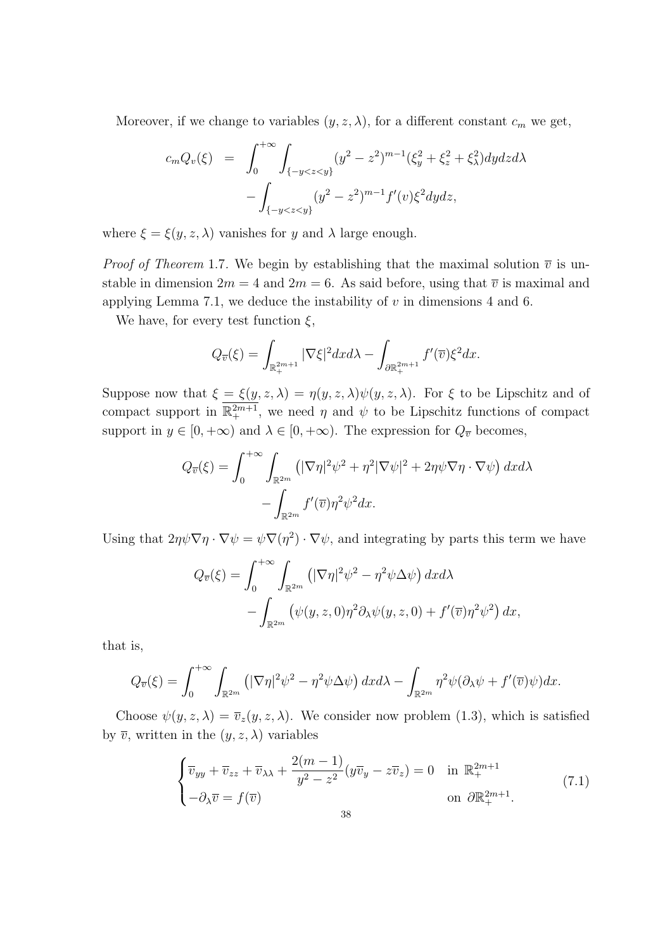Moreover, if we change to variables  $(y, z, \lambda)$ , for a different constant  $c_m$  we get,

$$
c_m Q_v(\xi) = \int_0^{+\infty} \int_{\{-y < z < y\}} (y^2 - z^2)^{m-1} (\xi_y^2 + \xi_z^2 + \xi_\lambda^2) dy dz d\lambda - \int_{\{-y < z < y\}} (y^2 - z^2)^{m-1} f'(v) \xi^2 dy dz,
$$

where  $\xi = \xi(y, z, \lambda)$  vanishes for *y* and  $\lambda$  large enough.

*Proof of Theorem* 1.7. We begin by establishing that the maximal solution  $\overline{v}$  is unstable in dimension  $2m = 4$  and  $2m = 6$ . As said before, using that  $\overline{v}$  is maximal and applying Lemma 7.1, we deduce the instability of *v* in dimensions 4 and 6.

We have, for every test function  $\xi$ ,

$$
Q_{\overline{v}}(\xi) = \int_{\mathbb{R}^{2m+1}_+} |\nabla \xi|^2 dx d\lambda - \int_{\partial \mathbb{R}^{2m+1}_+} f'(\overline{v}) \xi^2 dx.
$$

Suppose now that  $\xi = \xi(y, z, \lambda) = \eta(y, z, \lambda) \psi(y, z, \lambda)$ . For  $\xi$  to be Lipschitz and of compact support in  $\mathbb{R}^{2m+1}_+$ , we need  $\eta$  and  $\psi$  to be Lipschitz functions of compact support in  $y \in [0, +\infty)$  and  $\lambda \in [0, +\infty)$ . The expression for  $Q_{\overline{v}}$  becomes,

$$
Q_{\overline{v}}(\xi) = \int_0^{+\infty} \int_{\mathbb{R}^{2m}} \left( |\nabla \eta|^2 \psi^2 + \eta^2 |\nabla \psi|^2 + 2\eta \psi \nabla \eta \cdot \nabla \psi \right) dx d\lambda
$$

$$
- \int_{\mathbb{R}^{2m}} f'(\overline{v}) \eta^2 \psi^2 dx.
$$

Using that  $2\eta\psi\nabla\eta\cdot\nabla\psi = \psi\nabla(\eta^2)\cdot\nabla\psi$ , and integrating by parts this term we have

$$
Q_{\overline{v}}(\xi) = \int_0^{+\infty} \int_{\mathbb{R}^{2m}} \left( |\nabla \eta|^2 \psi^2 - \eta^2 \psi \Delta \psi \right) dx d\lambda - \int_{\mathbb{R}^{2m}} \left( \psi(y, z, 0) \eta^2 \partial_\lambda \psi(y, z, 0) + f'(\overline{v}) \eta^2 \psi^2 \right) dx,
$$

that is,

$$
Q_{\overline{v}}(\xi) = \int_0^{+\infty} \int_{\mathbb{R}^{2m}} \left( |\nabla \eta|^2 \psi^2 - \eta^2 \psi \Delta \psi \right) dx d\lambda - \int_{\mathbb{R}^{2m}} \eta^2 \psi (\partial_\lambda \psi + f'(\overline{v}) \psi) dx.
$$

Choose  $\psi(y, z, \lambda) = \overline{v}_z(y, z, \lambda)$ . We consider now problem (1.3), which is satisfied by  $\overline{v}$ , written in the  $(y, z, \lambda)$  variables

$$
\begin{cases} \overline{v}_{yy} + \overline{v}_{zz} + \overline{v}_{\lambda\lambda} + \frac{2(m-1)}{y^2 - z^2} (y\overline{v}_y - z\overline{v}_z) = 0 & \text{in } \mathbb{R}_+^{2m+1} \\ -\partial_\lambda \overline{v} = f(\overline{v}) & \text{on } \partial \mathbb{R}_+^{2m+1} . \end{cases}
$$
(7.1)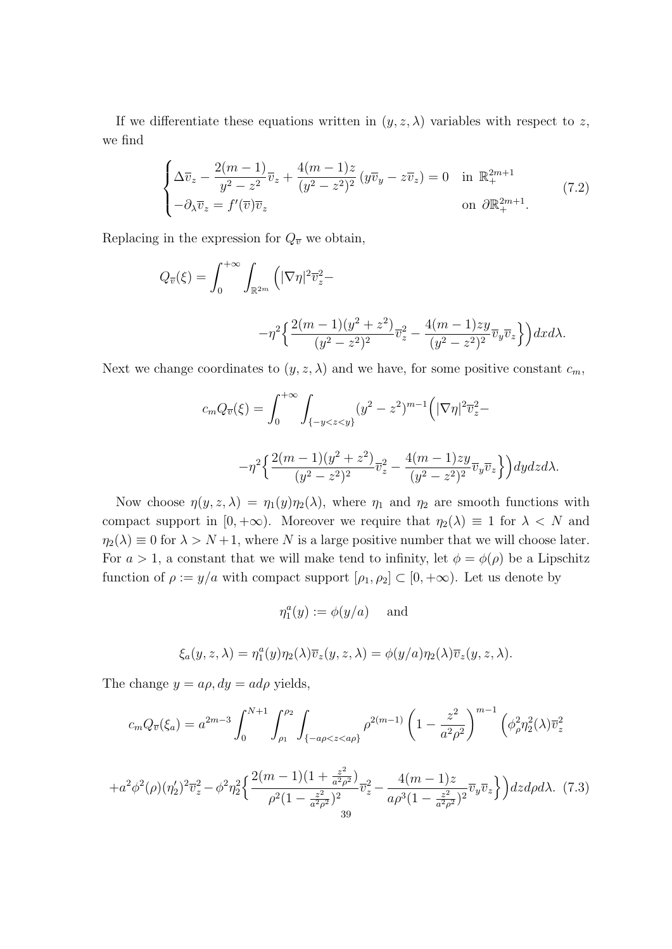If we differentiate these equations written in  $(y, z, \lambda)$  variables with respect to z, we find

$$
\begin{cases}\n\Delta \overline{v}_z - \frac{2(m-1)}{y^2 - z^2} \overline{v}_z + \frac{4(m-1)z}{(y^2 - z^2)^2} (y \overline{v}_y - z \overline{v}_z) = 0 & \text{in } \mathbb{R}_+^{2m+1} \\
-\partial_{\lambda} \overline{v}_z = f'(\overline{v}) \overline{v}_z & \text{on } \partial \mathbb{R}_+^{2m+1}.\n\end{cases}
$$
\n(7.2)

Replacing in the expression for  $Q_{\overline{v}}$  we obtain,

$$
Q_{\overline{v}}(\xi) = \int_0^{+\infty} \int_{\mathbb{R}^{2m}} \left( |\nabla \eta|^2 \overline{v}_z^2 - \right. \\ -\eta^2 \left\{ \frac{2(m-1)(y^2+z^2)}{(y^2-z^2)^2} \overline{v}_z^2 - \frac{4(m-1)zy}{(y^2-z^2)^2} \overline{v}_y \overline{v}_z \right\} \right) dx d\lambda.
$$

Next we change coordinates to  $(y, z, \lambda)$  and we have, for some positive constant  $c_m$ ,

$$
c_m Q_{\overline{v}}(\xi) = \int_0^{+\infty} \int_{\{-y < z < y\}} (y^2 - z^2)^{m-1} \left( |\nabla \eta|^2 \overline{v}_z^2 - \right. \\ \left. -\eta^2 \left\{ \frac{2(m-1)(y^2 + z^2)}{(y^2 - z^2)^2} \overline{v}_z^2 - \frac{4(m-1)zy}{(y^2 - z^2)^2} \overline{v}_y \overline{v}_z \right\} \right) dy dz d\lambda.
$$

Now choose  $\eta(y, z, \lambda) = \eta_1(y)\eta_2(\lambda)$ , where  $\eta_1$  and  $\eta_2$  are smooth functions with compact support in  $[0, +\infty)$ . Moreover we require that  $\eta_2(\lambda) \equiv 1$  for  $\lambda < N$  and  $\eta_2(\lambda) \equiv 0$  for  $\lambda > N+1$ , where *N* is a large positive number that we will choose later. For  $a > 1$ , a constant that we will make tend to infinity, let  $\phi = \phi(\rho)$  be a Lipschitz function of  $\rho := y/a$  with compact support  $[\rho_1, \rho_2] \subset [0, +\infty)$ . Let us denote by

$$
\eta_1^a(y) := \phi(y/a) \quad \text{ and } \quad
$$

$$
\xi_a(y, z, \lambda) = \eta_1^a(y)\eta_2(\lambda)\overline{v}_z(y, z, \lambda) = \phi(y/a)\eta_2(\lambda)\overline{v}_z(y, z, \lambda).
$$

The change  $y = a\rho$ ,  $dy = ad\rho$  yields,

$$
c_m Q_{\overline{v}}(\xi_a) = a^{2m-3} \int_0^{N+1} \int_{\rho_1}^{\rho_2} \int_{\{-a\rho < z < a\rho\}} \rho^{2(m-1)} \left(1 - \frac{z^2}{a^2 \rho^2}\right)^{m-1} \left(\phi_\rho^2 \eta_2^2(\lambda) \overline{v}_z^2\right)
$$

$$
+a^2\phi^2(\rho)(\eta_2')^2\overline{v}_z^2-\phi^2\eta_2^2\Big\{\frac{2(m-1)(1+\frac{z^2}{a^2\rho^2})}{\rho^2(1-\frac{z^2}{a^2\rho^2})^2}\overline{v}_z^2-\frac{4(m-1)z}{a\rho^3(1-\frac{z^2}{a^2\rho^2})^2}\overline{v}_y\overline{v}_z\Big\}\Big)dzd\rho d\lambda. \tag{7.3}
$$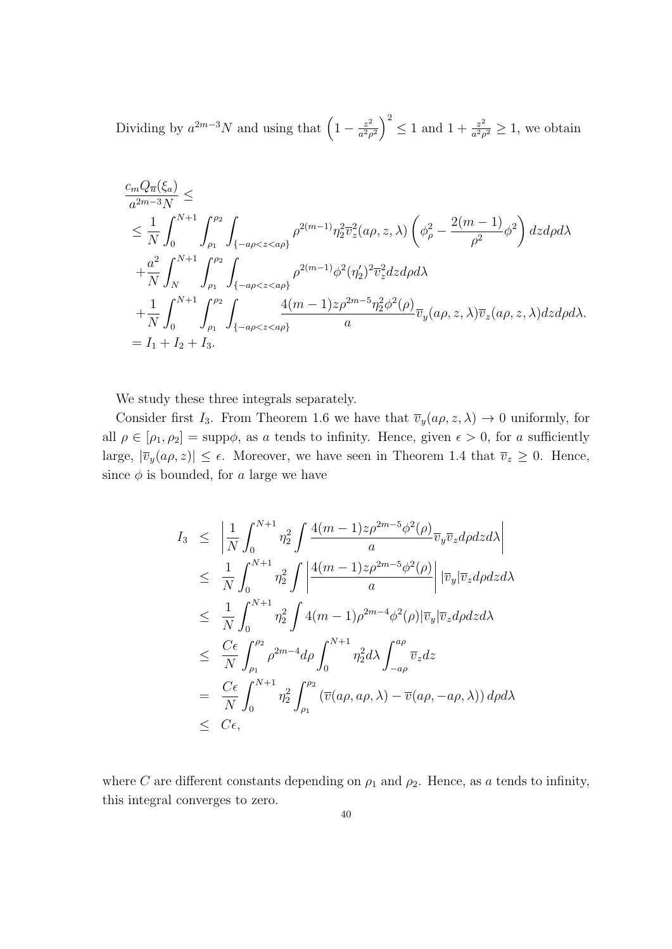Dividing by  $a^{2m-3}N$  and using that  $\left(1-\frac{z^2}{a^2s}\right)$  $\left(\frac{z^2}{a^2\rho^2}\right)^2 \leq 1$  and  $1 + \frac{z^2}{a^2\rho^2}$  $\frac{z^2}{a^2\rho^2} \geq 1$ , we obtain

$$
\frac{c_m Q_{\overline{u}}(\xi_a)}{a^{2m-3}N} \le
$$
\n
$$
\leq \frac{1}{N} \int_0^{N+1} \int_{\rho_1}^{\rho_2} \int_{\{-a\rho < z < a\rho\}} \rho^{2(m-1)} \eta_2^2 \overline{v}_z^2(a\rho, z, \lambda) \left(\phi_\rho^2 - \frac{2(m-1)}{\rho^2} \phi^2\right) dz d\rho d\lambda
$$
\n
$$
+ \frac{a^2}{N} \int_N^{N+1} \int_{\rho_1}^{\rho_2} \int_{\{-a\rho < z < a\rho\}} \rho^{2(m-1)} \phi^2(\eta_2')^2 \overline{v}_z^2 dz d\rho d\lambda
$$
\n
$$
+ \frac{1}{N} \int_0^{N+1} \int_{\rho_1}^{\rho_2} \int_{\{-a\rho < z < a\rho\}} \frac{4(m-1)z\rho^{2m-5} \eta_2^2 \phi^2(\rho)}{a} \overline{v}_y(a\rho, z, \lambda) \overline{v}_z(a\rho, z, \lambda) dz d\rho d\lambda.
$$
\n
$$
= I_1 + I_2 + I_3.
$$

We study these three integrals separately.

Consider first *I*<sub>3</sub>. From Theorem 1.6 we have that  $\overline{v}_y(a\rho, z, \lambda) \to 0$  uniformly, for all  $\rho \in [\rho_1, \rho_2] = \text{supp}\phi$ , as *a* tends to infinity. Hence, given  $\epsilon > 0$ , for *a* sufficiently large,  $|\bar{v}_y(a\rho, z)| \le \epsilon$ . Moreover, we have seen in Theorem 1.4 that  $\bar{v}_z \ge 0$ . Hence, since  $\phi$  is bounded, for *a* large we have

$$
I_3 \leq \left| \frac{1}{N} \int_0^{N+1} \eta_2^2 \int \frac{4(m-1)z \rho^{2m-5} \phi^2(\rho)}{a} \overline{v}_y \overline{v}_z d\rho dz d\lambda \right|
$$
  
\n
$$
\leq \frac{1}{N} \int_0^{N+1} \eta_2^2 \int \left| \frac{4(m-1)z \rho^{2m-5} \phi^2(\rho)}{a} \right| |\overline{v}_y| \overline{v}_z d\rho dz d\lambda
$$
  
\n
$$
\leq \frac{1}{N} \int_0^{N+1} \eta_2^2 \int 4(m-1) \rho^{2m-4} \phi^2(\rho) |\overline{v}_y| \overline{v}_z d\rho dz d\lambda
$$
  
\n
$$
\leq \frac{C\epsilon}{N} \int_{\rho_1}^{\rho_2} \rho^{2m-4} d\rho \int_0^{N+1} \eta_2^2 d\lambda \int_{-a\rho}^{a\rho} \overline{v}_z dz
$$
  
\n
$$
= \frac{C\epsilon}{N} \int_0^{N+1} \eta_2^2 \int_{\rho_1}^{\rho_2} (\overline{v}(a\rho, a\rho, \lambda) - \overline{v}(a\rho, -a\rho, \lambda)) d\rho d\lambda
$$
  
\n
$$
\leq C\epsilon,
$$

where *C* are different constants depending on  $\rho_1$  and  $\rho_2$ . Hence, as *a* tends to infinity, this integral converges to zero.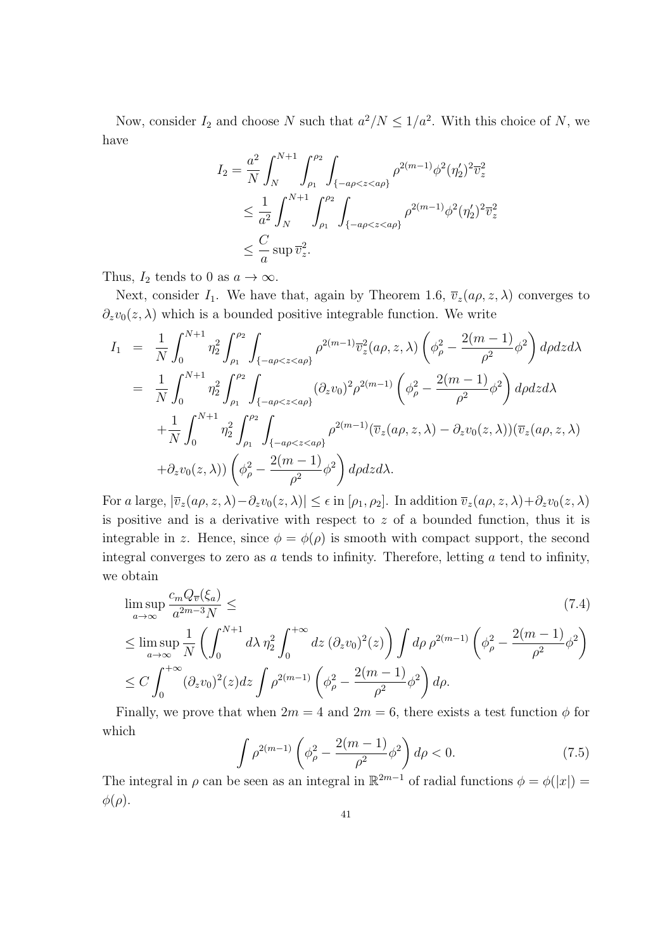Now, consider  $I_2$  and choose *N* such that  $a^2/N \leq 1/a^2$ . With this choice of *N*, we have

$$
I_2 = \frac{a^2}{N} \int_N^{N+1} \int_{\rho_1}^{\rho_2} \int_{\{-a\rho < z < a\rho\}} \rho^{2(m-1)} \phi^2 (\eta_2')^2 \overline{v}_z^2
$$
\n
$$
\leq \frac{1}{a^2} \int_N^{N+1} \int_{\rho_1}^{\rho_2} \int_{\{-a\rho < z < a\rho\}} \rho^{2(m-1)} \phi^2 (\eta_2')^2 \overline{v}_z^2
$$
\n
$$
\leq \frac{C}{a} \sup \overline{v}_z^2.
$$

Thus,  $I_2$  tends to 0 as  $a \to \infty$ .

Next, consider  $I_1$ . We have that, again by Theorem 1.6,  $\overline{v}_z(a\rho, z, \lambda)$  converges to  $\partial_z v_0(z,\lambda)$  which is a bounded positive integrable function. We write

$$
I_{1} = \frac{1}{N} \int_{0}^{N+1} \eta_{2}^{2} \int_{\rho_{1}}^{\rho_{2}} \int_{\{-a\rho < z < a\rho\}} \rho^{2(m-1)} \overline{v}_{z}^{2}(a\rho, z, \lambda) \left(\phi_{\rho}^{2} - \frac{2(m-1)}{\rho^{2}} \phi^{2}\right) d\rho dz d\lambda
$$
\n
$$
= \frac{1}{N} \int_{0}^{N+1} \eta_{2}^{2} \int_{\rho_{1}}^{\rho_{2}} \int_{\{-a\rho < z < a\rho\}} (\partial_{z} v_{0})^{2} \rho^{2(m-1)} \left(\phi_{\rho}^{2} - \frac{2(m-1)}{\rho^{2}} \phi^{2}\right) d\rho dz d\lambda
$$
\n
$$
+ \frac{1}{N} \int_{0}^{N+1} \eta_{2}^{2} \int_{\rho_{1}}^{\rho_{2}} \int_{\{-a\rho < z < a\rho\}} \rho^{2(m-1)} (\overline{v}_{z}(a\rho, z, \lambda) - \partial_{z} v_{0}(z, \lambda)) (\overline{v}_{z}(a\rho, z, \lambda)
$$
\n
$$
+ \partial_{z} v_{0}(z, \lambda)) \left(\phi_{\rho}^{2} - \frac{2(m-1)}{\rho^{2}} \phi^{2}\right) d\rho dz d\lambda.
$$

For a large,  $|\overline{v}_z(a\rho, z, \lambda) - \partial_z v_0(z, \lambda)| \leq \epsilon$  in  $[\rho_1, \rho_2]$ . In addition  $\overline{v}_z(a\rho, z, \lambda) + \partial_z v_0(z, \lambda)$ is positive and is a derivative with respect to *z* of a bounded function, thus it is integrable in *z*. Hence, since  $\phi = \phi(\rho)$  is smooth with compact support, the second integral converges to zero as *a* tends to infinity. Therefore, letting *a* tend to infinity, we obtain

$$
\limsup_{a \to \infty} \frac{c_m Q_{\overline{v}}(\xi_a)}{a^{2m-3} N} \leq
$$
\n
$$
\leq \limsup_{a \to \infty} \frac{1}{N} \left( \int_0^{N+1} d\lambda \, \eta_2^2 \int_0^{+\infty} dz \, (\partial_z v_0)^2(z) \right) \int d\rho \, \rho^{2(m-1)} \left( \phi_\rho^2 - \frac{2(m-1)}{\rho^2} \phi^2 \right)
$$
\n
$$
\leq C \int_0^{+\infty} (\partial_z v_0)^2(z) dz \int \rho^{2(m-1)} \left( \phi_\rho^2 - \frac{2(m-1)}{\rho^2} \phi^2 \right) d\rho.
$$
\n(7.4)

Finally, we prove that when  $2m = 4$  and  $2m = 6$ , there exists a test function  $\phi$  for which

$$
\int \rho^{2(m-1)} \left( \phi_{\rho}^{2} - \frac{2(m-1)}{\rho^{2}} \phi^{2} \right) d\rho < 0.
$$
 (7.5)

The integral in  $\rho$  can be seen as an integral in  $\mathbb{R}^{2m-1}$  of radial functions  $\phi = \phi(|x|)$ *φ*(*ρ*).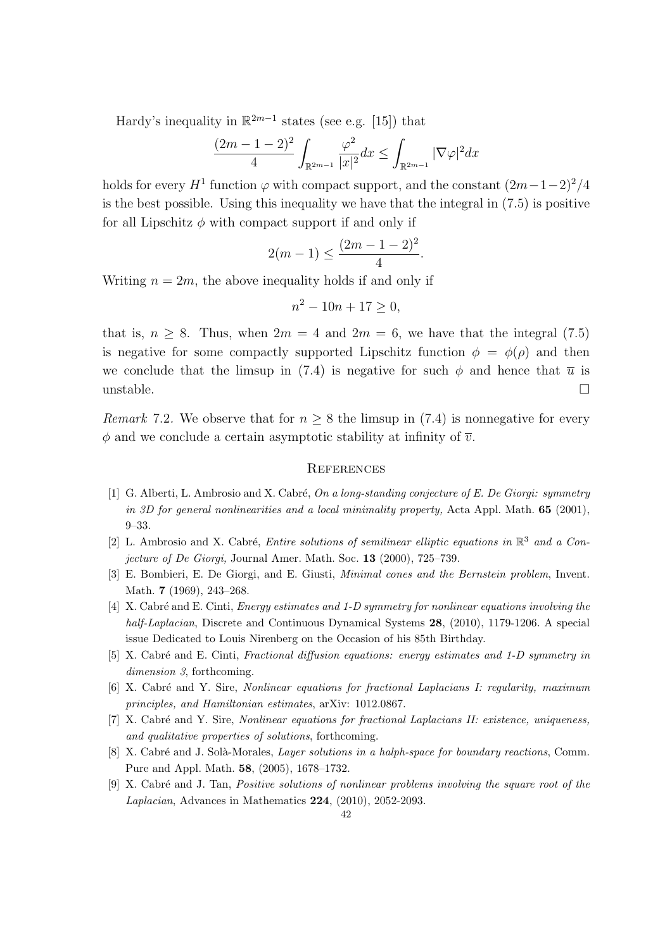Hardy's inequality in  $\mathbb{R}^{2m-1}$  states (see e.g. [15]) that

$$
\frac{(2m-1-2)^2}{4} \int_{\mathbb{R}^{2m-1}} \frac{\varphi^2}{|x|^2} dx \le \int_{\mathbb{R}^{2m-1}} |\nabla \varphi|^2 dx
$$

holds for every  $H^1$  function  $\varphi$  with compact support, and the constant  $(2m-1-2)^2/4$ is the best possible. Using this inequality we have that the integral in  $(7.5)$  is positive for all Lipschitz  $\phi$  with compact support if and only if

$$
2(m-1) \le \frac{(2m-1-2)^2}{4}.
$$

Writing  $n = 2m$ , the above inequality holds if and only if

$$
n^2 - 10n + 17 \ge 0,
$$

that is,  $n \geq 8$ . Thus, when  $2m = 4$  and  $2m = 6$ , we have that the integral (7.5) is negative for some compactly supported Lipschitz function  $\phi = \phi(\rho)$  and then we conclude that the limsup in (7.4) is negative for such  $\phi$  and hence that  $\bar{u}$  is unstable.  $\Box$ 

*Remark* 7.2. We observe that for  $n \geq 8$  the limsup in (7.4) is nonnegative for every  $\phi$  and we conclude a certain asymptotic stability at infinity of  $\overline{v}$ .

#### **REFERENCES**

- [1] G. Alberti, L. Ambrosio and X. Cabr´e, *On a long-standing conjecture of E. De Giorgi: symmetry in 3D for general nonlinearities and a local minimality property,* Acta Appl. Math. **65** (2001), 9–33.
- [2] L. Ambrosio and X. Cabré, *Entire solutions of semilinear elliptic equations in*  $\mathbb{R}^3$  *and a Conjecture of De Giorgi,* Journal Amer. Math. Soc. **13** (2000), 725–739.
- [3] E. Bombieri, E. De Giorgi, and E. Giusti, *Minimal cones and the Bernstein problem*, Invent. Math. **7** (1969), 243–268.
- [4] X. Cabr´e and E. Cinti, *Energy estimates and 1-D symmetry for nonlinear equations involving the half-Laplacian*, Discrete and Continuous Dynamical Systems **28**, (2010), 1179-1206. A special issue Dedicated to Louis Nirenberg on the Occasion of his 85th Birthday.
- [5] X. Cabr´e and E. Cinti, *Fractional diffusion equations: energy estimates and 1-D symmetry in dimension 3*, forthcoming.
- [6] X. Cabr´e and Y. Sire, *Nonlinear equations for fractional Laplacians I: regularity, maximum principles, and Hamiltonian estimates*, arXiv: 1012.0867.
- [7] X. Cabr´e and Y. Sire, *Nonlinear equations for fractional Laplacians II: existence, uniqueness, and qualitative properties of solutions*, forthcoming.
- [8] X. Cabré and J. Solà-Morales, *Layer solutions in a halph-space for boundary reactions*, Comm. Pure and Appl. Math. **58**, (2005), 1678–1732.
- [9] X. Cabr´e and J. Tan, *Positive solutions of nonlinear problems involving the square root of the Laplacian*, Advances in Mathematics **224**, (2010), 2052-2093.